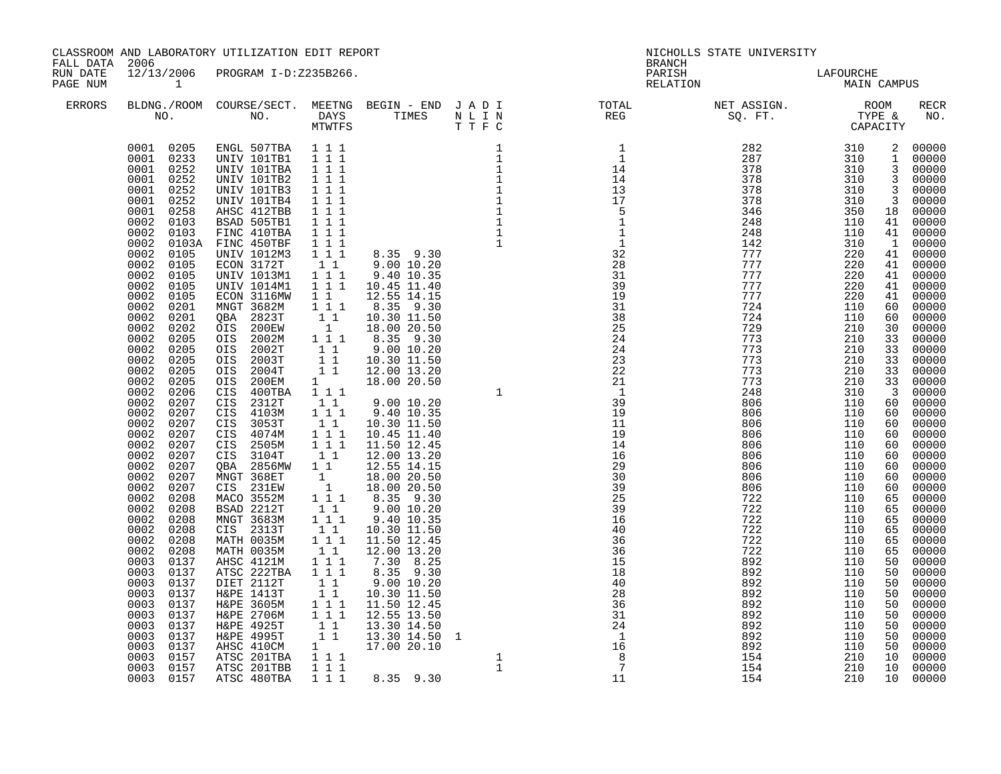|                                                         |                                                                                                                                                                                                                                                                                                                                                                                                                                                                                                                                                                                                                                                                                                                                                                                                                             | CLASSROOM AND LABORATORY UTILIZATION EDIT REPORT                                                                                                                                                                                                                                                                                                                                                                                                                                                                                                                                                                                                                                                                                                    |                                                                                                                                                                                                                                                                                                                                                                                                                                                                                                                                                                                                                                                                                                                                                                                                                   |                                                                                                                                                                                                                                                                                                                                                                                                          | NICHOLLS STATE UNIVERSITY<br><b>BRANCH</b>                                                                                                                                                                                                                                                                                                                                                                                                                                                                             |                                                                                                                                                                                                                                                                                                                                                                                                                                                            |                                                                                                                                                                                                                                                                                                                                |                                                                                                                                                                                                                                                                                                                                                                                                                                                                                      |                                                                                                                                                                                                                                                                                                        |
|---------------------------------------------------------|-----------------------------------------------------------------------------------------------------------------------------------------------------------------------------------------------------------------------------------------------------------------------------------------------------------------------------------------------------------------------------------------------------------------------------------------------------------------------------------------------------------------------------------------------------------------------------------------------------------------------------------------------------------------------------------------------------------------------------------------------------------------------------------------------------------------------------|-----------------------------------------------------------------------------------------------------------------------------------------------------------------------------------------------------------------------------------------------------------------------------------------------------------------------------------------------------------------------------------------------------------------------------------------------------------------------------------------------------------------------------------------------------------------------------------------------------------------------------------------------------------------------------------------------------------------------------------------------------|-------------------------------------------------------------------------------------------------------------------------------------------------------------------------------------------------------------------------------------------------------------------------------------------------------------------------------------------------------------------------------------------------------------------------------------------------------------------------------------------------------------------------------------------------------------------------------------------------------------------------------------------------------------------------------------------------------------------------------------------------------------------------------------------------------------------|----------------------------------------------------------------------------------------------------------------------------------------------------------------------------------------------------------------------------------------------------------------------------------------------------------------------------------------------------------------------------------------------------------|------------------------------------------------------------------------------------------------------------------------------------------------------------------------------------------------------------------------------------------------------------------------------------------------------------------------------------------------------------------------------------------------------------------------------------------------------------------------------------------------------------------------|------------------------------------------------------------------------------------------------------------------------------------------------------------------------------------------------------------------------------------------------------------------------------------------------------------------------------------------------------------------------------------------------------------------------------------------------------------|--------------------------------------------------------------------------------------------------------------------------------------------------------------------------------------------------------------------------------------------------------------------------------------------------------------------------------|--------------------------------------------------------------------------------------------------------------------------------------------------------------------------------------------------------------------------------------------------------------------------------------------------------------------------------------------------------------------------------------------------------------------------------------------------------------------------------------|--------------------------------------------------------------------------------------------------------------------------------------------------------------------------------------------------------------------------------------------------------------------------------------------------------|
| FALL DATA 2006<br>RUN DATE<br>PAGE NUM<br><b>ERRORS</b> | $\sim$ 1                                                                                                                                                                                                                                                                                                                                                                                                                                                                                                                                                                                                                                                                                                                                                                                                                    | 12/13/2006 PROGRAM I-D:Z235B266.                                                                                                                                                                                                                                                                                                                                                                                                                                                                                                                                                                                                                                                                                                                    |                                                                                                                                                                                                                                                                                                                                                                                                                                                                                                                                                                                                                                                                                                                                                                                                                   |                                                                                                                                                                                                                                                                                                                                                                                                          | PARISH<br>RELATION                                                                                                                                                                                                                                                                                                                                                                                                                                                                                                     | LAFOURCHE<br>MAIN C                                                                                                                                                                                                                                                                                                                                                                                                                                        | MAIN CAMPUS                                                                                                                                                                                                                                                                                                                    |                                                                                                                                                                                                                                                                                                                                                                                                                                                                                      |                                                                                                                                                                                                                                                                                                        |
|                                                         |                                                                                                                                                                                                                                                                                                                                                                                                                                                                                                                                                                                                                                                                                                                                                                                                                             |                                                                                                                                                                                                                                                                                                                                                                                                                                                                                                                                                                                                                                                                                                                                                     |                                                                                                                                                                                                                                                                                                                                                                                                                                                                                                                                                                                                                                                                                                                                                                                                                   |                                                                                                                                                                                                                                                                                                                                                                                                          |                                                                                                                                                                                                                                                                                                                                                                                                                                                                                                                        |                                                                                                                                                                                                                                                                                                                                                                                                                                                            |                                                                                                                                                                                                                                                                                                                                |                                                                                                                                                                                                                                                                                                                                                                                                                                                                                      | RECR<br>NO.                                                                                                                                                                                                                                                                                            |
|                                                         | 0001 0205<br>0001 0233<br>0001<br>0252<br>0001<br>0252<br>0001<br>0252<br>0001<br>0252<br>0001<br>0258<br>0002<br>0103<br>0002<br>0103<br>0002<br>0002<br>0105<br>0002<br>0105<br>0002<br>0105<br>0002<br>0105<br>0002<br>0105<br>0002<br>0201<br>0002<br>0201<br>0002<br>0202<br>0002<br>0205<br>0002<br>0205<br>0002<br>0205<br>0002<br>0205<br>0002<br>0205<br>0002<br>0206<br>0002<br>0207<br>0002<br>0207<br>0002<br>0207<br>0002<br>0207<br>0002<br>0207<br>0002<br>0207<br>0002<br>0207<br>0002<br>0207<br>0002<br>0207<br>0002<br>0208<br>0002<br>0208<br>0002<br>0208<br>0002<br>0208<br>0002<br>0208<br>0002<br>0208<br>0003<br>0137<br>0003<br>0137<br>0003<br>0137<br>0003<br>0137<br>0003<br>0137<br>0003<br>0137<br>0003<br>0137<br>0003<br>0137<br>0003<br>0137<br>0003<br>0157<br>0003<br>0157<br>0003 0157 | ENGL 507TBA<br>UNIV 101TB1 111<br>UNIV 101TBA<br>UNIV 101TB2<br>UNIV 101TB3<br>UNIV 101TB4<br>AHSC 412TBB<br>BSAD 505TB1<br>FINC 410TBA<br>0103A FINC 450TBF<br>UNIV 1012M3<br>ECON 3172T<br>UNIV 1013M1<br>UNIV 1014M1<br>ECON 3116MW<br>MNGT 3682M<br>QBA 2823T<br>OIS 200EW<br>OIS 2002M<br>OIS 2002T<br>OIS 2003T<br>OIS 2004T<br>OIS 200EM<br>CIS 400TBA<br>CIS 2312T<br>CIS 4103M<br>CIS 3053T<br>CIS 4074M<br>CIS 2505M<br>CIS 3104T<br>QBA 2856MW<br>MNGT 368ET<br>CIS 231EW<br>MACO 3552M<br>BSAD 2212T<br>MNGT 3683M<br>CIS 2313T<br>MATH 0035M<br>MATH 0035M<br>AHSC 4121M<br>ATSC 222TBA<br>DIET 2112T<br>H&PE 1413T<br>H&PE 3605M<br>H&PE 2706M<br>H&PE 4925T<br>H&PE 4925T<br>AHSC 410CM<br>ATSC 201TBA<br>ATSC 201TBB<br>ATSC 480TBA | 1 1 1<br>1 1 1<br>$1 1 1$<br>1 1 1<br>$1 1 1$<br>$1 1 1$<br>$1 1 1$<br>$1 1 1$<br>$\begin{array}{rrrr} 1&1&1\\ 1&1&1 \end{array}$<br>$\begin{bmatrix} 1 & 1 \\ 1 & 1 & 1 \end{bmatrix}$<br>1 1 1<br>$\begin{array}{c} \bar{1} & \bar{1} \\ 1 & 1 \\ 1 & 1 \end{array}$<br>$\begin{smallmatrix}&&1\\1&1&1\end{smallmatrix}$<br>$\begin{array}{cc} 1 & 1 \\ 1 & 1 \\ 1 & 1 \end{array}$<br>$1 \quad \blacksquare$<br>$1 1 1$<br>11<br>$\begin{array}{c} 1 \\ 1 \end{array}$<br>$1\quad1$<br>$1 1 1$<br>$1 1 1$<br>$1\quad1$<br>$1\quad1$<br>1<br>$\begin{smallmatrix}&&1\\1&1&1\end{smallmatrix}$<br>$1\quad1$<br>$1^{\circ}1^{\circ}1$<br>$1\quad1$<br>$1\ 1\ 1$<br>$1\quad1$<br>$1 1 1$<br>$1 1 1$<br>11<br>$1\quad1$<br>$1 1 1$<br>$1 1 1$<br>$\begin{array}{cc} & 1 & 1 \\ & 1 & 1 \end{array}$<br>1 1 1<br>111 | 9.00 10.20<br>9.40 10.35<br>10.30 11.50<br>10.45 11.40<br>11.50 12.45<br>12.00 13.20<br>12.55 14.15<br>18.00 20.50<br>18.00 20.50<br>$8.35$ 9.30<br>9.00 10.20<br>9.40 10.35<br>10.30 11.50<br>11.50 12.45<br>12.00 13.20<br>$7.30$ 8.25<br>8.35 9.30<br>9.00 10.20<br>10.30 11.50<br>11.50 12.45<br>12.55 13.50<br>13.30 14.50<br>$\begin{array}{ccccc} 1 & & 17.00 & 20.10 \\ 1 & 1 & 1 & \end{array}$ | $\mathbf{1}$<br>$\overline{1}$<br>$\begin{array}{c} 14 \\ 14 \end{array}$<br>$\begin{array}{c} 13 \\ 17 \\ 5 \end{array}$<br>$\frac{1}{1}$<br>$\begin{array}{c}\n1 \\ 32 \\ 28\n\end{array}$<br>31<br>39<br>19<br>31<br>38<br>25<br>24<br>24<br>23<br>22<br>21<br>$\overline{1}$<br>39<br>19<br>11<br>19<br>14<br>16<br>29<br>$\overline{30}$<br>39<br>25<br>39<br>16<br>40<br>36<br>36<br>15<br>18<br>40<br>28<br>36<br>31<br>$\frac{5}{24}$<br>$\begin{array}{c}\n16 \\ 8 \\ 7\n\end{array}$<br>$\overline{7}$<br>11 | $\begin{array}{ccc} 282 & 310 \\ 287 & 310 \\ 378 & 310 \\ 378 & 310 \\ 378 & 310 \\ 378 & 310 \\ 378 & 310 \end{array}$<br>378<br>346<br>248<br>248<br>142<br>777<br>777<br>777<br>777<br>777<br>724<br>724<br>729<br>773<br>773<br>773<br>773<br>773<br>248<br>806<br>806<br>806<br>806<br>806<br>806<br>806<br>806<br>806<br>722<br>722<br>722<br>722<br>722<br>722<br>892<br>892<br>892<br>892<br>892<br>892<br>892<br>892<br>892<br>154<br>154<br>154 | 310<br>350<br>110<br>110<br>310<br>220<br>220<br>220<br>220<br>220<br>110<br>110<br>210<br>210<br>210<br>210<br>210<br>210<br>310<br>110<br>110<br>110<br>110<br>110<br>110<br>110<br>110<br>110<br>110<br>110<br>110<br>110<br>110<br>110<br>110<br>110<br>110<br>110<br>110<br>110<br>110<br>110<br>110<br>210<br>210<br>210 | 2 00000<br>1 00000<br>3 00000<br>$\frac{3}{3}$ 00000<br>3 00000<br>$\overline{\mathbf{3}}$<br>18 00000<br>41 00000<br>41 00000<br>1 00000<br>41<br>41 00000<br>$41 00000$<br>$41 00000$<br>41<br>60<br>60 00000<br>30 00000<br>33<br>33<br>33<br>33<br>33 00000<br>$\overline{\mathbf{3}}$<br>60 00000<br>60<br>60<br>60<br>60<br>60<br>60<br>60<br>60<br>65<br>65 00000<br>65 00000<br>65<br>65<br>65<br>50<br>50<br>50<br>50<br>50<br>50<br>50<br>50<br>50<br>10<br>10<br>10 00000 | 00000<br>00000<br>00000<br>00000<br>00000<br>00000<br>00000<br>00000<br>00000<br>$00000$<br>00000<br>00000<br>00000<br>$00000$<br>$00000$<br>$00000$<br>00000<br>00000<br>00000<br>00000<br>00000<br>00000<br>00000<br>00000<br>00000<br>00000<br>00000<br>$00000$<br>00000<br>00000<br>00000<br>00000 |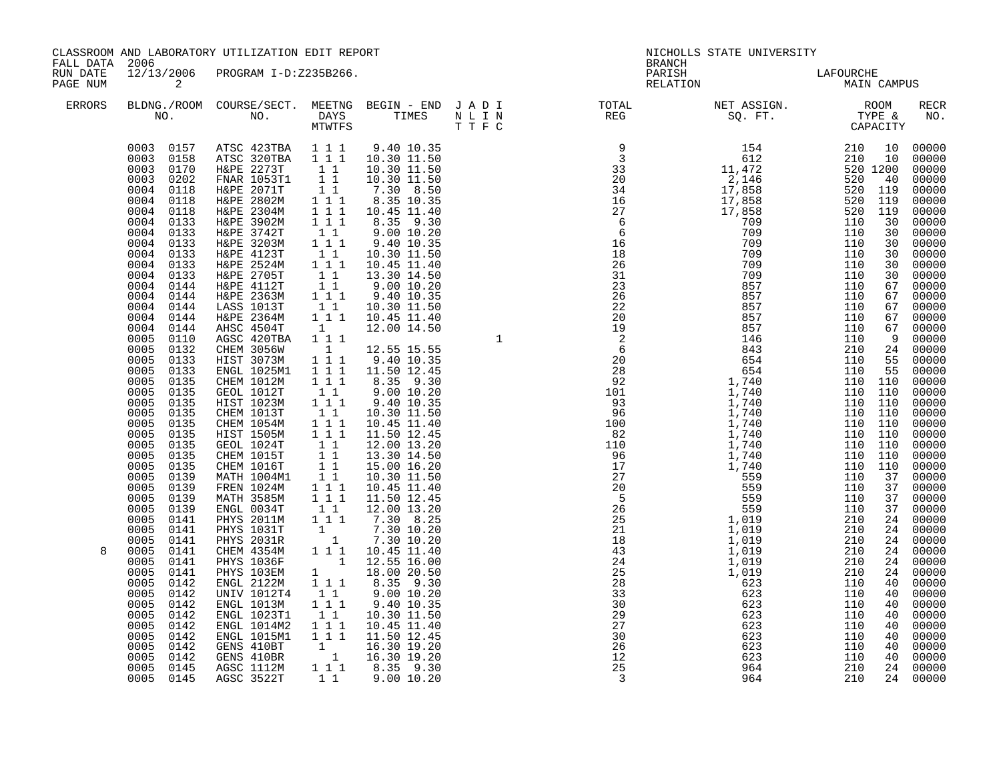|                                                         |                                                                                                                                                                                                                                                                                                                                                                                                                                                                                                                                                                                                                                                                                                                                                                                                     | CLASSROOM AND LABORATORY UTILIZATION EDIT REPORT                                                                                                                                                                                                                                                                                                                                                                                                                                                                                                                                                                                                                                                                                                                                                                                                                             |                                                                                                                                                                                                                                                                                                                                                                                                                                                                                                                                                                                                                                                           |                                                                                                                                                                                                                                                                                                                                                                                                                                                                                                                                                                                                                                                                                                                                                                                                                                                                                                                                                                                                               | NICHOLLS STATE UNIVERSITY<br><b>BRANCH</b> |                          |                               |                            |
|---------------------------------------------------------|-----------------------------------------------------------------------------------------------------------------------------------------------------------------------------------------------------------------------------------------------------------------------------------------------------------------------------------------------------------------------------------------------------------------------------------------------------------------------------------------------------------------------------------------------------------------------------------------------------------------------------------------------------------------------------------------------------------------------------------------------------------------------------------------------------|------------------------------------------------------------------------------------------------------------------------------------------------------------------------------------------------------------------------------------------------------------------------------------------------------------------------------------------------------------------------------------------------------------------------------------------------------------------------------------------------------------------------------------------------------------------------------------------------------------------------------------------------------------------------------------------------------------------------------------------------------------------------------------------------------------------------------------------------------------------------------|-----------------------------------------------------------------------------------------------------------------------------------------------------------------------------------------------------------------------------------------------------------------------------------------------------------------------------------------------------------------------------------------------------------------------------------------------------------------------------------------------------------------------------------------------------------------------------------------------------------------------------------------------------------|---------------------------------------------------------------------------------------------------------------------------------------------------------------------------------------------------------------------------------------------------------------------------------------------------------------------------------------------------------------------------------------------------------------------------------------------------------------------------------------------------------------------------------------------------------------------------------------------------------------------------------------------------------------------------------------------------------------------------------------------------------------------------------------------------------------------------------------------------------------------------------------------------------------------------------------------------------------------------------------------------------------|--------------------------------------------|--------------------------|-------------------------------|----------------------------|
| FALL DATA 2006<br>RUN DATE<br>PAGE NUM<br><b>ERRORS</b> | $\overline{\phantom{a}}$ 2                                                                                                                                                                                                                                                                                                                                                                                                                                                                                                                                                                                                                                                                                                                                                                          | 12/13/2006 PROGRAM I-D:Z235B266.                                                                                                                                                                                                                                                                                                                                                                                                                                                                                                                                                                                                                                                                                                                                                                                                                                             |                                                                                                                                                                                                                                                                                                                                                                                                                                                                                                                                                                                                                                                           |                                                                                                                                                                                                                                                                                                                                                                                                                                                                                                                                                                                                                                                                                                                                                                                                                                                                                                                                                                                                               | PARISH<br>RELATION                         | LAFOURCHE<br>MAIN CAMPUS |                               |                            |
|                                                         |                                                                                                                                                                                                                                                                                                                                                                                                                                                                                                                                                                                                                                                                                                                                                                                                     | NO. NO. DAYS TIMES NULIN<br>MTWTFS TTFC                                                                                                                                                                                                                                                                                                                                                                                                                                                                                                                                                                                                                                                                                                                                                                                                                                      |                                                                                                                                                                                                                                                                                                                                                                                                                                                                                                                                                                                                                                                           |                                                                                                                                                                                                                                                                                                                                                                                                                                                                                                                                                                                                                                                                                                                                                                                                                                                                                                                                                                                                               |                                            |                          |                               | <b>RECR</b><br>NO.         |
| 8                                                       | 0003 0170<br>0003<br>0202<br>0004<br>0118<br>0004<br>0118<br>0004<br>0118<br>0004<br>0133<br>0004<br>0133<br>0004<br>0133<br>0004<br>0133<br>0004<br>0133<br>0004<br>0133<br>0004<br>0144<br>0004<br>0144<br>0004 0144<br>0004<br>0144<br>0004<br>0144<br>0005<br>0110<br>0005<br>0132<br>0005<br>0133<br>0005<br>0133<br>0005<br>0135<br>0005<br>0135<br>0005<br>0135<br>0005<br>0135<br>0005<br>0135<br>0005<br>0135<br>0005<br>0135<br>0005<br>0135<br>0005<br>0135<br>0005<br>0139<br>0005<br>0139<br>0005<br>0139<br>0005<br>0139<br>0005<br>0141<br>0005<br>0141<br>0005<br>0141<br>0005<br>0141<br>0005<br>0141<br>0005<br>0141<br>0005<br>0142<br>0005<br>0142<br>0005<br>0142<br>0005<br>0142<br>0005<br>0142<br>0005<br>0142<br>0005<br>0142<br>0005<br>0142<br>0005<br>0145<br>0005 0145 | $\begin{array}{cccc} 0003 & 0157 & \text{ATSC } 423\text{TBA} & 1 & 1 & 1 \\ 0003 & 0158 & \text{ATSC } 320\text{TBA} & 1 & 1 & 1 \end{array}$<br>H&PE 2273T<br>FNAR 1053T1<br>H&PE 2071T<br>H&PE 2802M<br>H&PE 2304M<br>H&PE 3902M<br>H&PE 3742T<br>H&PE 3203M<br>H&PE 4123T<br>H&PE 2524M<br>H&PE 2705T<br>H&PE 4112T<br>H&PE 2363M<br>LASS 1013T<br>H&PE 2364M<br>AHSC 4504T<br>AGSC 420TBA<br><b>CHEM 3056W<br/>HIST 3073M</b><br>ENGL 1025M1<br>CHEM 1012M<br>GEOL 1012T<br>HIST 1023M<br>CHEM 1013T<br>CHEM 1054M<br>HIST 1505M<br>GEOL 1024T<br>CHEM 1015T<br>CHEM 1016T<br>MATH 1004M1<br>FREN 1024M<br>MATH 3585M<br>ENGL 0034T<br>PHYS 2011M<br>PHYS 1031T<br>PHYS 1031R<br>CHEM 4354M<br>PHYS 1036F<br>PHYS 103EM<br>ENGL 2122M<br>UNIV 1012T4<br>ENGL 1013M<br>ENGL 1023T1<br>ENGL 1014M2<br>ENGL 1015M1<br>GENS 410BT<br>GENS 410BT<br>AGSC 1112M<br>AGSC 3522T | $\begin{array}{rr} & 1 & 1 \\ & 1 & 1 \end{array}$<br>11<br>$1\overline{1}$<br>$\overline{1}$ $\overline{1}$ $\overline{1}$<br>$1 1 1$<br>11<br>$1 1 1$<br>11<br>$1 \quad 1 \quad 1$<br>$\begin{bmatrix} 1\\ 1\\ 1 \end{bmatrix}$<br>$1 1 1$<br>$\begin{smallmatrix}1\1\1\end{smallmatrix}$ 1<br>$1 1 1$<br>$\begin{smallmatrix}1&1\\1&1&1\end{smallmatrix}$<br>$1\quad1$<br>$1 \quad 1 \quad 1$<br>$1 1 1$<br>$1\quad1$<br>$\begin{array}{c} 1 \\ 1 \\ 1 \\ 1 \end{array}$<br>$1 1 1$<br>$1 1 1$<br>$\begin{array}{c} 1 \\ 1 \\ 1 \end{array}$<br>$1\quad1$<br>$\begin{array}{c} 1 \\ 1 \end{array}$<br>$1\quad1$<br>$1\overline{1}$<br>111<br>$1\quad1$ | 9.40 10.35<br>10.30 11.50<br>10.30 11.50<br>10.30 11.50<br>7.30 8.50<br>8.35 10.35<br>10.45 11.40<br>8.35 9.30<br>9.00 10.20<br>9.40 10.35<br>10.30 11.50<br>10.45 11.40<br>13.30 14.50<br>$9.00$ $10.20$<br>$9.40$ $10.35$<br>$\begin{array}{cccc} 1 & 1 & 10.30 & 11.50 \\ 1 & 1 & 1 & 10.45 & 11.40 \end{array}$<br>12.00 14.50<br>12.55 15.55<br>9.40 10.35<br>11.50 12.45<br>8.35 9.30<br>9.00 10.20<br>9.40 10.35<br>10.30 11.50<br>10.45 11.40<br>11.50 12.45<br>12.00 13.20<br>13.30 14.50<br>15.00 16.20<br>10.30 11.50<br>10.45 11.40<br>11.50 12.45<br>12.00 13.20<br>7.30 8.25<br>$\begin{array}{rrrr} 1 & 7 & .30 & 10 & .20 \\ & 1 & 7 & .30 & 10 & .20 \\ & 1 & 1 & 10 & .45 & 11 & .40 \end{array}$<br>$\begin{bmatrix} 1 & 12.55 & 16.00 \\ 1 & 18.00 & 20.50 \\ 1 & 1 & 8.35 & 9.30 \end{bmatrix}$<br>9.00 10.20<br>9.40 10.35<br>10.30 11.50<br>10.45 11.40<br>11.50 12.45<br>$\begin{array}{rrrr} 1 & 16.30 & 19.20 \\ 1 & 16.30 & 19.20 \\ 1 & 1 & 8.35 & 9.30 \end{array}$<br>9.0010.20 | 12<br>25<br>$\overline{\mathbf{3}}$        | 623<br>964<br>964        | 110<br>40<br>210<br>210<br>24 | 00000<br>24 00000<br>00000 |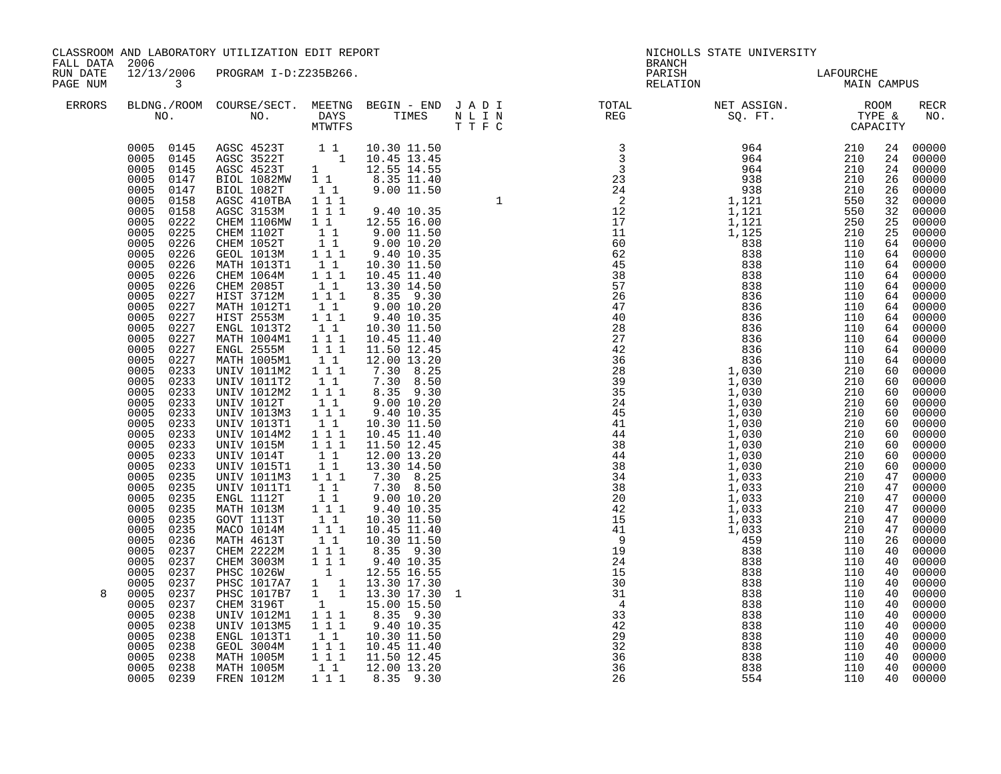| CLASSROOM AND LABORATORY UTILIZATION EDIT REPORT<br>FALL DATA<br>2006<br>12/13/2006 PROGRAM I-D:Z235B266. |                                                                                                                                                                                                                                                                                                                                                                                                                                                                                                                                                                                                                                                                                                                                                                 |                                                                                                                                                                                                                                                                                                                                                                                                                                                                                                                                                                                             |                                                                                                                                                                                                                                                                                                                                                                                                                                                                                                                                                                                           |  | NICHOLLS STATE UNIVERSITY<br><b>BRANCH</b><br>PARISH                                                                                                                                                                                                                                                                                                                                                                                           |                          |  |  |
|-----------------------------------------------------------------------------------------------------------|-----------------------------------------------------------------------------------------------------------------------------------------------------------------------------------------------------------------------------------------------------------------------------------------------------------------------------------------------------------------------------------------------------------------------------------------------------------------------------------------------------------------------------------------------------------------------------------------------------------------------------------------------------------------------------------------------------------------------------------------------------------------|---------------------------------------------------------------------------------------------------------------------------------------------------------------------------------------------------------------------------------------------------------------------------------------------------------------------------------------------------------------------------------------------------------------------------------------------------------------------------------------------------------------------------------------------------------------------------------------------|-------------------------------------------------------------------------------------------------------------------------------------------------------------------------------------------------------------------------------------------------------------------------------------------------------------------------------------------------------------------------------------------------------------------------------------------------------------------------------------------------------------------------------------------------------------------------------------------|--|------------------------------------------------------------------------------------------------------------------------------------------------------------------------------------------------------------------------------------------------------------------------------------------------------------------------------------------------------------------------------------------------------------------------------------------------|--------------------------|--|--|
| RUN DATE<br>PAGE NUM<br>ERRORS                                                                            | $\overline{\mathbf{3}}$                                                                                                                                                                                                                                                                                                                                                                                                                                                                                                                                                                                                                                                                                                                                         |                                                                                                                                                                                                                                                                                                                                                                                                                                                                                                                                                                                             |                                                                                                                                                                                                                                                                                                                                                                                                                                                                                                                                                                                           |  | RELATION                                                                                                                                                                                                                                                                                                                                                                                                                                       | LAFOURCHE<br>MAIN CAMPUS |  |  |
|                                                                                                           |                                                                                                                                                                                                                                                                                                                                                                                                                                                                                                                                                                                                                                                                                                                                                                 |                                                                                                                                                                                                                                                                                                                                                                                                                                                                                                                                                                                             |                                                                                                                                                                                                                                                                                                                                                                                                                                                                                                                                                                                           |  | $\begin{tabular}{lllllllllllllllllllll} \textsc{BLONG.} \textsc{F100M.} & \textsc{COURSE/SECT.} & \textsc{METNG.} & \textsc{BEGIN - END.} & \textsc{J A D I} & \textsc{DTATM E} & \textsc{NET ASSIGN.} & \textsc{ROOM} \\ \textsc{NO.} & \textsc{NO.} & \textsc{DAYS} & \textsc{TIMES} & \textsc{N L I N} & \textsc{REG} & \textsc{SEG} & \textsc{ST.} & \textsc{STF.} & \textsc{CTPACITY} \\ & \textsc{MTVTFS} & \textsc{T T F C} & \textsc{$ |                          |  |  |
| 8                                                                                                         | $0005$<br>$0005$<br>0158<br>0158<br>0005<br>0222<br>0005<br>0225<br>0005<br>0226<br>0005<br>0226<br>0226<br>0005<br>0005<br>0226<br>0005<br>0226<br>0005<br>0227<br>0005<br>0227<br>0005<br>0227<br>0005<br>0005<br>0227<br>0227<br>0005<br>0227<br>0005<br>0227<br>0005<br>0233<br>0005<br>0233<br>0005<br>0233<br>0005<br>0233<br>0005<br>0233<br>0005<br>0233<br>0005<br>0233<br>0005<br>0233<br>0005<br>0233<br>0005<br>0233<br>0005<br>0235<br>0005<br>0235<br>0005<br>0235<br>0005<br>0235<br>0235<br>0005<br>0005<br>0235<br>0005<br>0236<br>0005<br>0237<br>0005<br>0237<br>0005<br>0237<br>0005<br>0237<br>0005<br>0237<br>0005<br>0237<br>0005<br>0238<br>0005<br>0238<br>0005<br>0238<br>0005<br>0238<br>0005<br>0238<br>0005<br>0238<br>$0005$ 0239 | BIOL 1082T<br>AGSC 410TBA<br>AGSC 3153M<br>CHEM 1102T<br>CHEM 1052T<br>GEOL 1013M<br>MATH 1013T1<br>CHEM 1064M<br>CHEM 2085T<br>HIST 3712M<br>MATH 1012T1<br>HIST 2553M<br>ENGL 1013T2<br>MATH 1004M1<br>ENGL 2555M<br>MATH 1005M1<br>UNIV 1011M2<br><b>UNIV 1011T2</b><br>UNIV 1012M2<br>UNIV 1012T<br>UNIV 1013M3<br>UNIV 1013T1<br>UNIV 1014M2<br><b>UNIV 1015M</b><br>UNIV 1014T<br><b>UNIV 1015T1</b><br>UNIV 1011M3<br>UNIV 1011T1<br>ENGL 1112T<br>MATH 1013M<br>GOVT 1113T<br>MACO 1014M<br>MATH 4613T<br>CHEM 2222M<br>GEOL 3004M<br>MATH 1005M<br>MATH 1005M<br><b>FREN 1012M</b> | $\begin{tabular}{cccc} 0.005 & 0.145 & AGSC & 4523T & 1 & 10.30 & 11.50 \\ 0.005 & 0.145 & AGSC & 3522T & 1 & 10.45 & 13.45 \\ 0.005 & 0.145 & AGSC & 4523T & 1 & 12.55 & 14.55 \\ 0.005 & 0.147 & BIOL & 1082MW & 1 & 8.35 & 11.40 \\ 0.005 & 0.147 & BIOL & 1082T & 1 & 9.00 & 11.50 \\ \end{tabular}$<br>CHEM 1106MW 1 1 12.55 16.00<br>CHEM 2222M 111 8.35 9.30<br>CHEM 3003M 111 9.40 10.35<br>PHSC 1026W 1 12.55 16.55<br>PHSC 1017A7 1 13.30 17.30<br>PHSC 1017B7 1 13.30 17.30 1<br>CHEM 3196T 1 15.00 15.50<br>UNIV 1012M1 111 8.35 9.30<br>UNIV 1013M5 111 9.40 10.35<br>ENGL 1 |  |                                                                                                                                                                                                                                                                                                                                                                                                                                                |                          |  |  |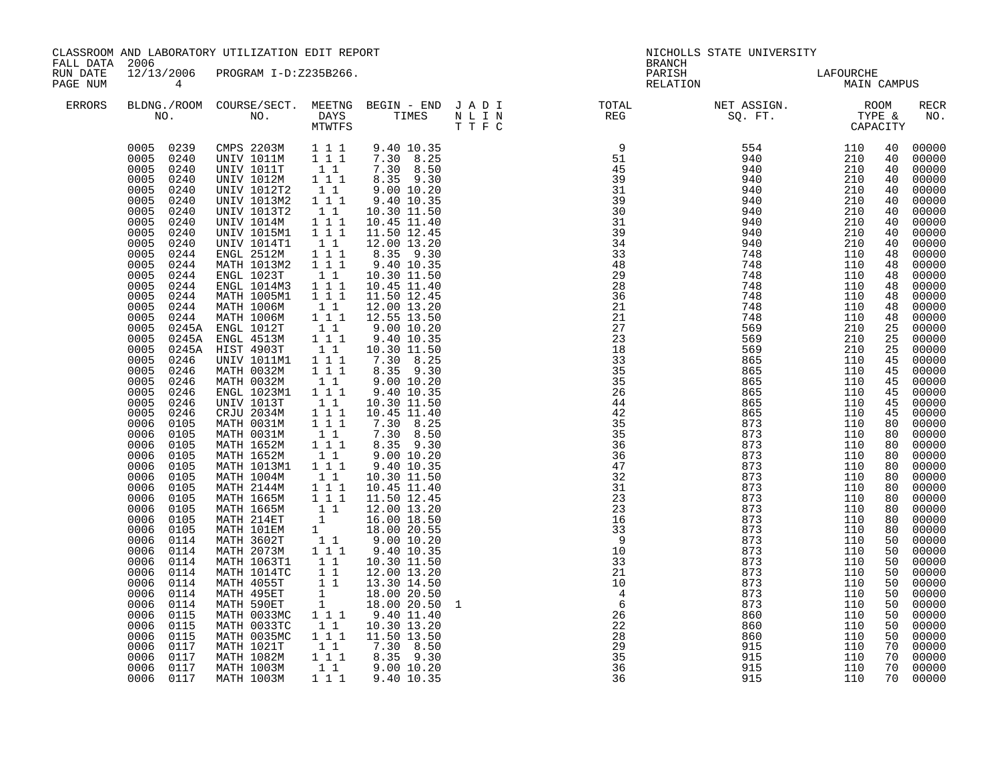| FALL DATA<br>RUN DATE | 2006<br>$\overline{4}$                                                                                                                                                                                                                                                                                                                                                                                                                                                                                                                                                                                                                                                                                                                                                                               | CLASSROOM AND LABORATORY UTILIZATION EDIT REPORT<br>12/13/2006 PROGRAM I-D:Z235B266.                                                                                                                                                                                                                                                                                                                                                                                                                                                                                                                                                                                                                                                                                                                    |                                                                                                                                                                                                                                                                                                                                                                                                                                                                                                                                                                                                                                                                                                                                                                                                                                                                                                                                                                                                                                                                   |                                                                                                                                                                                                                                                                                                                                                                                                                                                                                                                                                                                                                                                                                                                                                                                                  |             | <b>BRANCH</b><br>PARISH                                                                                                                                                                                                                                                                                                                                                                                                                                                                                                                                                | NICHOLLS STATE UNIVERSITY                                                                                                                                                                                                                                                                                                                          |                   | LAFOURCHE<br>MAIN CAMPUS                                                                                                                                                                                                                                                                     |                                                                                                                                                                                                                                                                                                                                                                                                                                                                                                                   |  |
|-----------------------|------------------------------------------------------------------------------------------------------------------------------------------------------------------------------------------------------------------------------------------------------------------------------------------------------------------------------------------------------------------------------------------------------------------------------------------------------------------------------------------------------------------------------------------------------------------------------------------------------------------------------------------------------------------------------------------------------------------------------------------------------------------------------------------------------|---------------------------------------------------------------------------------------------------------------------------------------------------------------------------------------------------------------------------------------------------------------------------------------------------------------------------------------------------------------------------------------------------------------------------------------------------------------------------------------------------------------------------------------------------------------------------------------------------------------------------------------------------------------------------------------------------------------------------------------------------------------------------------------------------------|-------------------------------------------------------------------------------------------------------------------------------------------------------------------------------------------------------------------------------------------------------------------------------------------------------------------------------------------------------------------------------------------------------------------------------------------------------------------------------------------------------------------------------------------------------------------------------------------------------------------------------------------------------------------------------------------------------------------------------------------------------------------------------------------------------------------------------------------------------------------------------------------------------------------------------------------------------------------------------------------------------------------------------------------------------------------|--------------------------------------------------------------------------------------------------------------------------------------------------------------------------------------------------------------------------------------------------------------------------------------------------------------------------------------------------------------------------------------------------------------------------------------------------------------------------------------------------------------------------------------------------------------------------------------------------------------------------------------------------------------------------------------------------------------------------------------------------------------------------------------------------|-------------|------------------------------------------------------------------------------------------------------------------------------------------------------------------------------------------------------------------------------------------------------------------------------------------------------------------------------------------------------------------------------------------------------------------------------------------------------------------------------------------------------------------------------------------------------------------------|----------------------------------------------------------------------------------------------------------------------------------------------------------------------------------------------------------------------------------------------------------------------------------------------------------------------------------------------------|-------------------|----------------------------------------------------------------------------------------------------------------------------------------------------------------------------------------------------------------------------------------------------------------------------------------------|-------------------------------------------------------------------------------------------------------------------------------------------------------------------------------------------------------------------------------------------------------------------------------------------------------------------------------------------------------------------------------------------------------------------------------------------------------------------------------------------------------------------|--|
| PAGE NUM<br>ERRORS    |                                                                                                                                                                                                                                                                                                                                                                                                                                                                                                                                                                                                                                                                                                                                                                                                      |                                                                                                                                                                                                                                                                                                                                                                                                                                                                                                                                                                                                                                                                                                                                                                                                         |                                                                                                                                                                                                                                                                                                                                                                                                                                                                                                                                                                                                                                                                                                                                                                                                                                                                                                                                                                                                                                                                   | T T F C                                                                                                                                                                                                                                                                                                                                                                                                                                                                                                                                                                                                                                                                                                                                                                                          |             | RELATION<br>BLDNG./ROOM COURSE/SECT. MEETNG BEGIN – END JADI TOTAL NET ASSIGN. NET ASSIGN. ROOM NO. DAYS TIMES NLIN REG SQ.FT. TYPE &                                                                                                                                                                                                                                                                                                                                                                                                                                  |                                                                                                                                                                                                                                                                                                                                                    |                   |                                                                                                                                                                                                                                                                                              | RECR<br>NO.                                                                                                                                                                                                                                                                                                                                                                                                                                                                                                       |  |
|                       | 0005 0240<br>0005<br>0240<br>0005<br>0240<br>0005<br>0240<br>0005<br>0240<br>0005<br>0240<br>0005<br>0240<br>0005<br>0240<br>0005<br>0240<br>0005<br>0244<br>0005<br>0244<br>0005<br>0244<br>0005<br>0244<br>0005<br>0244<br>0005<br>0244<br>0005<br>0244<br>0005<br>0005<br>0005<br>0245A<br>0005<br>0246<br>0005<br>0246<br>0005<br>0246<br>0005<br>0246<br>0005<br>0246<br>0005<br>0246<br>0006<br>0105<br>0006<br>0105<br>0006<br>0105<br>0006<br>0105<br>0006<br>0105<br>0006<br>0105<br>0006<br>0105<br>0006 0105<br>0006<br>0105<br>0006<br>0105<br>0006<br>0105<br>0006<br>0114<br>0006<br>0114<br>0006<br>0114<br>0006<br>0114<br>0006<br>0114<br>0006<br>0114<br>0006<br>0114<br>0006<br>0115<br>0006<br>0115<br>0006<br>0115<br>0006<br>0117<br>0006<br>0117<br>0006<br>0117<br>0006 0117 | 0005 0239 CMPS 2203M 1 1 1<br>UNIV 1011M<br>UNIV 1011T<br>UNIV 1012M<br>UNIV 1012T2<br>UNIV 1013M2<br>UNIV 1013T2<br>UNIV 1014M<br><b>UNIV 1015M1</b><br>UNIV 1014T1<br>ENGL 2512M<br>MATH 1013M2<br>ENGL 1023T<br>ENGL 1014M3<br>MATH 1005M1<br>MATH 1006M<br>MATH 1006M<br>0245A ENGL 1012T<br>0245A ENGL 4513M<br>HIST 4903T<br><b>UNIV 1011M1</b><br>MATH 0032M<br>MATH 0032M<br>ENGL 1023M1<br><b>UNIV 1013T</b><br>CRJU 2034M<br>MATH 0031M<br>MATH 0031M<br>MATH 1652M<br>MATH 1652M<br>MATH 1013M1<br>MATH 1004M<br>MATH 2144M<br>MATH 1665M<br>MATH 1665M<br>MATH 214ET<br>MATH 101EM<br>MATH 3602T<br>MATH 2073M<br>MATH 1063T1<br>MATH 1014TC<br>MATH 4055T<br>MATH 495ET<br>MATH 590ET<br>MATH 0033MC<br>MATH 0033TC<br>MATH 0035MC<br>MATH 1021T<br>MATH 1082M<br>MATH 1003M<br>MATH 1003M | $\begin{array}{rrrr} & \bar{1} & \bar{1} & \bar{1} \\ & & 1 & 1 \end{array}$<br>111<br>$1\quad1$<br>$1 1 1$<br>$\begin{bmatrix} 1 \\ 1 \end{bmatrix}$<br>1 1 1<br>$\frac{1}{1}$ $\frac{1}{1}$ $\frac{1}{1}$<br>$1\quad1$<br>$\begin{smallmatrix}&&1\\1&1&1\\1&1&1\end{smallmatrix}$<br>$\begin{array}{rrrr} & 1 & 1 \\ & 1 & 1 \\ & 1 & 1 \\ & & 1 & 1 \end{array}$<br>$1\quad1$<br>$1 1 1$<br>$1\quad1$<br>$\begin{array}{c} 1 \\ 1 \\ 1 \end{array}$<br>$\begin{array}{rrrr} & 1 & 1 \\ & 1 & 1 \\ & & 1 & 1 \end{array}$<br>$\begin{smallmatrix}1&1\\1&1&1\end{smallmatrix}$<br>$1\;1$<br>$\begin{smallmatrix}&&1\\1&1&1\\1&1&1\end{smallmatrix}$<br>$1\quad1$<br>$\begin{array}{c} 1 \\ 1 \end{array}$<br>11<br>$1 1 1$<br>$1\quad1$<br>$1 1 1$<br>$1\overline{1}$ $1\overline{1}$<br>$\begin{bmatrix} 1 & 1 \\ 1 & 1 \\ 1 & \\ 1 & 1 \\ 1 & 1 \end{bmatrix}$<br>$1\quad1$<br>$\begin{array}{cccc}\n & 1 & 1 \\  & 1 & 1 \\  & 1 & 1 \\  & & 1 \\  & & 1\n\end{array}$<br>$1 1 1$<br>$1\quad1$<br>$\begin{bmatrix} 1 & 1 \\ 1 & 1 \end{bmatrix}$<br>$1\quad1$ | 9.40 10.35<br>7.30 8.25<br>7.30 8.50<br>8.35 9.30<br>9.0010.20<br>9.40 10.35<br>10.30 11.50<br>10.45 11.40<br>11.50 12.45<br>12.00 13.20<br>8.35 9.30<br>9.40 10.35<br>10.30 11.50<br>10.45 11.40<br>11.50 12.45<br>12.00 13.20<br>12.55 13.50<br>9.0010.20<br>9.40 10.35<br>10.30 11.50<br>$7.30$ 8.25<br>8.35 9.30<br>9.00 10.20<br>9.40 10.35<br>10.30 11.50<br>10.45 11.40<br>7.30 8.25<br>7.30 8.50<br>$8.35$ 9.30<br>9.0010.20<br>9.40 10.35<br>10.30 11.50<br>10.45 11.40<br>11.50 12.45<br>12.00 13.20<br>16.00 18.50<br>18.00 20.55<br>9.00 10.20<br>9.40 10.35<br>10.30 11.50<br>12.00 13.20<br>13.30 14.50<br>18.00 20.50<br>18.00 20.50<br>9.40 11.40<br>10.30 13.20<br>$1\overline{1}$ 1 $1\overline{1}$ 11.50 13.50<br>7.30 8.50<br>8.35 9.30<br>$9.00\ 10.20$<br>1 1 1 9.40 10.35 | $\mathbf 1$ | $\begin{array}{c} 51 \\ 45 \\ 39 \end{array}$<br>31<br>39<br>$\overline{30}$<br>31<br>39<br>34<br>33<br>48<br>29<br>28<br>36<br>21<br>21<br>27<br>23<br>18<br>$\begin{array}{c} 33 \\ 35 \end{array}$<br>$\overline{35}$<br>26<br>$\frac{44}{42}$<br>$\overline{35}$<br>35<br>$\frac{2}{36}$<br>36<br>47<br>32<br>31<br>$\frac{2}{3}$<br>23<br>16<br>33<br>$\overline{9}$<br>10<br>33<br>21<br>$\overline{10}$<br>$\overline{4}$<br>$6\overline{6}$<br>26<br>$\overline{2}\overline{2}$<br>$\frac{1}{28}$<br>$\begin{array}{c} 29 \\ 29 \\ 35 \end{array}$<br>36<br>36 | $\begin{array}{cccc} \text{SQ}, & \text{FT}, & \text{TYPE}, & \text{CAPAC} \\ \text{5-54} & 110 & 100 \\ 940 & 210 & 210 \\ 940 & 210 & 210 \\ 940 & 210 & 210 \\ 940 & 210 & 210 \\ 940 & 210 & 210 \\ 940 & 210 & 210 \\ 940 & 210 & 210 \\ 940 & 210 & 210 \\ 940 & 210 & 210 \\ 940 & 210 & 210 \\ 940 & 210 & 210 \\ 94$<br>915<br>915<br>915 | 110<br>110<br>110 | 40<br>40<br>40<br>40<br>40<br>40<br>40<br>40<br>40<br>40<br>48<br>48<br>48<br>48<br>48<br>48<br>48<br>25<br>25<br>25<br>45<br>45<br>45<br>45<br>45<br>80<br>80<br>80<br>80<br>80<br>80<br>80<br>80<br>80<br>80<br>80<br>50<br>50<br>50<br>50<br>50<br>50<br>50<br>50<br>70<br>70<br>70<br>70 | 00000<br>00000<br>00000<br>00000<br>00000<br>00000<br>00000<br>00000<br>00000<br>00000<br>00000<br>00000<br>00000<br>00000<br>00000<br>$00000$<br>00000<br>00000<br>00000<br>00000<br>00000<br>00000<br>00000<br>00000<br>45 00000<br>00000<br>00000<br>00000<br>00000<br>00000<br>00000<br>00000<br>$00000$<br>$00000$<br>00000<br>00000<br>00000<br>00000<br>00000<br>00000<br>00000<br>00000<br>00000<br>00000<br>$\begin{bmatrix} 50 & 00000 \\ 50 & 00000 \end{bmatrix}$<br>00000<br>00000<br>00000<br>00000 |  |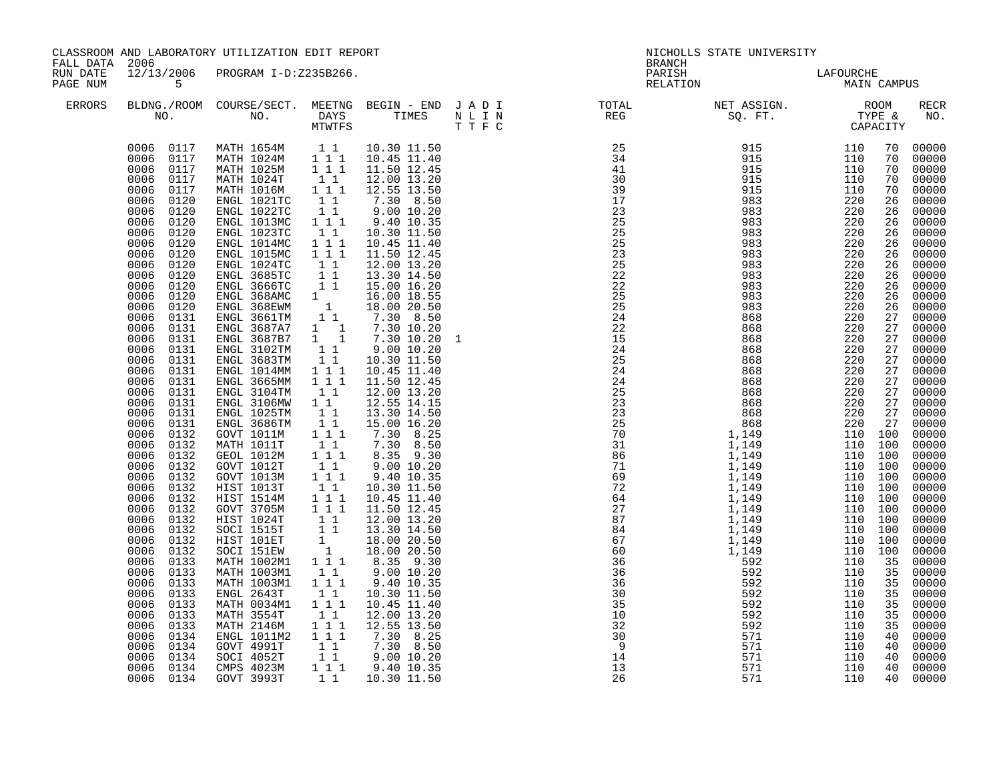|                                                  |                                                                                                                                                                                                                                                                                                                                                                                                                                                                                                                                                                                                                                                                                                                                                     | CLASSROOM AND LABORATORY UTILIZATION EDIT REPORT                                                                                                                                                                                                                                                                                                                                                                                                                                                                                                                                                                                                                                                                                                                                                                                                                                                 |                                                                                                                                                                                                                                                                                                                                                                                                                                                                                                                                                                                                                                                                                                                                                                                                          |                                                                                                                                                                                                                                                                                                                                                                                                                                                                                                                                                                                                                     |   | <b>BRANCH</b>      | NICHOLLS STATE UNIVERSITY                                                                                                                                                                                                                                                                                                                                                                                      |                                                                                                                                                                                    |                                                                                                                                                                      |                                                                                                                                                                                                                                                                                                                                                                                                                                                                                                                                    |
|--------------------------------------------------|-----------------------------------------------------------------------------------------------------------------------------------------------------------------------------------------------------------------------------------------------------------------------------------------------------------------------------------------------------------------------------------------------------------------------------------------------------------------------------------------------------------------------------------------------------------------------------------------------------------------------------------------------------------------------------------------------------------------------------------------------------|--------------------------------------------------------------------------------------------------------------------------------------------------------------------------------------------------------------------------------------------------------------------------------------------------------------------------------------------------------------------------------------------------------------------------------------------------------------------------------------------------------------------------------------------------------------------------------------------------------------------------------------------------------------------------------------------------------------------------------------------------------------------------------------------------------------------------------------------------------------------------------------------------|----------------------------------------------------------------------------------------------------------------------------------------------------------------------------------------------------------------------------------------------------------------------------------------------------------------------------------------------------------------------------------------------------------------------------------------------------------------------------------------------------------------------------------------------------------------------------------------------------------------------------------------------------------------------------------------------------------------------------------------------------------------------------------------------------------|---------------------------------------------------------------------------------------------------------------------------------------------------------------------------------------------------------------------------------------------------------------------------------------------------------------------------------------------------------------------------------------------------------------------------------------------------------------------------------------------------------------------------------------------------------------------------------------------------------------------|---|--------------------|----------------------------------------------------------------------------------------------------------------------------------------------------------------------------------------------------------------------------------------------------------------------------------------------------------------------------------------------------------------------------------------------------------------|------------------------------------------------------------------------------------------------------------------------------------------------------------------------------------|----------------------------------------------------------------------------------------------------------------------------------------------------------------------|------------------------------------------------------------------------------------------------------------------------------------------------------------------------------------------------------------------------------------------------------------------------------------------------------------------------------------------------------------------------------------------------------------------------------------------------------------------------------------------------------------------------------------|
| FALL DATA 2006<br>RUN DATE<br>PAGE NUM<br>ERRORS | 12/13/2006<br>5 <sup>1</sup>                                                                                                                                                                                                                                                                                                                                                                                                                                                                                                                                                                                                                                                                                                                        | PROGRAM I-D:Z235B266.                                                                                                                                                                                                                                                                                                                                                                                                                                                                                                                                                                                                                                                                                                                                                                                                                                                                            |                                                                                                                                                                                                                                                                                                                                                                                                                                                                                                                                                                                                                                                                                                                                                                                                          |                                                                                                                                                                                                                                                                                                                                                                                                                                                                                                                                                                                                                     |   | PARISH<br>RELATION | LAFOURCHE<br>MAIN CAMPUS                                                                                                                                                                                                                                                                                                                                                                                       |                                                                                                                                                                                    |                                                                                                                                                                      |                                                                                                                                                                                                                                                                                                                                                                                                                                                                                                                                    |
|                                                  |                                                                                                                                                                                                                                                                                                                                                                                                                                                                                                                                                                                                                                                                                                                                                     | NO. NO. DAYS TIMES NLIN<br>MTWTFS TTFC                                                                                                                                                                                                                                                                                                                                                                                                                                                                                                                                                                                                                                                                                                                                                                                                                                                           |                                                                                                                                                                                                                                                                                                                                                                                                                                                                                                                                                                                                                                                                                                                                                                                                          |                                                                                                                                                                                                                                                                                                                                                                                                                                                                                                                                                                                                                     |   |                    | $\begin{tabular}{lllllllllllllllllllll} \textsc{BLONG.} \textsc{F1} & \textsc{R1} & \textsc{R2} & \textsc{R3} & \textsc{R4} & \textsc{R5} & \textsc{R5} & \textsc{R6} & \textsc{R6} & \textsc{R6} & \textsc{R6} & \textsc{R6} & \textsc{R6} & \textsc{R6} & \textsc{R6} & \textsc{R6} & \textsc{R6} & \textsc{R6} & \textsc{R6} & \textsc{R6} & \textsc{R6} & \textsc{R6} & \textsc{R6} & \textsc{R6} & \text$ |                                                                                                                                                                                    |                                                                                                                                                                      | RECR<br>NO.                                                                                                                                                                                                                                                                                                                                                                                                                                                                                                                        |
|                                                  | 0006<br>0117<br>0006<br>0117<br>0006<br>0120<br>0006<br>0120<br>0006<br>0120<br>0006<br>0120<br>0006<br>0120<br>0006 0120<br>0006<br>0120<br>0006 0120<br>0006 0120<br>0006 0120<br>0006<br>0120<br>0006<br>0131<br>0006 0131<br>$0006$ $0131$<br>0006<br>0131<br>0006<br>0131<br>0006<br>0131<br>0006<br>0131<br>0006<br>0131<br>0006<br>0131<br>0006<br>0131<br>0006 0131<br>0006 0132<br>0006<br>0132<br>0006 0132<br>0006 0132<br>0006 0132<br>0006<br>0132<br>0006 0132<br>0006<br>0132<br>0006<br>0132<br>0006<br>0132<br>0006<br>0132<br>0132<br>0006<br>0006<br>0133<br>0006<br>0133<br>0006<br>0133<br>0006<br>0133<br>0006<br>0133<br>0006<br>0133<br>0006<br>0133<br>0006<br>0134<br>0006<br>0134<br>0006 0134<br>0006 0134<br>0006 0134 | 0006 0117 MATH 1654M 1 1<br>0006 0117 MATH 1024M 1 1 1<br>0006 0117 MATH 1025M 1 1 1<br>MATH 1024T<br>MATH 1016M<br>ENGL 1021TC<br>ENGL 1022TC<br>ENGL 1013MC<br>ENGL 1023TC<br>ENGL 1014MC<br>ENGL 1015MC<br>ENGL 1024TC<br>3L 1<br>(GL 3685TC<br>NGL 3666TC 1 1<br>NGL 3666TC 1 1<br>ENGL 368EWM 1 18.00 20.50<br>ENGL 3661TM 1 7.30 8.50<br>ENGL 3687A7 1 1 7.30 10.20<br>ENGL 3687B7 1 1 7.30 10.20<br>ENGL 3687B7 1 1 7.30 10.20<br>ENGL 3102TM 1 1 9.00 10.20<br>2683TM 1<br>ENGL 3104TM<br>ENGL 3106MW<br>ENGL 1025TM<br>ENGL 3686TM<br>GOVT 1011M<br>MATH 1011T<br>GEOL 1012M<br>GOVT 1012T<br>GOVT 1013M<br>HIST 1013T<br>HIST 1514M<br>GOVT 3705M<br>HIST 1024T<br>SOCI 1515T<br>HIST 101ET<br>SOCI 151EW<br>MATH 1002M1<br>MATH 1003M1<br>MATH 1003M1<br>ENGL 2643T<br>MATH 0034M1<br>MATH 3554T<br>MATH 2146M<br>ENGL 1011M2<br>GOVT 4991T<br>SOCI 4052T<br>CMPS 4023M<br>GOVT 3993T | $1\quad1$<br>$1 1 1$<br>$1\overline{1}$<br>$\begin{array}{rr}\n\overline{1} & \overline{1} \\ 1 & 1 & 1\n\end{array}$<br>$\begin{bmatrix} 1 & 1 \\ 1 & 1 \\ 1 & 1 \end{bmatrix}$<br>$1 1 1$<br>$\begin{bmatrix} 1 & 1 \\ 1 & 1 \\ 1 & 1 \\ 1 & 1 \end{bmatrix}$<br>$\begin{bmatrix} 1 \\ 1 \end{bmatrix}$<br>11<br>$\begin{bmatrix} 1 \\ 1 \\ 1 \end{bmatrix}$<br>$1 1 1$<br>$1\quad1$<br>$\begin{bmatrix} 1\\ 1\\ 1 \end{bmatrix}$<br>$1 1 1$<br>$\begin{bmatrix} 1 & 1 \end{bmatrix}$<br>$\begin{array}{rrrr} & 1 & 1 \\ & 1 & 1 & 1 \end{array}$<br>$\begin{array}{cccc}\n & 1 & 1 \\  & 1 & 1 \\  & & 1 & 1 \\  & & & 1 \\  & & & 1 \\  & & & 1\n\end{array}$<br>11<br>$1 1 1$<br>$1\quad1$<br>$1 1 1$<br>$1\quad1$<br>$1 1 1$<br>$1 1 1$<br>$\begin{bmatrix} 1 & 1 \\ 1 & 1 \\ 1 & 1 \end{bmatrix}$ | 10.30 11.50<br>10.45 11.40<br>11.50 12.45<br>12.00 13.20<br>12.55 13.50<br>$7.30$ 8.50<br>9.00 10.20<br>9.40 10.35<br>10.30 11.50<br>10.45 11.40<br>11.50 12.45<br>12.00 13.20<br>12.00 13.20<br>12.55 14.15<br>13.30 14.50<br>15.00 16.20<br>$7.30$ $8.25$<br>$7.30$ $8.50$<br>8.35 9.30<br>9.00 10.20<br>9.40 10.35<br>10.30 11.50<br>10.45 11.40<br>11.50 12.45<br>12.00 13.20<br>13.30 14.50<br>18.00 20.50<br>18.00 20.50<br>8.35 9.30<br>9.0010.20<br>9.40 10.35<br>10.30 11.50<br>10.45 11.40<br>12.00 13.20<br>12.55 13.50<br>$7.30$ 8.25<br>$7.30$ 8.50<br>$9.00$ 10.20<br>$9.40$ 10.35<br>1 1 10.30 11.50 | 1 | 13<br>26           | 592<br>592<br>592<br>571<br>571<br>571<br>571<br>571                                                                                                                                                                                                                                                                                                                                                           | 220 27<br>110 100<br>110 100<br>110 100<br>110 100<br>110 100<br>110 100<br>110 100<br>110 100<br>110 100<br>110 100<br>110 100<br>$\overline{110}$ $\overline{100}$<br>110<br>110 | 70<br>70<br>26<br>26<br>26<br>26<br>26<br>26<br>26<br>26<br>26<br>27<br>27<br>27<br>27<br>27<br>35<br>35<br>35<br>35<br>35<br>35<br>35<br>40<br>40<br>40<br>40<br>40 | 70 00000<br>70 00000<br>70 00000<br>00000<br>00000<br>00000<br>00000<br>00000<br>00000<br>00000<br>00000<br>00000<br>20<br>26 00000<br>26 00000<br>00000<br>00000<br>00000<br>00000<br>00000<br>27 00000<br>$\frac{27}{27}$ 00000<br>27 00000<br>00000<br>27 00000<br>27 00000<br>00000<br>00000<br>00000<br>$00000$<br>$00000$<br>00000<br>00000<br>$00000$<br>$00000$<br>00000<br>00000<br>00000<br>00000<br>00000<br>00000<br>00000<br>00000<br>00000<br>00000<br>00000<br>$00000$<br>00000<br>00000<br>00000<br>00000<br>00000 |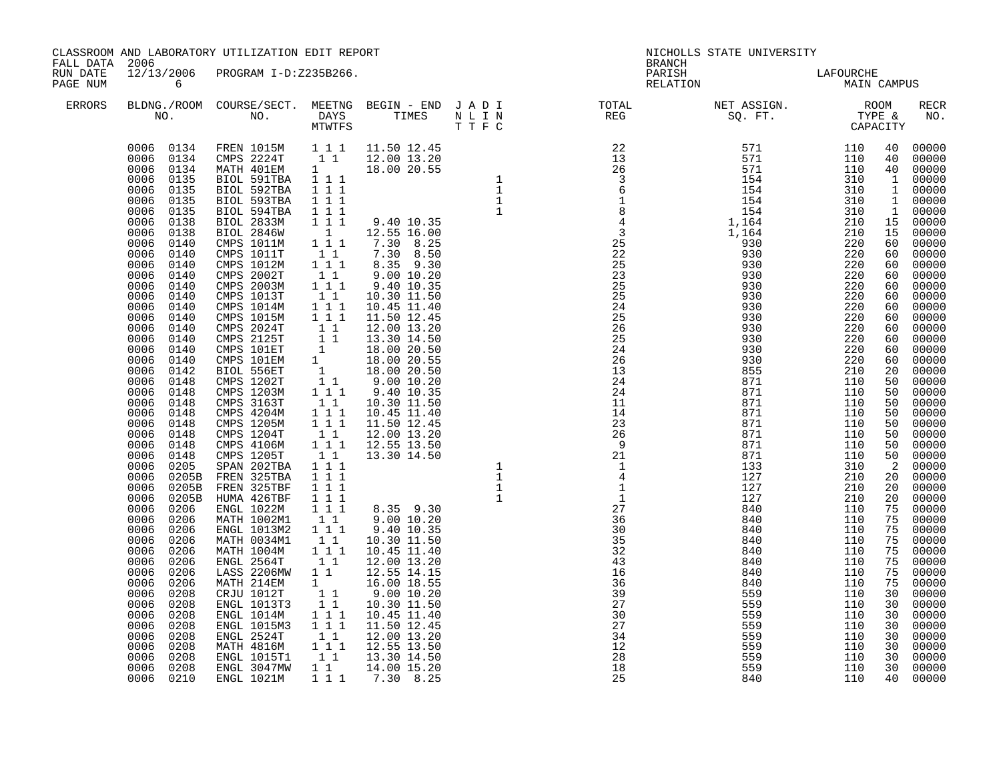|                                                  |                                                                                        | CLASSROOM AND LABORATORY UTILIZATION EDIT REPORT                                                  |                                                                         |                                                                                                                                                                                           |                                  |                                                                                                                                                                                                                                                                                                                                                                                                                                                            |                                        |          |                                                                |
|--------------------------------------------------|----------------------------------------------------------------------------------------|---------------------------------------------------------------------------------------------------|-------------------------------------------------------------------------|-------------------------------------------------------------------------------------------------------------------------------------------------------------------------------------------|----------------------------------|------------------------------------------------------------------------------------------------------------------------------------------------------------------------------------------------------------------------------------------------------------------------------------------------------------------------------------------------------------------------------------------------------------------------------------------------------------|----------------------------------------|----------|----------------------------------------------------------------|
| FALL DATA 2006<br>RUN DATE<br>PAGE NUM<br>ERRORS |                                                                                        |                                                                                                   |                                                                         |                                                                                                                                                                                           |                                  |                                                                                                                                                                                                                                                                                                                                                                                                                                                            |                                        |          |                                                                |
|                                                  |                                                                                        |                                                                                                   |                                                                         |                                                                                                                                                                                           |                                  |                                                                                                                                                                                                                                                                                                                                                                                                                                                            |                                        |          |                                                                |
|                                                  | 0006<br>0208<br>0006<br>0208<br>0006<br>0208<br>0006<br>0208<br>0006 0208<br>0006 0210 | ENGL 1014M<br>ENGL 1015M3<br>ENGL 2524T<br>MATH 4816M<br>ENGL 1015T1<br>ENGL 3047MW<br>ENGL 1021M | $\begin{array}{rrrr} & 1 & 1 \\ & 1 & 1 \\ & & 1 & 1 \end{array}$<br>11 | $11.50$ $12.45$<br>12.00 13.20<br>$1\ \overline{1}$ 1 $12.55\ \overline{1}$ 3.50<br>1 1 1 3.30 14.50<br>$\begin{array}{ccc} 1 & 1 & 14.00 & 15.20 \\ 1 & 1 & 1 & 7.30 & 8.25 \end{array}$ | 27<br>34<br>12<br>28<br>18<br>25 | $\begin{array}{cccccccccccc} \frac{1}{2} & \frac{1}{2} & \frac{1}{2} & \frac{1}{2} & \frac{1}{2} & \frac{1}{2} & \frac{1}{2} & \frac{1}{2} & \frac{1}{2} & \frac{1}{2} & \frac{1}{2} & \frac{1}{2} & \frac{1}{2} & \frac{1}{2} & \frac{1}{2} & \frac{1}{2} & \frac{1}{2} & \frac{1}{2} & \frac{1}{2} & \frac{1}{2} & \frac{1}{2} & \frac{1}{2} & \frac{1}{2} & \frac{1}{2} & \frac{1}{2} & \frac{1}{2} & \frac{$<br>559<br>559<br>559<br>559<br>559<br>840 | 110<br>110<br>110<br>110<br>110<br>110 | 30<br>30 | 30 00000<br>30 00000<br>30 00000<br>00000<br>00000<br>40 00000 |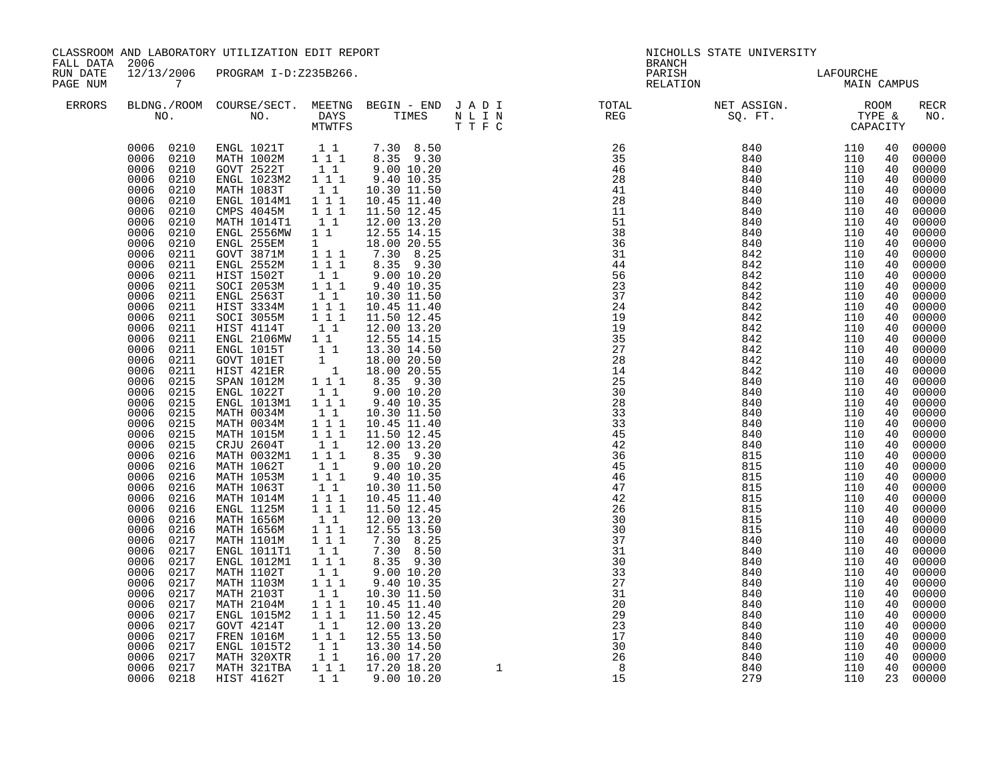| FALL DATA            | 2006                                                                                                                                                                                                                                                                                                                                                                                                                                                                                                                                                                                                                                                                                                                                                                                | CLASSROOM AND LABORATORY UTILIZATION EDIT REPORT                                                                                                                                                                                                                                                                                                                                                                                                                                                                                                                                                                                                                                                                                                                                                                                                                                                                      |                                                                                                                                                                                                                                                                                                                                                                                                                                                                                                                                                                                                                                                                                                                                                                                         |                                                                                                                                                                                                                                                                                                                                                                                                                                                                                                                                                                                                                                               |                                    | NICHOLLS STATE UNIVERSITY<br><b>BRANCH</b><br>PARISH<br>LAFOURCHE                                                                                                                                                                                                                                                                                           |                                                                                                                                                                                                                                                                                                                                                                                           |                                                                                                                                                                                                                                                                                                                                                                                                  |                                                                                                                                                                                                                                                                                                    |                                                                                                                                                                                                                                                                                                                                                                                                                                                                         |
|----------------------|-------------------------------------------------------------------------------------------------------------------------------------------------------------------------------------------------------------------------------------------------------------------------------------------------------------------------------------------------------------------------------------------------------------------------------------------------------------------------------------------------------------------------------------------------------------------------------------------------------------------------------------------------------------------------------------------------------------------------------------------------------------------------------------|-----------------------------------------------------------------------------------------------------------------------------------------------------------------------------------------------------------------------------------------------------------------------------------------------------------------------------------------------------------------------------------------------------------------------------------------------------------------------------------------------------------------------------------------------------------------------------------------------------------------------------------------------------------------------------------------------------------------------------------------------------------------------------------------------------------------------------------------------------------------------------------------------------------------------|-----------------------------------------------------------------------------------------------------------------------------------------------------------------------------------------------------------------------------------------------------------------------------------------------------------------------------------------------------------------------------------------------------------------------------------------------------------------------------------------------------------------------------------------------------------------------------------------------------------------------------------------------------------------------------------------------------------------------------------------------------------------------------------------|-----------------------------------------------------------------------------------------------------------------------------------------------------------------------------------------------------------------------------------------------------------------------------------------------------------------------------------------------------------------------------------------------------------------------------------------------------------------------------------------------------------------------------------------------------------------------------------------------------------------------------------------------|------------------------------------|-------------------------------------------------------------------------------------------------------------------------------------------------------------------------------------------------------------------------------------------------------------------------------------------------------------------------------------------------------------|-------------------------------------------------------------------------------------------------------------------------------------------------------------------------------------------------------------------------------------------------------------------------------------------------------------------------------------------------------------------------------------------|--------------------------------------------------------------------------------------------------------------------------------------------------------------------------------------------------------------------------------------------------------------------------------------------------------------------------------------------------------------------------------------------------|----------------------------------------------------------------------------------------------------------------------------------------------------------------------------------------------------------------------------------------------------------------------------------------------------|-------------------------------------------------------------------------------------------------------------------------------------------------------------------------------------------------------------------------------------------------------------------------------------------------------------------------------------------------------------------------------------------------------------------------------------------------------------------------|
| RUN DATE<br>PAGE NUM | 12/13/2006<br>$\overline{7}$                                                                                                                                                                                                                                                                                                                                                                                                                                                                                                                                                                                                                                                                                                                                                        | PROGRAM I-D:Z235B266.                                                                                                                                                                                                                                                                                                                                                                                                                                                                                                                                                                                                                                                                                                                                                                                                                                                                                                 |                                                                                                                                                                                                                                                                                                                                                                                                                                                                                                                                                                                                                                                                                                                                                                                         |                                                                                                                                                                                                                                                                                                                                                                                                                                                                                                                                                                                                                                               |                                    | RELATION                                                                                                                                                                                                                                                                                                                                                    |                                                                                                                                                                                                                                                                                                                                                                                           | MAIN CAMPUS                                                                                                                                                                                                                                                                                                                                                                                      |                                                                                                                                                                                                                                                                                                    |                                                                                                                                                                                                                                                                                                                                                                                                                                                                         |
| <b>ERRORS</b>        |                                                                                                                                                                                                                                                                                                                                                                                                                                                                                                                                                                                                                                                                                                                                                                                     |                                                                                                                                                                                                                                                                                                                                                                                                                                                                                                                                                                                                                                                                                                                                                                                                                                                                                                                       |                                                                                                                                                                                                                                                                                                                                                                                                                                                                                                                                                                                                                                                                                                                                                                                         |                                                                                                                                                                                                                                                                                                                                                                                                                                                                                                                                                                                                                                               |                                    |                                                                                                                                                                                                                                                                                                                                                             |                                                                                                                                                                                                                                                                                                                                                                                           |                                                                                                                                                                                                                                                                                                                                                                                                  |                                                                                                                                                                                                                                                                                                    | RECR<br>NO.                                                                                                                                                                                                                                                                                                                                                                                                                                                             |
|                      | 0006 0210<br>0006 0210<br>0006<br>0210<br>0006<br>0210<br>0006<br>0210<br>0006<br>0210<br>0006<br>0210<br>0006<br>0210<br>0006<br>0211<br>0006<br>0211<br>0006<br>0211<br>0006<br>0211<br>0006<br>0211<br>0006<br>0211<br>0006 0211<br>0006<br>0211<br>0006<br>0211<br>0006<br>0211<br>0006<br>0211<br>0006<br>0211<br>0006<br>0215<br>0006<br>0215<br>0006<br>0215<br>0006<br>0215<br>0006<br>0215<br>0006<br>0215<br>0006<br>0215<br>0006<br>0216<br>0006<br>0216<br>0006<br>0216<br>0006<br>0216<br>0006<br>0216<br>0006<br>0216<br>0006<br>0216<br>0006<br>0216<br>0006<br>0217<br>0006<br>0217<br>0006<br>0217<br>0006<br>0217<br>0006<br>0217<br>0006<br>0217<br>0006<br>0217<br>0006<br>0217<br>0006<br>0217<br>0006<br>0217<br>0006<br>0217<br>0006<br>0217<br>0006<br>0217 | 0006 0210 ENGL 1021T 1 1 7.30 8.50<br>0006 0210 MATH 1002M 111 8.35 9.30<br>GOVT 2522T<br>ENGL 1023M2<br>MATH 1083T<br>ENGL 1014M1<br>CMPS 4045M<br>MATH 1014T1<br>ENGL 2556MW<br>ENGL 255EM<br>GOVT 3871M<br>ENGL 2552M<br>HIST 1502T<br>SOCI 2053M<br>ENGL 2563T<br>HIST 3334M<br>SOCI 3055M<br>HIST 4114T<br>HIST 41141<br>ENGL 2106MW 1 1 12.55 14.15<br>ENGL 1015T 1 1 13.30 14.50<br>GOVT 101ET 1 18.00 20.50<br>HIST 421ER 1 18.00 20.55<br>SPAN 1012M 1 1 8.35 9.30<br>1 1 8.35 9.30<br>1 9.00 10.20<br>ENGL 1022T<br>ENGL 1013M1<br>MATH 0034M<br>MATH 0034M<br>MATH 1015M<br>CRJU 2604T<br>MATH 0032M1<br>MATH 1062T<br>MATH 1053M<br>MATH 1063T<br>MATH 1014M<br>ENGL 1125M<br>MATH 1656M<br>MATH 1656M<br>MATH 1101M<br>ENGL 1011T1<br>ENGL 1012M1<br>MATH 1102T<br>MATH 1103M<br>MATH 2103T<br>MATH 2104M<br>ENGL 1015M2<br>GOVT 4214T<br><b>FREN 1016M</b><br>ENGL 1015T2<br>MATH 320XTR<br>MATH 321TBA | 11<br>1 1 1<br>11<br>$\begin{array}{ccc} 1&1&1\\ 1&1&1 \end{array}$<br>$1\quad1$<br>$1\quad1$<br>$1 \quad \blacksquare$<br>$\frac{1}{1}$ 1 1<br>$1 1 1$<br>$\begin{bmatrix} 1 & 1 \\ 1 & 1 & 1 \end{bmatrix}$<br>$\begin{array}{cccc}\n & 1 & 1 \\  & 1 & 1 \\  & 1 & 1 \\  & 1 & 1 \\  & & 1\n\end{array}$<br>11<br>$1 1 1$<br>$\begin{bmatrix} 1 & 1 \\ 1 & 1 \end{bmatrix}$<br>$1 1 1$<br>$1\quad1$<br>$1 1 1$<br>$1\quad1$<br>$\begin{array}{c}\n1 \\ 1 \\ 1\n\end{array}$<br>$1 1 1$<br>$1 1 1$<br>$\begin{bmatrix} 1 & 1 \\ 1 & 1 & 1 \\ 1 & 1 & 1 \end{bmatrix}$<br>11<br>1 1 1<br>$1\quad1$<br>$1 1 1$<br>$\begin{bmatrix} 1 & 1 \\ 1 & 1 \\ 1 & 1 \end{bmatrix}$<br>$1\quad1$<br>$1\ 1\ 1$<br>11<br>$\begin{array}{c} \n\overline{1} & \overline{1} \\ 1 & 1 & 1\n\end{array}$ | $9.00\ 10.20$<br>9.40 10.35<br>10.30 11.50<br>10.45 11.40<br>11.50 12.45<br>12.00 13.20<br>12.55 14.15<br>18.00 20.55<br>7.30 8.25<br>8.35 9.30<br>9.0010.20<br>9.40 10.35<br>10.30 11.50<br>10.45 11.40<br>11.50 12.45<br>12.00 13.20<br>9.00 10.20<br>9.40 10.35<br>10.30 11.50<br>10.45 11.40<br>11.50 12.45<br>12.00 13.20<br>8.35 9.30<br>9.00 10.20<br>9.40 10.35<br>10.30 11.50<br>10.45 11.40<br>11.50 12.45<br>12.00 13.20<br>12.55 13.50<br>7.30 8.25<br>7.30 8.50<br>8.35 9.30<br>9.00 10.20<br>9.40 10.35<br>10.30 11.50<br>10.45 11.40<br>11.50 12.45<br>12.00 13.20<br>12.55 13.50<br>13.30 14.50<br>16.00 17.20<br>17.20 18.20 | $\begin{array}{c}\n1\n\end{array}$ | 26<br>35<br>$\frac{3}{46}$<br>28<br>28<br>41<br>28<br>11<br>51<br>$\overline{38}$<br>36<br>31<br>44<br>56<br>23<br>37<br>24<br>19<br>19<br>35<br>27<br>28<br>14<br>25<br>$\overline{30}$<br>28<br>33<br>33<br>45<br>42<br>36<br>45<br>46<br>47<br>42<br>26<br>30<br>30<br>37<br>31<br>30<br>33<br>27<br>31<br>20<br>29<br>23<br>17<br>30<br>$\frac{30}{26}$ | $840$<br>$840$<br>$840$<br>$840$<br>$840$<br>$840$<br>$840$<br>$840$<br>$840$<br>$840$<br>$842$<br>$842$<br>842<br>842<br>842<br>842<br>842<br>842<br>842<br>842<br>842<br>842<br>842<br>840<br>840<br>840<br>840<br>840<br>840<br>840<br>815<br>815<br>815<br>815<br>815<br>815<br>815<br>815<br>840<br>840<br>840<br>840<br>840<br>840<br>840<br>840<br>840<br>840<br>840<br>840<br>840 | $\begin{array}{c} 110 \\ 110 \\ 110 \\ 110 \\ 110 \\ 110 \end{array}$<br>110<br>110<br>110<br>110<br>110<br>110<br>110<br>110<br>110<br>110<br>110<br>110<br>110<br>110<br>110<br>110<br>110<br>110<br>110<br>110<br>110<br>110<br>110<br>110<br>110<br>110<br>110<br>110<br>110<br>110<br>110<br>110<br>110<br>110<br>110<br>110<br>110<br>110<br>110<br>110<br>110<br>110<br>110<br>110<br>110 | 40<br>40<br>40<br>40<br>40<br>40<br>40<br>40<br>40<br>40<br>40<br>40<br>40<br>40<br>40<br>40<br>40<br>40<br>40<br>40<br>40<br>40<br>40<br>40<br>40<br>40<br>40<br>40<br>40<br>40<br>40<br>40<br>40<br>40<br>40<br>40<br>40<br>40<br>40<br>40<br>40<br>40<br>40<br>40<br>40<br>40<br>40<br>40<br>40 | 00000<br>00000<br>00000<br>00000<br>00000<br>00000<br>00000<br>00000<br>00000<br>00000<br>00000<br>00000<br>00000<br>00000<br>00000<br>$00000$<br>00000<br>00000<br>00000<br>$00000$<br>00000<br>00000<br>00000<br>00000<br>00000<br>00000<br>00000<br>00000<br>00000<br>00000<br>00000<br>00000<br>00000<br>00000<br>00000<br>00000<br>00000<br>00000<br>00000<br>00000<br>00000<br>00000<br>00000<br>00000<br>00000<br>$00000$<br>00000<br>00000<br>40 00000<br>00000 |
|                      | 0006 0218                                                                                                                                                                                                                                                                                                                                                                                                                                                                                                                                                                                                                                                                                                                                                                           | HIST 4162T                                                                                                                                                                                                                                                                                                                                                                                                                                                                                                                                                                                                                                                                                                                                                                                                                                                                                                            | $1\quad1$                                                                                                                                                                                                                                                                                                                                                                                                                                                                                                                                                                                                                                                                                                                                                                               | $9.00\ 10.20$                                                                                                                                                                                                                                                                                                                                                                                                                                                                                                                                                                                                                                 |                                    | 15                                                                                                                                                                                                                                                                                                                                                          | 279                                                                                                                                                                                                                                                                                                                                                                                       | 110                                                                                                                                                                                                                                                                                                                                                                                              |                                                                                                                                                                                                                                                                                                    | 23 00000                                                                                                                                                                                                                                                                                                                                                                                                                                                                |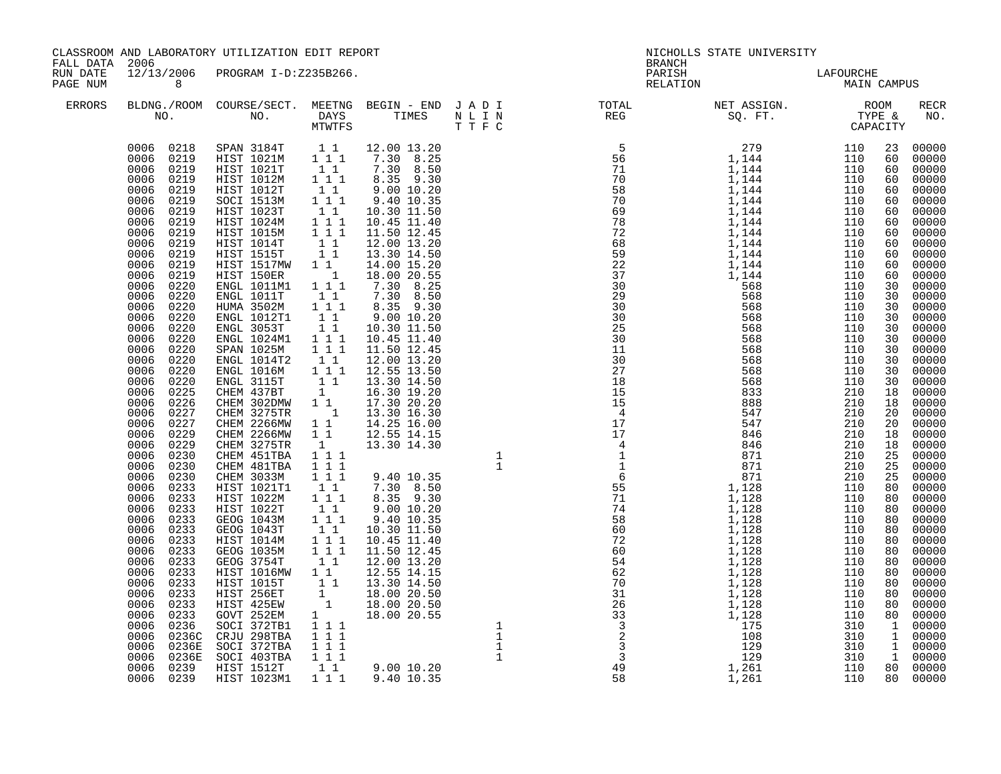| FALL DATA 2006       |                | CLASSROOM AND LABORATORY UTILIZATION EDIT REPORT |                | NICHOLLS STATE UNIVERSITY<br><b>BRANCH</b> |                                                                                                                           |                          |  |  |             |
|----------------------|----------------|--------------------------------------------------|----------------|--------------------------------------------|---------------------------------------------------------------------------------------------------------------------------|--------------------------|--|--|-------------|
| RUN DATE<br>PAGE NUM | 8 <sup>8</sup> | 12/13/2006 PROGRAM I-D:Z235B266.                 |                |                                            | PARISH<br>RELATION                                                                                                        | LAFOURCHE<br>MAIN CAMPUS |  |  |             |
| ERRORS               |                |                                                  | MTWTFS T T F C |                                            | BLDNG./ROOM COURSE/SECT. MEETNG BEGIN – END JADI TOTAL NET ASSIGN. NET ASSIGN. ROOM NO. DAYS TIMES NLIN REG SQ.FT. TYPE & |                          |  |  | RECR<br>NO. |
|                      |                |                                                  |                |                                            |                                                                                                                           |                          |  |  | 00000       |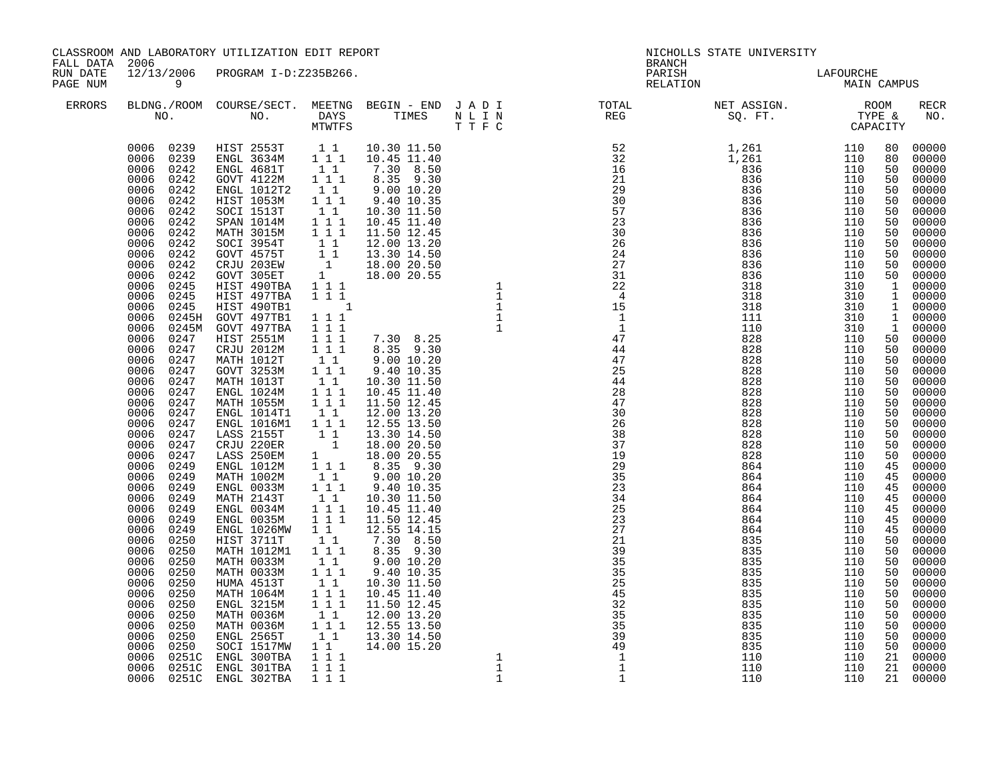| CLASSROOM AND LABORATORY UTILIZATION EDIT REPORT<br>FALL DATA 2006<br>12/13/2006 PROGRAM I-D:Z235B266. |                                                                                                                                                                                                                                                                                                                                                                                                                                                                                                                                                                                                                                                                                                                                                                   |                                                                                                                                                                                                                                                                                                                                                                                                                                                                                                                                                                                                                                                                                                                                                                                                                             |                                                                                                                                                                                                          |                                                                                                                                                                                  |                                                                                                                                                                                                                 | NICHOLLS STATE UNIVERSITY<br><b>BRANCH</b>              |                                                                                                                                                                                                                                                                                                                                                                                                                                                |                                                                                                              |                                        |                                                                                                                                                                                                                 |
|--------------------------------------------------------------------------------------------------------|-------------------------------------------------------------------------------------------------------------------------------------------------------------------------------------------------------------------------------------------------------------------------------------------------------------------------------------------------------------------------------------------------------------------------------------------------------------------------------------------------------------------------------------------------------------------------------------------------------------------------------------------------------------------------------------------------------------------------------------------------------------------|-----------------------------------------------------------------------------------------------------------------------------------------------------------------------------------------------------------------------------------------------------------------------------------------------------------------------------------------------------------------------------------------------------------------------------------------------------------------------------------------------------------------------------------------------------------------------------------------------------------------------------------------------------------------------------------------------------------------------------------------------------------------------------------------------------------------------------|----------------------------------------------------------------------------------------------------------------------------------------------------------------------------------------------------------|----------------------------------------------------------------------------------------------------------------------------------------------------------------------------------|-----------------------------------------------------------------------------------------------------------------------------------------------------------------------------------------------------------------|---------------------------------------------------------|------------------------------------------------------------------------------------------------------------------------------------------------------------------------------------------------------------------------------------------------------------------------------------------------------------------------------------------------------------------------------------------------------------------------------------------------|--------------------------------------------------------------------------------------------------------------|----------------------------------------|-----------------------------------------------------------------------------------------------------------------------------------------------------------------------------------------------------------------|
| RUN DATE<br>PAGE NUM                                                                                   | $\overline{9}$                                                                                                                                                                                                                                                                                                                                                                                                                                                                                                                                                                                                                                                                                                                                                    |                                                                                                                                                                                                                                                                                                                                                                                                                                                                                                                                                                                                                                                                                                                                                                                                                             |                                                                                                                                                                                                          |                                                                                                                                                                                  |                                                                                                                                                                                                                 | PARISH                                                  | LAFOURCHE<br>MAIN CAMPUS<br>RELATION                                                                                                                                                                                                                                                                                                                                                                                                           |                                                                                                              |                                        |                                                                                                                                                                                                                 |
| ERRORS                                                                                                 |                                                                                                                                                                                                                                                                                                                                                                                                                                                                                                                                                                                                                                                                                                                                                                   |                                                                                                                                                                                                                                                                                                                                                                                                                                                                                                                                                                                                                                                                                                                                                                                                                             |                                                                                                                                                                                                          |                                                                                                                                                                                  |                                                                                                                                                                                                                 |                                                         | $\begin{tabular}{lllllllllllllllllllll} \textsc{BLONG.} \textsc{F100M.} & \textsc{COURSE/SECT.} & \textsc{METNG.} & \textsc{BEGIN - END} & \textsc{J A D I} & \textsc{DTAT} & \textsc{NTGTL} & \textsc{NET ASSIGN.} & \textsc{ROOM} \\ \textsc{NO.} & \textsc{NO.} & \textsc{DAYS} & \textsc{TIMES} & \textsc{N L I N} & \textsc{REG} & \textsc{SEG.} & \textsc{ST.} & \textsc{CTPE & \& \\ \textsc{MO.} & \textsc{NO.} & \textsc{MTWTFS} & \$ |                                                                                                              |                                        | RECR<br>NO.                                                                                                                                                                                                     |
|                                                                                                        | 0006 0239<br>0006 0242<br>0006<br>0242<br>0006 0242<br>0006<br>0242<br>0006 0242<br>0006<br>0242<br>0006 0242<br>0006<br>0242<br>0006<br>0242<br>0006<br>0242<br>0006<br>0242<br>0245<br>0006<br>0006<br>0245<br>0006<br>0245<br>0006<br>0245H<br>0006<br>0006<br>0247<br>0006<br>0247<br>0006<br>0247<br>0006<br>0247<br>0006<br>0247<br>0006 0247<br>0006<br>0247<br>0006 0247<br>0006<br>0247<br>0006<br>0247<br>0006<br>0247<br>0006<br>0247<br>0006<br>0249<br>0006<br>0249<br>0006<br>0249<br>0006<br>0249<br>0006<br>0249<br>0006<br>0249<br>0006<br>0249<br>0006<br>0250<br>0006<br>0250<br>0006<br>0250<br>0006<br>0250<br>0006<br>0250<br>0006<br>0250<br>0006<br>0250<br>0006<br>0250<br>0006<br>0250<br>0006<br>0250<br>0006<br>0250<br>0006<br>0251C | 0006 0239 HIST 2553T 1 1 10.30 11.50<br>ENGL 3634M<br>ENGL 4681T<br>GOVT 4122M<br>ENGL 1012T2<br>HIST 1053M<br>SOCI 1513T<br>SPAN 1014M<br>MATH 3015M<br>SOCI 3954T<br>GOVT 4575T<br>CRJU 203EW<br>GOVT 305ET<br>HIST 490TBA<br>HIST 497TBA<br>HIST 490TB1<br>GOVT 497TB1<br>0245M GOVT 497TBA<br>HIST 2551M<br>CRJU 2012M<br>MATH 1012T<br>GOVT 3253M<br>MATH 1013T<br>ENGL 1024M<br>MATH 1055M<br>ENGL 1014T1<br>ENGL 1016M1<br>LASS 2155T<br>CRJU 220ER<br>LASS 250EM<br>ENGL 1012M<br>MATH 1002M<br>ENGL 0033M<br>MATH 2143T<br>ENGL 0034M<br>ENGL 0035M<br>ENGL 1026MW<br>HIST 3711T<br>MATH 1012M1<br>MATH 0033M<br>MATH 0033M<br>HUMA 4513T<br>MATH 1064M<br>$ENGL$ 3215M<br>MATH 0036M<br>MATH 0036M<br>ENGL 2565T<br>SOCI 1517MW<br>ENGL 300TBA<br>NICL 300TBA<br>0006 0251C ENGL 301TBA<br>0006 0251C ENGL 302TBA | $1\quad1$<br>$1 1 1$<br>11<br>$\begin{array}{c} 1 \\ 1 \\ 1 \end{array}$<br>$\begin{array}{ccc} 1&1&1\\1&1&1 \end{array}$<br>$\begin{smallmatrix}1&1\\1&1&1\end{smallmatrix}$<br>$1 1 1$<br>1 1 1<br>111 | 1 1 12.55 14.15<br>7.30 8.50<br>8.35 9.30<br>$\begin{array}{rrrr} 1 & 1 & 12.00 & 13.20 \ 1 & 1 & 1 & 12.55 & 13.50 \ 1 & 1 & 13.30 & 14.50 \ 1 & 1 & 14.00 & 15.20 \end{array}$ | $\begin{array}{r} \n \begin{array}{r} \n \begin{array}{c} 10 \\  \times 45 \\  \times 13.20 \\  \hline 13.20 \\  \hline 13.50 \\  \hline 13.30 & 14.50 \\  \hline 14.00 & 15.20 \\  \end{array} \n \end{array}$ | 27<br>21<br>39<br>35<br>3243255991<br>$\mathbf{1}$<br>1 | $\begin{array}{cccccccc} 0.00 & 0.00 & 0.00 & 0.00 & 0.00 & 0.00 & 0.00 & 0.00 & 0.00 & 0.00 & 0.00 & 0.00 & 0.00 & 0.00 & 0.00 & 0.00 & 0.00 & 0.00 & 0.00 & 0.00 & 0.00 & 0.00 & 0.00 & 0.00 & 0.00 & 0.00 & 0.00 & 0.00 & 0.00 & 0.00 & 0.00 & 0.00 & 0.00 & 0.00 & 0.00 & 0$<br>864<br>864<br>835<br>835<br>835<br>835<br>835<br>835<br>835<br>835<br>835<br>835<br>835<br>110<br>110<br>110                                               | 110<br>110<br>110<br>110<br>110<br>110<br>110<br>110<br>110<br>110<br>110<br>110<br>110<br>110<br>110<br>110 | 45<br>50<br>50<br>50<br>50<br>50<br>21 | 00000<br>45 00000<br>50 00000<br>50 00000<br>00000<br>$00000$<br>$00000$<br>50 00000<br>50 00000<br>00000<br>00000<br>$\begin{bmatrix} 50 & 00000 \\ 50 & 00000 \end{bmatrix}$<br>00000<br>21 00000<br>21 00000 |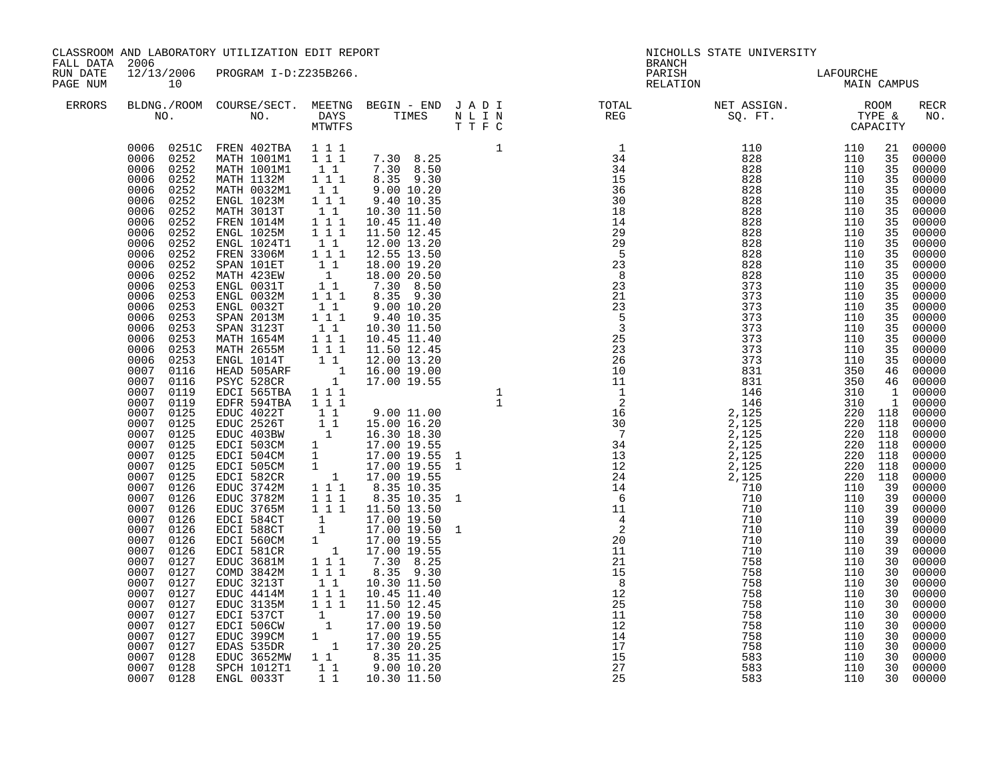| CLASSROOM AND LABORATORY UTILIZATION EDIT REPORT<br>FALL DATA 2006<br>12/13/2006 PROGRAM I-D:Z235B266. |                                                                                                                                                                                                                                                                                                                                                                                                                                                                                                                                                                                                                                                                                                                                                                                                  |                                                                                                                                                                                                                                                                                                                                                                                                                                                                                                                                                                                     |                                                                                                                                                                                                                                                                           |                                                                                                                                                                                                                                                                                                                                                                                                                                                                                                                            |                                                                                                                                                                                                                                                | <b>BRANCH</b>      | NICHOLLS STATE UNIVERSITY                                                                                                                                                                                                                                                                                                                                                                                                                  |                                                                                                                                                                      |                                                                                                                                                                                                                            |                                                                                                                                                                                                                                                                                                                                                                                                                                                                        |
|--------------------------------------------------------------------------------------------------------|--------------------------------------------------------------------------------------------------------------------------------------------------------------------------------------------------------------------------------------------------------------------------------------------------------------------------------------------------------------------------------------------------------------------------------------------------------------------------------------------------------------------------------------------------------------------------------------------------------------------------------------------------------------------------------------------------------------------------------------------------------------------------------------------------|-------------------------------------------------------------------------------------------------------------------------------------------------------------------------------------------------------------------------------------------------------------------------------------------------------------------------------------------------------------------------------------------------------------------------------------------------------------------------------------------------------------------------------------------------------------------------------------|---------------------------------------------------------------------------------------------------------------------------------------------------------------------------------------------------------------------------------------------------------------------------|----------------------------------------------------------------------------------------------------------------------------------------------------------------------------------------------------------------------------------------------------------------------------------------------------------------------------------------------------------------------------------------------------------------------------------------------------------------------------------------------------------------------------|------------------------------------------------------------------------------------------------------------------------------------------------------------------------------------------------------------------------------------------------|--------------------|--------------------------------------------------------------------------------------------------------------------------------------------------------------------------------------------------------------------------------------------------------------------------------------------------------------------------------------------------------------------------------------------------------------------------------------------|----------------------------------------------------------------------------------------------------------------------------------------------------------------------|----------------------------------------------------------------------------------------------------------------------------------------------------------------------------------------------------------------------------|------------------------------------------------------------------------------------------------------------------------------------------------------------------------------------------------------------------------------------------------------------------------------------------------------------------------------------------------------------------------------------------------------------------------------------------------------------------------|
| RUN DATE<br>PAGE NUM<br>ERRORS                                                                         | 10                                                                                                                                                                                                                                                                                                                                                                                                                                                                                                                                                                                                                                                                                                                                                                                               |                                                                                                                                                                                                                                                                                                                                                                                                                                                                                                                                                                                     |                                                                                                                                                                                                                                                                           |                                                                                                                                                                                                                                                                                                                                                                                                                                                                                                                            |                                                                                                                                                                                                                                                | PARISH<br>RELATION | LAFOURCHE<br>MAIN CAMPUS                                                                                                                                                                                                                                                                                                                                                                                                                   |                                                                                                                                                                      |                                                                                                                                                                                                                            |                                                                                                                                                                                                                                                                                                                                                                                                                                                                        |
|                                                                                                        |                                                                                                                                                                                                                                                                                                                                                                                                                                                                                                                                                                                                                                                                                                                                                                                                  |                                                                                                                                                                                                                                                                                                                                                                                                                                                                                                                                                                                     |                                                                                                                                                                                                                                                                           |                                                                                                                                                                                                                                                                                                                                                                                                                                                                                                                            |                                                                                                                                                                                                                                                |                    | $\begin{tabular}{lllllllllllllllllllll} \textsc{BLONG.} \textsc{F100M.} & \textsc{CUIRSE/SECT.} & \textsc{METING.} & \textsc{BEGIN - END.} & \textsc{J A D I} & \textsc{DTQTAL} & \textsc{NET ASSIGN.} & \textsc{ROOM} \\ \textsc{NO.} & \textsc{NO.} & \textsc{DAYS} & \textsc{TIMES} & \textsc{N L I N} & \textsc{REG} & \textsc{SQ. FT.} & \textsc{TTPE & \texttt{C} \\ \textsc{MTVFTS} & \textsc{DTT T F C} & \textsc{STG} & \textsc{$ |                                                                                                                                                                      |                                                                                                                                                                                                                            | RECR<br>NO.                                                                                                                                                                                                                                                                                                                                                                                                                                                            |
|                                                                                                        | 0006 0252<br>0006 0252<br>0006<br>0252<br>0006<br>0252<br>0006<br>0252<br>0006<br>0252<br>0006<br>0252<br>0006<br>0252<br>0006<br>0252<br>0006<br>0252<br>0006<br>0252<br>0006<br>0252<br>0006<br>0253<br>0006<br>0253<br>0006<br>0253<br>0006<br>0253<br>0006<br>0253<br>0006<br>0253<br>0006<br>0253<br>0006<br>0253<br>0007 0116<br>0007<br>0116<br>0007 0119<br>0007<br>0119<br>0007 0125<br>0007 0125<br>0007<br>0007<br>0125<br>0007<br>0125<br>0007<br>0125<br>0007<br>0125<br>0007<br>0125<br>0007<br>0126<br>0007<br>0126<br>0007<br>0126<br>0007<br>0126<br>0007 0126<br>0007<br>0126<br>0007 0126<br>0007<br>0127<br>0007 0127<br>0007<br>0127<br>0007 0127<br>0007<br>0127<br>0007<br>0127<br>0007<br>0127<br>0007<br>0127<br>0007<br>0127<br>0007<br>0128<br>0007 0128<br>0007 0128 | 0006 0251C FREN 402TBA 111<br>ENGL 0031T<br>ENGL 0032M<br>ENGL 0032T<br>SPAN 2013M<br>SPAN 3123T<br>MATH 1654M<br>MATH 2655M<br>ENGL 1014T<br>HEAD 505ARF<br>PSYC 528CR<br>EDCI 565TBA<br>EDFR 594TBA<br>EDUC 4022T<br>EDUC 2526T<br>EDUC 403BW<br>EDCI 503CM<br>EDCI 504CM<br>EDCI 505CM<br>EDCI 582CR<br>EDUC 3742M<br>EDUC 3782M<br>EDUC 3765M<br>EDCI 584CT<br>EDCI 588CT<br>EDCI 560CM<br>EDCI 581CR<br>EDUC 3681M<br>COMD 3842M<br>EDUC 3213T<br>EDUC 4414M<br>EDUC 3135M<br>EDCI 537CT<br>EDCI 506CW<br>EDUC 399CM<br>EDAS 535DR<br>EDUC 3652MW<br>SPCH 1012T1<br>ENGL 0033T | $\begin{smallmatrix} &1\\1&1\end{smallmatrix}$<br>$1 1 1$<br>11<br>$1 1 1$<br>$\begin{bmatrix} 1 & 1 \\ 1 & 1 & 1 \\ 1 & 1 & 1 \end{bmatrix}$<br>$\begin{bmatrix} 1 & 1 \end{bmatrix}$<br>1 1 1<br>1 1 1<br>$1 1 1$<br>$\begin{smallmatrix}1&1&1\\1&1&1\end{smallmatrix}$ | $\begin{array}{rrrr} 1 & 12.00 & 19.20 \\ 1 & 16.00 & 19.00 \\ 1 & 17.00 & 19.55 \end{array}$<br>$\begin{array}{rrrr} 1 & 1 & 1.50 & 13.50 \\ 1 & 17.00 & 19.50 \\ 1 & 17.00 & 19.55 \\ 1 & 17.00 & 19.55 \\ 1 & 17.00 & 19.55 \\ 1 & 1 & 7.30 & 8.25 \\ 1 & 1 & 8.35 & 9.30 \\ 1 & 1 & 10.30 & 11.50 \\ \end{array}$<br>$\begin{array}{cccc} 1 & 1 & 1 & 1.00 & 19.50 \ 1 & & 17.00 & 19.50 \ 1 & & 17.00 & 19.55 \ 1 & & 17.30 & 20.25 \ 1 & 1 & & 8.35 & 11.35 \ 1 & 1 & & 9.00 & 10.20 \end{array}$<br>1 1 10.30 11.50 | NO.<br>MTH 1001M1 1 1 1 7.30 8.25 1<br>MATH 1001M1 1 1 7.30 8.25 34<br>MATH 1001M1 1 1 7.30 8.50<br>MATH 1001M1 1 1 7.30 8.50<br>MATH 10032M1 1 1 8.35 9.30<br>MATH 0032M1 1 1 9.00 10.20<br>ENGL 1023M 1 1 1 0.30 11.50<br>2 FREN 1014M 1 1 1 |                    |                                                                                                                                                                                                                                                                                                                                                                                                                                            | $\begin{array}{cccc} 310 & 1 & 00000 \ 310 & 1 & 00000 \ 220 & 118 & 00000 \ 220 & 118 & 00000 \ \end{array}$<br>220 118<br>220 118<br>220 118<br>220 118<br>220 118 | 35<br>35<br>35<br>35<br>35<br>35<br>35<br>35<br>35<br>35<br>35<br>35<br>35<br>35<br>35<br>35<br>35<br>35<br>39<br>39<br>39<br>39<br>39<br>39<br>39<br>30<br>30<br>30<br>30<br>30<br>30<br>30<br>30<br>30<br>30<br>30<br>30 | 21 00000<br>00000<br>00000<br>00000<br>00000<br>00000<br>00000<br>$00000$<br>00000<br>00000<br>00000<br>00000<br>$00000$<br>00000<br>00000<br>00000<br>00000<br>35 00000<br>00000<br>00000<br>35 00000<br>46 00000<br>46 00000<br>00000<br>00000<br>$00000$<br>$00000$<br>00000<br>00000<br>00000<br>00000<br>00000<br>00000<br>$00000$<br>$00000$<br>00000<br>$00000$<br>$00000$<br>$00000$<br>00000<br>00000<br>00000<br>$00000$<br>00000<br>00000<br>00000<br>00000 |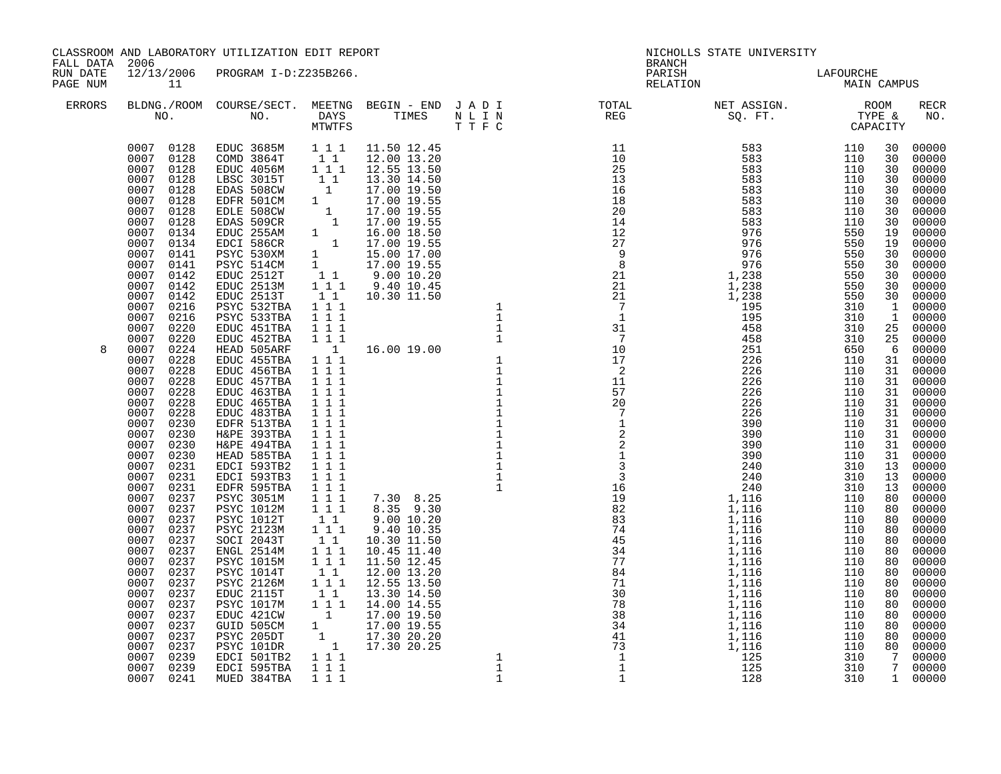|                                        |                                                                                                                                                                                                                                                                                                                                                                                                                                                                                                                                                                                                                                                                                                                                                                                   | CLASSROOM AND LABORATORY UTILIZATION EDIT REPORT                                                                                                                                                                                                                                                                                                                                                                                                                                                                                                                                                                                                                                                                                                                                                                                                             |  | NICHOLLS STATE UNIVERSITY<br><b>BRANCH</b> |                                          |  |  |                                                                                                                                                                                                                                                                                                                                                                                                                                                                                                                                                                                                                                                  |
|----------------------------------------|-----------------------------------------------------------------------------------------------------------------------------------------------------------------------------------------------------------------------------------------------------------------------------------------------------------------------------------------------------------------------------------------------------------------------------------------------------------------------------------------------------------------------------------------------------------------------------------------------------------------------------------------------------------------------------------------------------------------------------------------------------------------------------------|--------------------------------------------------------------------------------------------------------------------------------------------------------------------------------------------------------------------------------------------------------------------------------------------------------------------------------------------------------------------------------------------------------------------------------------------------------------------------------------------------------------------------------------------------------------------------------------------------------------------------------------------------------------------------------------------------------------------------------------------------------------------------------------------------------------------------------------------------------------|--|--------------------------------------------|------------------------------------------|--|--|--------------------------------------------------------------------------------------------------------------------------------------------------------------------------------------------------------------------------------------------------------------------------------------------------------------------------------------------------------------------------------------------------------------------------------------------------------------------------------------------------------------------------------------------------------------------------------------------------------------------------------------------------|
| FALL DATA 2006<br>RUN DATE<br>PAGE NUM | $\overline{11}$                                                                                                                                                                                                                                                                                                                                                                                                                                                                                                                                                                                                                                                                                                                                                                   | 12/13/2006 PROGRAM I-D:Z235B266.                                                                                                                                                                                                                                                                                                                                                                                                                                                                                                                                                                                                                                                                                                                                                                                                                             |  |                                            | PARISH LAFOURCHE<br>RELATION MAIN CAMPUS |  |  |                                                                                                                                                                                                                                                                                                                                                                                                                                                                                                                                                                                                                                                  |
| ERRORS                                 |                                                                                                                                                                                                                                                                                                                                                                                                                                                                                                                                                                                                                                                                                                                                                                                   |                                                                                                                                                                                                                                                                                                                                                                                                                                                                                                                                                                                                                                                                                                                                                                                                                                                              |  |                                            |                                          |  |  | <b>RECR</b><br>NO.                                                                                                                                                                                                                                                                                                                                                                                                                                                                                                                                                                                                                               |
| 8                                      | 0007 0128 COMD 3864T<br>0007 0128<br>0007<br>0128<br>0007 0128<br>0007<br>0128<br>0007 0128<br>0007<br>0128<br>0007 0134<br>0007<br>0134<br>0007<br>0141<br>0007<br>0141<br>0007<br>0142<br>0007<br>0142<br>0007<br>0142<br>0007<br>0216<br>0007<br>0216<br>0007<br>0220<br>0007<br>0220<br>0007<br>0224<br>0007<br>0228<br>0007 0228<br>0007<br>0228<br>0007 0228<br>0007<br>0228<br>0007 0228<br>0007 0230<br>0007 0230<br>0007<br>0230<br>0007 0230<br>0007<br>0231<br>0007 0231<br>0007<br>0231<br>0007 0237<br>0007<br>0237<br>0007<br>0237<br>0007<br>0237<br>0007 0237<br>0007<br>0237<br>0007<br>0237<br>0007<br>0237<br>0007<br>0237<br>0007<br>0237<br>0007<br>0237<br>0007<br>0237<br>0007<br>0237<br>0007 0237<br>0007<br>0237<br>0007 0239<br>0007 0239<br>0007 0241 | 0007 0128 EDUC 3685M<br>EDUC 4056M<br>LBSC 3015T<br>EDAS 508CW<br>EDFR 501CM<br>EDLE 508CW<br>EDAS 509CR<br>EDUC 255AM<br>EDCI 586CR<br>PSYC 530XM<br>PSYC 514CM<br>EDUC 2512T<br>EDUC 2513M<br>EDUC 2513T<br>PSYC 532TBA<br>PSYC 533TBA<br>EDUC 451TBA<br>EDUC 452TBA<br>HEAD 505ARF<br>EDUC 455TBA<br>EDUC 456TBA<br>EDUC 457TBA<br>EDUC 463TBA<br>EDUC 465TBA<br>EDUC 483TBA<br>EDFR 513TBA<br>H&PE 393TBA<br>H&PE 494TBA<br>HEAD 585TBA<br>EDCI 593TB2<br>EDCI 593TB3<br>EDFR 595TBA<br><b>PSYC 3051M</b><br><b>PSYC 1012M</b><br>PSYC 1012T<br>PSYC 2123M<br>SOCI 2043T<br>ENGL 2514M<br>PSYC 1015M<br>PSYC 1014T<br><b>PSYC 2126M</b><br>EDUC 2115T<br><b>PSYC 1017M</b><br>PSDUC 421CW<br>GUID 505CM<br>GUID 505CM<br>1 17.00 19.55<br>PSYC 205DT<br>1 17.30 20.20<br>PSYC 101DR<br>1 17.30 20.25<br>EDCI 501TB2<br>1 1<br>EDCI 595TBA<br>MUED 384TBA |  |                                            |                                          |  |  | 30 00000<br>00000<br>00000<br>00000<br>30 00000<br>00000<br>00000<br>00000<br>00000<br>00000<br>00000<br>30 00000<br>30 00000<br>30 00000<br>30 00000<br>1 00000<br>1 00000<br>25 00000<br>25 00000<br>6 00000<br>31 00000<br>31 00000<br>00000<br>31 00000<br>$\begin{bmatrix} 31 & 00000 \\ 31 & 00000 \end{bmatrix}$<br>00000<br>31 00000<br>31 00000<br>$\begin{bmatrix} 31 & 00000 \\ 13 & 00000 \end{bmatrix}$<br>13 00000<br>13 00000<br>80 00000<br>00000<br>00000<br>00000<br>80 00000<br>00000<br>00000<br>80 00000<br>00000<br>80 00000<br>00000<br>80 00000<br>$80 00000$<br>$80 00000$<br>80 00000<br>7 00000<br>7 00000<br>1 00000 |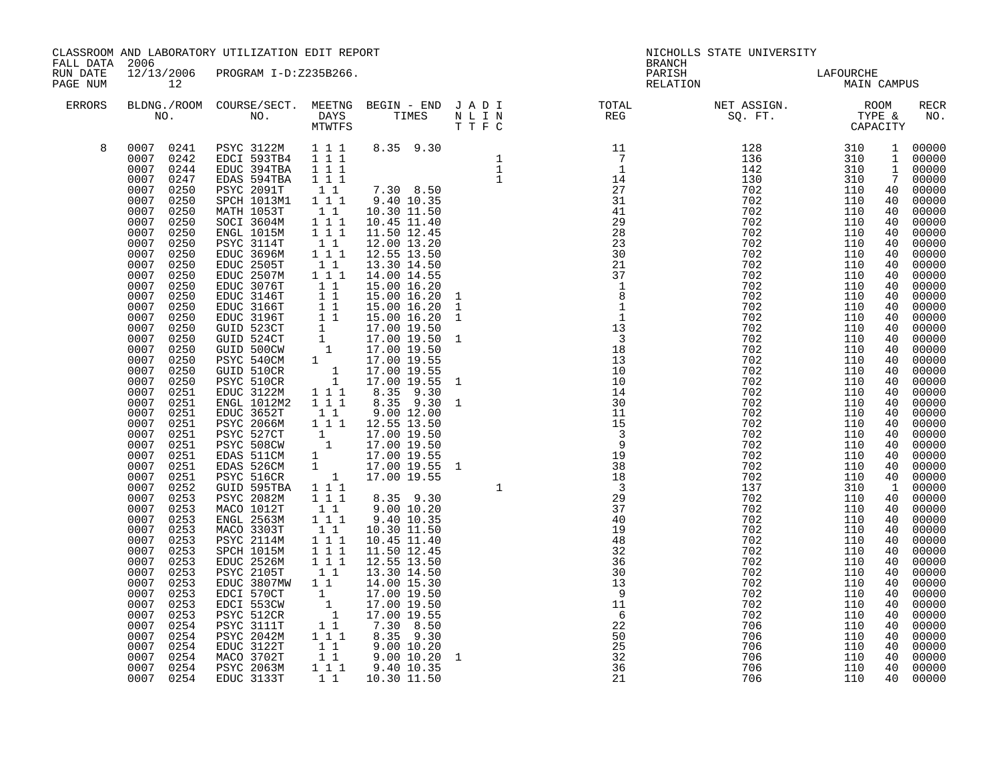|                                                        |                                                                                                                                                                                                                                                                                                                                                                                                                                                                                                                                                                                                                                                                                                                                                                                                    | CLASSROOM AND LABORATORY UTILIZATION EDIT REPORT                                                                                                                                                                                                                                                                                                                                                                                                                                                                                                                                                                                                                                                                                                           |                                                                                                                                                                                                                                                                                                                                                                                                                                                                                 |                                                                                                                                                                                                                                                                                                                                                                                                                                                                                                                                                                                                                                                                                                                                                                                                                                           | NICHOLLS STATE UNIVERSITY<br><b>BRANCH</b>                                                                                                                                                                                                                                                                                                |                                                                                                                           |                                                                                                                                                                                                                                                                                                                                                                                                                                                                                |                                                                                         |                                                                            |                                                                                                                                |
|--------------------------------------------------------|----------------------------------------------------------------------------------------------------------------------------------------------------------------------------------------------------------------------------------------------------------------------------------------------------------------------------------------------------------------------------------------------------------------------------------------------------------------------------------------------------------------------------------------------------------------------------------------------------------------------------------------------------------------------------------------------------------------------------------------------------------------------------------------------------|------------------------------------------------------------------------------------------------------------------------------------------------------------------------------------------------------------------------------------------------------------------------------------------------------------------------------------------------------------------------------------------------------------------------------------------------------------------------------------------------------------------------------------------------------------------------------------------------------------------------------------------------------------------------------------------------------------------------------------------------------------|---------------------------------------------------------------------------------------------------------------------------------------------------------------------------------------------------------------------------------------------------------------------------------------------------------------------------------------------------------------------------------------------------------------------------------------------------------------------------------|-------------------------------------------------------------------------------------------------------------------------------------------------------------------------------------------------------------------------------------------------------------------------------------------------------------------------------------------------------------------------------------------------------------------------------------------------------------------------------------------------------------------------------------------------------------------------------------------------------------------------------------------------------------------------------------------------------------------------------------------------------------------------------------------------------------------------------------------|-------------------------------------------------------------------------------------------------------------------------------------------------------------------------------------------------------------------------------------------------------------------------------------------------------------------------------------------|---------------------------------------------------------------------------------------------------------------------------|--------------------------------------------------------------------------------------------------------------------------------------------------------------------------------------------------------------------------------------------------------------------------------------------------------------------------------------------------------------------------------------------------------------------------------------------------------------------------------|-----------------------------------------------------------------------------------------|----------------------------------------------------------------------------|--------------------------------------------------------------------------------------------------------------------------------|
| FALL DATA 2006<br>RUN DATE<br>PAGE NUM<br>12<br>ERRORS |                                                                                                                                                                                                                                                                                                                                                                                                                                                                                                                                                                                                                                                                                                                                                                                                    | 12/13/2006 PROGRAM I-D:Z235B266.                                                                                                                                                                                                                                                                                                                                                                                                                                                                                                                                                                                                                                                                                                                           |                                                                                                                                                                                                                                                                                                                                                                                                                                                                                 |                                                                                                                                                                                                                                                                                                                                                                                                                                                                                                                                                                                                                                                                                                                                                                                                                                           |                                                                                                                                                                                                                                                                                                                                           | PARISH<br>RELATION                                                                                                        | LAFOURCHE<br>MAIN CAMPUS                                                                                                                                                                                                                                                                                                                                                                                                                                                       |                                                                                         |                                                                            |                                                                                                                                |
|                                                        |                                                                                                                                                                                                                                                                                                                                                                                                                                                                                                                                                                                                                                                                                                                                                                                                    |                                                                                                                                                                                                                                                                                                                                                                                                                                                                                                                                                                                                                                                                                                                                                            |                                                                                                                                                                                                                                                                                                                                                                                                                                                                                 |                                                                                                                                                                                                                                                                                                                                                                                                                                                                                                                                                                                                                                                                                                                                                                                                                                           |                                                                                                                                                                                                                                                                                                                                           | BLDNG./ROOM COURSE/SECT. MEETNG BEGIN – END JADI TOTAL NET ASSIGN. NET ASSIGN. ROOM NO. DAYS TIMES NLIN REG SQ.FT. TYPE & |                                                                                                                                                                                                                                                                                                                                                                                                                                                                                |                                                                                         |                                                                            | RECR<br>NO.                                                                                                                    |
| 8                                                      | 0007 0241<br>0007 0242<br>0007 0244<br>0007 0247<br>0007<br>0250<br>0007<br>0250<br>0007<br>0250<br>0007<br>0250<br>0007<br>0250<br>0007<br>0250<br>0007<br>0250<br>0007<br>0250<br>0007 0250<br>0007<br>0250<br>0007 0250<br>0007<br>0250<br>0007 0250<br>0007<br>0250<br>0007 0250<br>0007<br>0250<br>0007 0250<br>0007<br>0250<br>0007<br>0250<br>0007<br>0251<br>0007<br>0251<br>0007<br>0251<br>0007<br>0251<br>0007<br>0251<br>0007<br>0251<br>0007<br>0251<br>0007<br>0251<br>0007 0251<br>0007<br>0252<br>0007 0253<br>0007<br>0253<br>0007 0253<br>0007<br>0253<br>0007 0253<br>0007<br>0253<br>0007<br>0253<br>0007<br>0253<br>0007<br>0253<br>0007<br>0253<br>0007<br>0253<br>0007<br>0253<br>0007<br>0254<br>0007<br>0254<br>0007<br>0254<br>0007<br>0254<br>0007<br>0254<br>0007 0254 | PSYC 3122M 1 1 1<br>EDCI 593TB4<br>EDUC 394TBA<br>EDAS 594TBA<br>PSYC 2091T<br>SPCH 1013M1<br>MATH 1053T<br>SOCI 3604M<br>ENGL 1015M<br>PSYC 3114T<br>EDUC 3696M<br>EDUC 2505T<br>EDUC 2507M<br>EDUC 3076T<br>EDUC 3146T<br>EDUC 3166T<br>EDUC 3196T<br>GUID 523CT<br>GUID 524CT<br>GUID 500CW<br>PSYC 540CM<br>GUID 510CR<br>PSYC 510CR<br>EDUC 3122M<br>ENGL 1012M2<br>EDUC 3652T<br>PSYC 2066M<br>PSYC 527CT<br>PSYC 508CW<br>EDAS 511CM<br>EDAS 526CM<br>PSYC 516CR<br>GUID 595TBA<br>PSYC 2082M<br>MACO 1012T<br>ENGL 2563M<br>MACO 3303T<br>PSYC 2114M<br>SPCH 1015M<br>EDUC 2526M<br>PSYC 2105T<br>EDUC 3807MW<br>EDCI 570CT<br>EDCI 553CW<br>PSYC 512CR<br>PSYC 3111T<br>PSYC 2042M<br>EDUC 3122T<br>MACO 3702T<br><b>PSYC 2063M</b><br>EDUC 3133T | $1 1 1$<br>1 1 1<br>1 1 1<br>$1\quad1$<br>1 1 1<br>$1\quad1$<br>1 1 1<br>$1\overline{1}$ $1\overline{1}$<br>$\begin{bmatrix} 1 & 1 \\ 1 & 1 \end{bmatrix}$<br>$1\quad1$<br>$1 1 1$<br>11<br>$1 1 1$<br>111<br>$1\quad1$<br>$\begin{array}{c}\n1 \\ 1 \\ 1\n\end{array}$<br>$1 1 1$<br>$\overline{1}$ $\overline{1}$ $\overline{1}$<br>$\begin{smallmatrix}1&&1\\&1\\1&&1\end{smallmatrix}$<br>$1\quad1$<br>$1 1 1$<br>$\begin{bmatrix} 1 & 1 \\ 1 & 1 \end{bmatrix}$<br>$1 1 1$ | $\begin{array}{cccc} 1 & 1 & 1 & 14.00 & 14.55 \\ 1 & 1 & 15.00 & 16.20 \\ 1 & 1 & 15.00 & 16.20 \\ 1 & 1 & 15.00 & 16.20 \\ 1 & 1 & 15.00 & 16.20 \\ 1 & 17.00 & 19.50 \\ 1 & 17.00 & 19.50 \\ 1 & 17.00 & 19.50 \\ 1 & 17.00 & 19.55 \\ 1 & 17.00 & 19.555 \\ 1 & 17.00 & 19.555 \\ 1 & 17$<br>8.35 9.30 1<br>9.00 12.00<br>1 1 1 1 1 2.55 13.50<br>$\begin{bmatrix} 1 & 1 & 17.00 & 19.50 \ 1 & 17.00 & 19.50 \ 1 & 17.00 & 19.55 \ 1 & 17.00 & 19.55 \ 1 & 17.00 & 19.55 \ \end{bmatrix}$<br>17.00 19.55 1<br>8.35 9.30<br>9.00 10.20<br>9.40 10.35<br>10.30 11.50<br>10.45 11.40<br>11.50 12.45<br>12.55 13.50<br>13.30 14.50<br>14.00 15.30<br>17.00 19.50<br>17.00 19.50<br>17.00 19.55<br>$7.\overline{30}$ $8.\overline{50}$<br>$8.\overline{35}$ $9.\overline{30}$<br>9.00 10.20<br>9.00 10.20<br>9.40 10.35<br>1 1 10.30 11.50 | $\begin{array}{cccccc} 8.35 & 9.30 & & & & & 1 & & & & & 1\\ 7.30 & 8.50 & & & & 1 & & & & 1\\ 7.30 & 1.50 & & & & & & 27 & & 7\\ 9.40 & 10.30 & 11.50 & & & & & 31 & & 1\\ 10.45 & 11.40 & & & & & 29 & & 1\\ 10.50 & 12.45 & & & & 28 & & 28 & & 1\\ 12.50 & 13.20 & & & & & 23 & & 1\\ 12.55 & 13.50 & & & & & 23 & &$<br>$\mathbf{1}$ | 22<br>50<br>$\frac{25}{32}$<br>$\frac{25}{36}$<br>21                                                                      | $\begin{array}{cccccccc} \text{S21} & \text{F11} & \text{110} & \text{110} & \text{110} & \text{110} & \text{110} & \text{110} & \text{110} & \text{110} & \text{110} & \text{110} & \text{110} & \text{110} & \text{110} & \text{110} & \text{110} & \text{110} & \text{110} & \text{110} & \text{110} & \text{110} & \text{110} & \text{110} & \text{110} & \text{110} & \text{1$<br>702<br>702<br>702<br>702<br>702<br>702<br>702<br>706<br>706<br>706<br>706<br>706<br>706 | 110<br>110<br>110<br>110<br>110<br>110<br>110<br>110<br>110<br>110<br>110<br>110<br>110 | 40<br>40<br>40<br>40<br>40<br>40<br>40<br>40<br>40<br>40<br>40<br>40<br>40 | $00000$<br>00000<br>00000<br>00000<br>00000<br>00000<br>00000<br>00000<br>$00000$<br>00000<br>00000<br>00000<br>00000<br>00000 |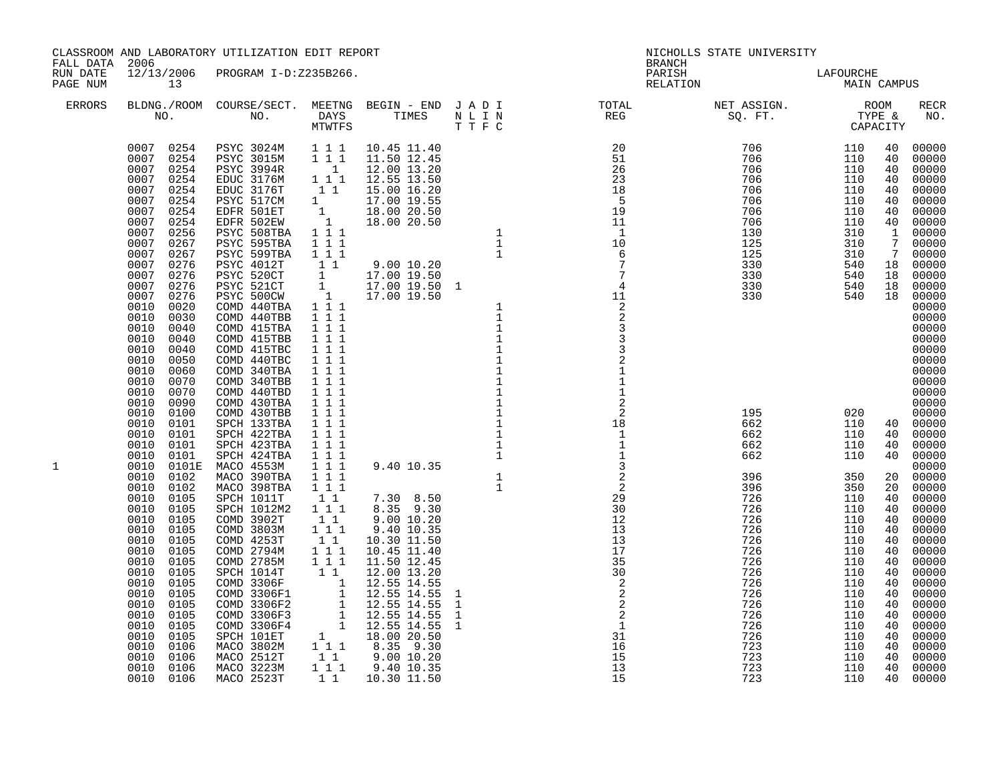| FALL DATA 2006       |                                                                                                                                                                                                                                                                                                                                                                                                                                                                                                                                                                                                                                                                                                                                                                                                                                   | CLASSROOM AND LABORATORY UTILIZATION EDIT REPORT                                                                               |           |                                                                                                                                                                                                                                                    |                                        | <b>BRANCH</b>                                                                                                                                                                                                                                                                                                                                                                                                                                                                                                                                                | NICHOLLS STATE UNIVERSITY                                                                                                                                                                                                                                                                                                                                                                                                               |                                                                                                                                                                                                                                            |                                                                                                                                                                                               |                                                                                                                                                                                                                                                                                                                                                                                                                                                                                                                                              |
|----------------------|-----------------------------------------------------------------------------------------------------------------------------------------------------------------------------------------------------------------------------------------------------------------------------------------------------------------------------------------------------------------------------------------------------------------------------------------------------------------------------------------------------------------------------------------------------------------------------------------------------------------------------------------------------------------------------------------------------------------------------------------------------------------------------------------------------------------------------------|--------------------------------------------------------------------------------------------------------------------------------|-----------|----------------------------------------------------------------------------------------------------------------------------------------------------------------------------------------------------------------------------------------------------|----------------------------------------|--------------------------------------------------------------------------------------------------------------------------------------------------------------------------------------------------------------------------------------------------------------------------------------------------------------------------------------------------------------------------------------------------------------------------------------------------------------------------------------------------------------------------------------------------------------|-----------------------------------------------------------------------------------------------------------------------------------------------------------------------------------------------------------------------------------------------------------------------------------------------------------------------------------------------------------------------------------------------------------------------------------------|--------------------------------------------------------------------------------------------------------------------------------------------------------------------------------------------------------------------------------------------|-----------------------------------------------------------------------------------------------------------------------------------------------------------------------------------------------|----------------------------------------------------------------------------------------------------------------------------------------------------------------------------------------------------------------------------------------------------------------------------------------------------------------------------------------------------------------------------------------------------------------------------------------------------------------------------------------------------------------------------------------------|
| RUN DATE<br>PAGE NUM | 13                                                                                                                                                                                                                                                                                                                                                                                                                                                                                                                                                                                                                                                                                                                                                                                                                                | 12/13/2006 PROGRAM I-D:Z235B266.                                                                                               |           |                                                                                                                                                                                                                                                    |                                        | PARISH<br>RELATION                                                                                                                                                                                                                                                                                                                                                                                                                                                                                                                                           | LAFOURCHE<br>MAIN CAMPUS                                                                                                                                                                                                                                                                                                                                                                                                                |                                                                                                                                                                                                                                            |                                                                                                                                                                                               |                                                                                                                                                                                                                                                                                                                                                                                                                                                                                                                                              |
| <b>ERRORS</b>        |                                                                                                                                                                                                                                                                                                                                                                                                                                                                                                                                                                                                                                                                                                                                                                                                                                   |                                                                                                                                |           |                                                                                                                                                                                                                                                    |                                        |                                                                                                                                                                                                                                                                                                                                                                                                                                                                                                                                                              | BLDNG./ROOM COURSE/SECT. MEETNG BEGIN – END JADI TOTAL NET ASSIGN. NET ASSIGN. ROOM NO. DAYS TIMES NLIN REG SQ.FT. TYPE &                                                                                                                                                                                                                                                                                                               |                                                                                                                                                                                                                                            |                                                                                                                                                                                               | <b>RECR</b><br>NO.                                                                                                                                                                                                                                                                                                                                                                                                                                                                                                                           |
| 1                    | 0007 0254<br>0007 0254<br>0007<br>0254<br>0007<br>0254<br>0007<br>0254<br>0007<br>0254<br>0007<br>0254<br>0007<br>0254<br>0007<br>0256<br>0007<br>0267<br>0007<br>0267<br>0007<br>0276<br>0007<br>0276<br>0007<br>0276<br>0007<br>0276<br>0010<br>0020<br>0010<br>0030<br>0010<br>0040<br>0010<br>0040<br>0010<br>0040<br>0010<br>0050<br>0010<br>0060<br>0010<br>0070<br>0010<br>0070<br>0010<br>0090<br>0010<br>0100<br>0010<br>0101<br>0010<br>0101<br>0010<br>0101<br>0010<br>0101<br>0010<br>0101E<br>0010<br>0102<br>0010<br>0102<br>0010<br>0105<br>0010<br>0105<br>0010<br>0105<br>0010<br>0105<br>0010<br>0105<br>0010<br>0105<br>0010<br>0105<br>0010<br>0105<br>0010<br>0105<br>0010<br>0105<br>0010<br>0105<br>0010<br>0105<br>0010<br>0105<br>0010<br>0105<br>0010<br>0106<br>0010<br>0106<br>0010 0106<br>0010 0106 | COMD 3306F1<br>COMD 3306F2<br>COMD 3306F3<br>COMD 3306F4<br>SPCH 101ET<br>MACO 3802M<br>MACO 2512T<br>MACO 3223M<br>MACO 2523T | $1\quad1$ | $1\ 1\ 1\ 1.50\ 12.45\ 1\ 1\ 12.05\ 13.20\ 1\ 1\ 12.55\ 14.55\ 1\ 12.55\ 14.55\ 1\ 12.55\ 14.55\ 1\ 12.55\ 14.55\ 1\ 12.55\ 14.55\ 1\ 12.55\ 14.55\ 1\ 18.00\ 20.50\ 1\ 1\ 1\ 8.35\ 9.30\ 1\ 1\ 1\ 9.40\ 10.35$<br>1 1 1 9.40 10.35<br>10.30 11.50 | 1<br>$\mathbf{1}$<br>$\mathbf{1}$<br>1 | $\begin{array}{cccccccc} 2\mathrm{e}\,\mathrm{b}\,,\\ 2\mathrm{e}\,\mathrm{b}\,,\\ \mathrm{RTMS} & \mathrm{BNG1N} - \mathrm{END} & \mathrm{J}\,\mathrm{A}\,\mathrm{D}\,\mathrm{I} \\ \mathrm{INTFS} & \mathrm{TTMS} & \mathrm{N}\,\mathrm{L}\,\mathrm{I}\,\mathrm{10}\\ 1 & 1 & 1 & 1 & 0.45 & 11.46\\ 1 & 1 & 1 & 1 & 0.50 & 12.46\\ 1 & 1 & 1 & 1 & 1.50 & 12.46\\ 1 & 1 & 1 & 1 & 1.50 & 12.50\\ 1 & 1 &$<br>$\frac{2}{2}$<br>$\overline{\phantom{a}}$<br>$\overline{\phantom{a}}$<br>$\overline{\phantom{a}}$<br>$3\overline{1}$<br>16<br>15<br>13<br>15 | $\begin{array}{cccc} 706 & & & 110 \\ 706 & & & 110 \\ 706 & & & 110 \\ 706 & & & 110 \\ 706 & & & 110 \\ 706 & & & 110 \\ 706 & & & 110 \\ 706 & & & 110 \\ 10 & & & 110 \\ \end{array}$<br>706<br>706<br>130<br>125<br>125<br>330<br>330<br>330<br>330<br>195<br>662<br>662<br>662<br>662<br>396<br>396<br>726<br>726<br>726<br>726<br>726<br>726<br>726<br>726<br>726<br>726<br>726<br>726<br>726<br>726<br>723<br>723<br>723<br>723 | 110<br>110<br>310<br>310<br>310<br>540<br>540<br>540<br>540<br>020<br>110<br>110<br>110<br>110<br>350<br>350<br>110<br>110<br>110<br>110<br>110<br>110<br>110<br>110<br>110<br>110<br>110<br>110<br>110<br>110<br>110<br>110<br>110<br>110 | 40<br>40<br>40<br>40<br>40<br>40<br>40<br>$7\overline{ }$<br>18<br>18<br>18<br>40<br>40<br>20<br>40<br>40<br>40<br>40<br>40<br>40<br>40<br>40<br>40<br>40<br>40<br>40<br>40<br>40<br>40<br>40 | 00000<br>00000<br>00000<br>00000<br>00000<br>00000<br>00000<br>40 00000<br>1 00000<br>7 00000<br>00000<br>18 00000<br>00000<br>00000<br>00000<br>00000<br>00000<br>$00000$<br>00000<br>00000<br>00000<br>00000<br>00000<br>00000<br>00000<br>00000<br>40 00000<br>00000<br>00000<br>$\begin{bmatrix} 40 & 00000 \\ 00000 \\ 20 & 00000 \end{bmatrix}$<br>00000<br>00000<br>$00000$<br>$00000$<br>00000<br>00000<br>00000<br>00000<br>00000<br>00000<br>00000<br>00000<br>00000<br>$00000$<br>00000<br>00000<br>00000<br>40 00000<br>40 00000 |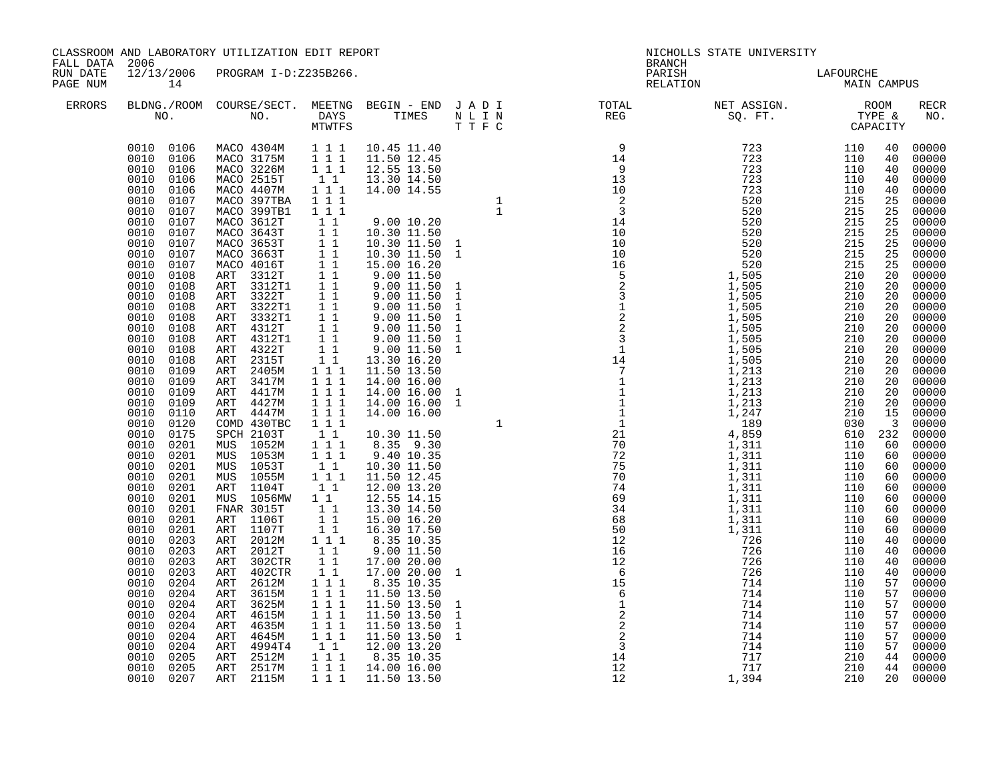| FALL DATA 2006       |                                                                                                                                                                                                                                                                                                                                                                                                                                                                                                                                                                                                                                                                                                                                                                                                                                     | CLASSROOM AND LABORATORY UTILIZATION EDIT REPORT                                                                                                                                                                                                                                                                                                                                                                                                                                                                                                                                                                                                                                                                                                                                 |                                                                                                                                                                                                                                                                                                                                                                                                                                                                                                                                                                                                                                                                                                                                                                                                                                                                                                                     |                     | <b>BRANCH</b>                                                                                                                                                                                                                                                                                                                                                                                                                        | NICHOLLS STATE UNIVERSITY |                                 |                                                                                                                                                                                                                                                                                     |                                                                                                                                                                                                                                                                                                                                                                                                                                                                                                       |
|----------------------|-------------------------------------------------------------------------------------------------------------------------------------------------------------------------------------------------------------------------------------------------------------------------------------------------------------------------------------------------------------------------------------------------------------------------------------------------------------------------------------------------------------------------------------------------------------------------------------------------------------------------------------------------------------------------------------------------------------------------------------------------------------------------------------------------------------------------------------|----------------------------------------------------------------------------------------------------------------------------------------------------------------------------------------------------------------------------------------------------------------------------------------------------------------------------------------------------------------------------------------------------------------------------------------------------------------------------------------------------------------------------------------------------------------------------------------------------------------------------------------------------------------------------------------------------------------------------------------------------------------------------------|---------------------------------------------------------------------------------------------------------------------------------------------------------------------------------------------------------------------------------------------------------------------------------------------------------------------------------------------------------------------------------------------------------------------------------------------------------------------------------------------------------------------------------------------------------------------------------------------------------------------------------------------------------------------------------------------------------------------------------------------------------------------------------------------------------------------------------------------------------------------------------------------------------------------|---------------------|--------------------------------------------------------------------------------------------------------------------------------------------------------------------------------------------------------------------------------------------------------------------------------------------------------------------------------------------------------------------------------------------------------------------------------------|---------------------------|---------------------------------|-------------------------------------------------------------------------------------------------------------------------------------------------------------------------------------------------------------------------------------------------------------------------------------|-------------------------------------------------------------------------------------------------------------------------------------------------------------------------------------------------------------------------------------------------------------------------------------------------------------------------------------------------------------------------------------------------------------------------------------------------------------------------------------------------------|
| RUN DATE<br>PAGE NUM | 14                                                                                                                                                                                                                                                                                                                                                                                                                                                                                                                                                                                                                                                                                                                                                                                                                                  | 12/13/2006 PROGRAM I-D:Z235B266.                                                                                                                                                                                                                                                                                                                                                                                                                                                                                                                                                                                                                                                                                                                                                 |                                                                                                                                                                                                                                                                                                                                                                                                                                                                                                                                                                                                                                                                                                                                                                                                                                                                                                                     |                     | PARISH<br>RELATION                                                                                                                                                                                                                                                                                                                                                                                                                   | LAFOURCHE<br>MAIN CAMPUS  |                                 |                                                                                                                                                                                                                                                                                     |                                                                                                                                                                                                                                                                                                                                                                                                                                                                                                       |
| <b>ERRORS</b>        |                                                                                                                                                                                                                                                                                                                                                                                                                                                                                                                                                                                                                                                                                                                                                                                                                                     |                                                                                                                                                                                                                                                                                                                                                                                                                                                                                                                                                                                                                                                                                                                                                                                  |                                                                                                                                                                                                                                                                                                                                                                                                                                                                                                                                                                                                                                                                                                                                                                                                                                                                                                                     |                     | $\begin{tabular}{lllllllllllllllllllll} \textsc{BLONG.} \textsc{F1} & \textsc{R1} & \textsc{R2} & \textsc{R3} & \textsc{R4} & \textsc{R5} & \textsc{R5} & \textsc{R6} & \textsc{R6} & \textsc{R6} & \textsc{R6} & \textsc{R6} & \textsc{R6} & \textsc{R6} & \textsc{R6} & \textsc{R6} & \textsc{R6} & \textsc{R6} & \textsc{R6} & \textsc{R6} & \textsc{R6} & \textsc{R6} & \textsc{R6} & \textsc{R6} & \text$                       |                           |                                 |                                                                                                                                                                                                                                                                                     | <b>RECR</b><br>NO.                                                                                                                                                                                                                                                                                                                                                                                                                                                                                    |
|                      | 0010 0106<br>0010 0106<br>0010<br>0106<br>0010<br>0106<br>0010<br>0106<br>0010<br>0107<br>0010<br>0107<br>0010<br>0107<br>0010<br>0107<br>0010<br>0107<br>0010<br>0107<br>0010<br>0107<br>0010<br>0108<br>0010<br>0108<br>0010<br>0108<br>0010<br>0108<br>0010<br>0108<br>0010<br>0108<br>0010<br>0108<br>0010<br>0108<br>0010<br>0108<br>0010<br>0109<br>0010<br>0109<br>0010<br>0109<br>0010<br>0109<br>0010<br>0110<br>0010<br>0120<br>0010<br>0175<br>0010<br>0201<br>0010<br>0201<br>0010<br>0201<br>0010<br>0201<br>0010<br>0201<br>0010<br>0201<br>0010<br>0201<br>0010<br>0201<br>0010<br>0201<br>0010<br>0203<br>0010<br>0203<br>0010<br>0203<br>0010<br>0203<br>0010<br>0204<br>0010<br>0204<br>0010<br>0204<br>0010<br>0204<br>0010<br>0204<br>0010<br>0204<br>0010<br>0204<br>0010<br>0205<br>0010<br>0205<br>0010 0207 | MACO 4304M    1    1    1    10.45    11.40<br>MACO 3175M    1    1    11.50    12.45<br>MACO 3226M<br>MACO 2515T<br>MACO 4407M<br>MACO 397TBA<br>MACO 399TB1<br>MACO 3612T<br>MACO 3643T<br>MACO 3653T<br>MACO 3663T<br>MACO 4016T<br>ART 3312T<br>ART 3312T1<br>ART 3322T<br>ART 3322T1<br>ART 3332T1<br>ART 4312T<br>ART 4312T1<br>ART 4322T<br>ART 2315T<br>ART 2405M<br>ART 3417M<br>ART 4417M<br>ART 4427M<br>ART 4447M<br>COMD 430TBC<br>SPCH 2103T<br>MUS 1052M<br>MUS 1053M<br>MUS 1053T<br>MUS 1055M<br>ART 1104T<br>MUS 1056MW<br>FNAR 3015T<br>ART 1106T<br>ART 1107T<br>ART 2012M<br>ART 2012T<br>ART 302CTR<br>ART 402CTR<br>ART 2612M<br>ART 3615M<br>ART 3625M<br>4615M<br>ART<br>4635M<br>ART<br>ART 4645M<br>ART 4994T4<br>ART 2512M<br>ART 2517M<br>ART 2115M | $1 1 1$<br>$1\quad1$<br>$1 1 1$<br>1 1 1<br>1 1 1<br>$\begin{array}{c} 1 \\ 1 \\ 1 \\ 1 \\ 1 \end{array}$<br>11<br>$\overline{1}$ $\overline{1}$<br>$1\quad1$<br>$\overline{1}$ $\overline{1}$<br>$1 1 1$<br>$\begin{array}{rrrr} & \overline{1} & \overline{1} & \overline{1} \\ & 1 & 1 & 1 \end{array}$<br>$1\ 1\ 1$<br>$\begin{array}{rrrr} & 1 & 1 \\ 1 & 1 & 1 \\ 1 & 1 & 1 \end{array}$<br>$\begin{smallmatrix}1&1\\1&1&1\end{smallmatrix}$<br>$1 1 1$<br>$\begin{bmatrix} 1 & 1 \\ 1 & 1 \end{bmatrix}$<br>$\begin{bmatrix} 1 \\ 1 \end{bmatrix}$<br>$1\quad1$<br>$\begin{bmatrix} 1 \\ 1 \\ 1 \\ 1 \end{bmatrix}$<br>$1\ 1\ 1$<br>$\begin{bmatrix} 1\\ 1\\ 1 \end{bmatrix}$<br>$\begin{array}{c} \bar{1} & \bar{1} \\ 1 & 1 & 1 \end{array}$<br>$\begin{array}{ccc} 1 & 1 & 1 \\ 1 & 1 & 1 \end{array}$<br>$\begin{array}{cccc} 1 & 1 & 1 \\ 1 & 1 & 1 \\ 1 & 1 & 1 \end{array}$<br>11<br>1 1 1<br>$1 1 1$ | 1 1 1 1 11.50 13.50 | $\begin{smallmatrix} \mathbf{0} & \mathbf{0} & \mathbf{0} & \mathbf{0} & \mathbf{0} & \mathbf{0} & \mathbf{0} & \mathbf{0} & \mathbf{0} & \mathbf{0} & \mathbf{0} & \mathbf{0} & \mathbf{0} & \mathbf{0} & \mathbf{0} & \mathbf{0} & \mathbf{0} & \mathbf{0} & \mathbf{0} & \mathbf{0} & \mathbf{0} & \mathbf{0} & \mathbf{0} & \mathbf{0} & \mathbf{0} & \mathbf{0} & \mathbf{0} & \mathbf{0} & \mathbf{0} & \mathbf{0} & \mathbf{$ |                           | $610$ 232 00000<br>110 60 00000 | 40<br>40<br>40<br>40<br>40<br>25<br>25<br>25<br>25<br>25<br>25<br>25<br>20<br>20<br>20<br>20<br>20<br>20<br>20<br>20<br>20<br>20<br>20<br>20<br>20<br>15<br>$\overline{\mathbf{3}}$<br>60<br>60<br>60<br>60<br>60<br>40<br>40<br>40<br>40<br>57<br>57<br>57<br>57<br>57<br>57<br>57 | 00000<br>00000<br>00000<br>00000<br>00000<br>00000<br>00000<br>00000<br>00000<br>00000<br>$00000$<br>$00000$<br>$00000$<br>00000<br>$00000$<br>$00000$<br>00000<br>00000<br>00000<br>00000<br>$00000$<br>00000<br>00000<br>00000<br>$00000$<br>00000<br>00000<br>$60 00000$<br>$60 00000$<br>00000<br>60 00000<br>00000<br>00000<br>00000<br>00000<br>$00000$<br>$00000$<br>00000<br>$00000$<br>$00000$<br>$00000$<br>00000<br>00000<br>00000<br>$00000$<br>00000<br>44 00000<br>44 00000<br>20 00000 |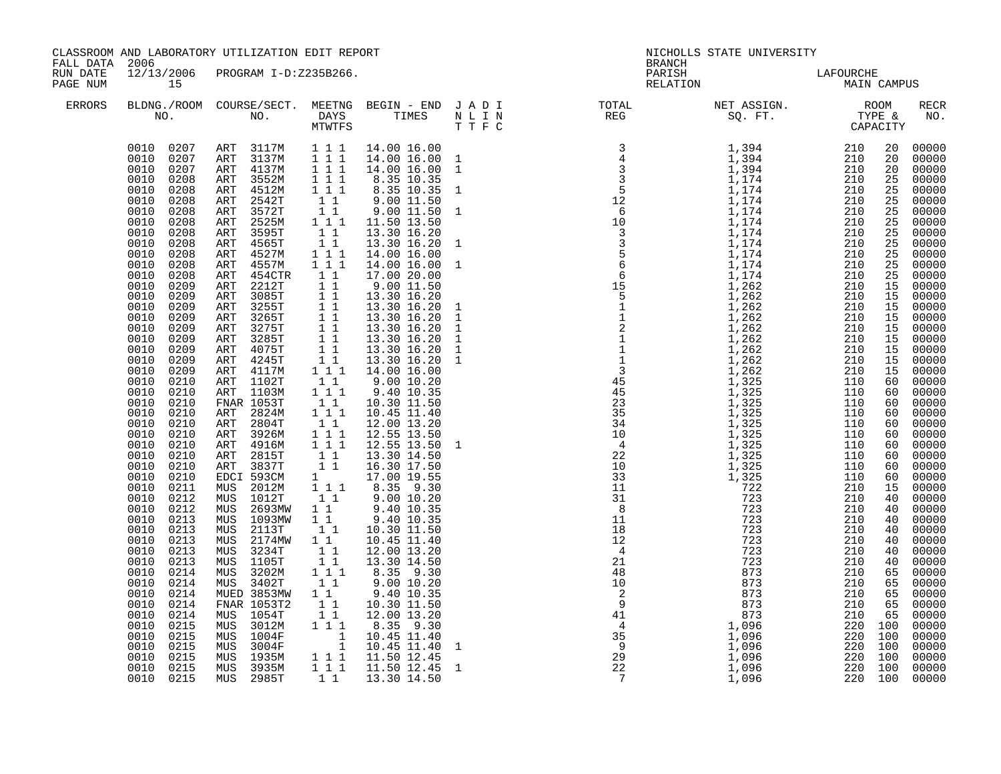| FALL DATA 2006       |                                                                                                                                                                                                                                                                                                                                                                                                                                                                                                                                                                                                                                                                                                                                                                                               | CLASSROOM AND LABORATORY UTILIZATION EDIT REPORT                                                                                                                                                                                                                                                                                                                                                                                                                                                                                                                                                                                                                                                            |                                                                                                                                                                                                                                                                                                                                                                                                                                                                                                                                                                                                                                                                                                                                                                                                                                                                                                                            |                                                                                                                                                                                                                                                                                                                                                                                                                                                                                                                                                                                                                                                                                                                                                                                                                                                                                         | <b>BRANCH</b>                                                                                                                                                                                                                                                                                                                                                                                                                                  | NICHOLLS STATE UNIVERSITY |  |                    |
|----------------------|-----------------------------------------------------------------------------------------------------------------------------------------------------------------------------------------------------------------------------------------------------------------------------------------------------------------------------------------------------------------------------------------------------------------------------------------------------------------------------------------------------------------------------------------------------------------------------------------------------------------------------------------------------------------------------------------------------------------------------------------------------------------------------------------------|-------------------------------------------------------------------------------------------------------------------------------------------------------------------------------------------------------------------------------------------------------------------------------------------------------------------------------------------------------------------------------------------------------------------------------------------------------------------------------------------------------------------------------------------------------------------------------------------------------------------------------------------------------------------------------------------------------------|----------------------------------------------------------------------------------------------------------------------------------------------------------------------------------------------------------------------------------------------------------------------------------------------------------------------------------------------------------------------------------------------------------------------------------------------------------------------------------------------------------------------------------------------------------------------------------------------------------------------------------------------------------------------------------------------------------------------------------------------------------------------------------------------------------------------------------------------------------------------------------------------------------------------------|-----------------------------------------------------------------------------------------------------------------------------------------------------------------------------------------------------------------------------------------------------------------------------------------------------------------------------------------------------------------------------------------------------------------------------------------------------------------------------------------------------------------------------------------------------------------------------------------------------------------------------------------------------------------------------------------------------------------------------------------------------------------------------------------------------------------------------------------------------------------------------------------|------------------------------------------------------------------------------------------------------------------------------------------------------------------------------------------------------------------------------------------------------------------------------------------------------------------------------------------------------------------------------------------------------------------------------------------------|---------------------------|--|--------------------|
| RUN DATE<br>PAGE NUM | 15                                                                                                                                                                                                                                                                                                                                                                                                                                                                                                                                                                                                                                                                                                                                                                                            | 12/13/2006 PROGRAM I-D:Z235B266.                                                                                                                                                                                                                                                                                                                                                                                                                                                                                                                                                                                                                                                                            |                                                                                                                                                                                                                                                                                                                                                                                                                                                                                                                                                                                                                                                                                                                                                                                                                                                                                                                            |                                                                                                                                                                                                                                                                                                                                                                                                                                                                                                                                                                                                                                                                                                                                                                                                                                                                                         | PARISH<br>RELATION                                                                                                                                                                                                                                                                                                                                                                                                                             | LAFOURCHE<br>MAIN CAMPUS  |  |                    |
| <b>ERRORS</b>        |                                                                                                                                                                                                                                                                                                                                                                                                                                                                                                                                                                                                                                                                                                                                                                                               |                                                                                                                                                                                                                                                                                                                                                                                                                                                                                                                                                                                                                                                                                                             |                                                                                                                                                                                                                                                                                                                                                                                                                                                                                                                                                                                                                                                                                                                                                                                                                                                                                                                            |                                                                                                                                                                                                                                                                                                                                                                                                                                                                                                                                                                                                                                                                                                                                                                                                                                                                                         | $\begin{tabular}{lllllllllllllllllllll} \textsc{BLONG.} \textsc{F100M.} & \textsc{COURSE/SECT.} & \textsc{METNG.} & \textsc{BEGIN - END} & \textsc{J A D I} & \textsc{DTATM E} & \textsc{NET ASSIGN.} & \textsc{ROOM} \\ \textsc{NO.} & \textsc{NO.} & \textsc{DAYS} & \textsc{TIMES} & \textsc{N L I N} & \textsc{REG} & \textsc{SEG} & \textsc{ST.} & \textsc{STQ.} & \textsc{TTP E} & \textsc{CAPACITY} \\ & \textsc{MTVTFS} & \textsc{T T$ |                           |  | <b>RECR</b><br>NO. |
|                      | 0010 0207 ART 3117M<br>0010 0207<br>0010 0207<br>0010 0208<br>0010 0208<br>0010<br>0208<br>0010 0208<br>0010<br>0208<br>0010<br>0208<br>0010<br>0208<br>0010<br>0208<br>0010<br>0208<br>0010<br>0208<br>0010<br>0209<br>0010<br>0209<br>0010<br>0209<br>0010<br>0209<br>0010<br>0209<br>0010 0209<br>0010 0209<br>0010<br>0209<br>0010 0209<br>0010 0210<br>0010<br>0210<br>0010<br>0210<br>0010<br>0210<br>0010 0210<br>0010<br>0210<br>0010<br>0210<br>0010<br>0210<br>0210<br>0010<br>0010 0210<br>0010 0211<br>0010<br>0212<br>0010 0212<br>0010 0213<br>0010 0213<br>0010<br>0213<br>0010<br>0213<br>0010<br>0213<br>0010<br>0214<br>0010<br>0214<br>0010<br>0214<br>0010<br>0214<br>0010<br>0214<br>0010<br>0215<br>0010<br>0215<br>0215<br>0010<br>0010 0215<br>0010 0215<br>0010 0215 | ART 3137M<br>ART 4137M<br>ART 3552M<br>ART 4512M<br>ART 2542T<br>ART 3572T<br>ART 2525M<br>ART 3595T<br>ART 4565T<br>4527M<br>ART<br>4557M<br>ART<br>$454 \mathtt{CTR}$<br>ART<br>2212T<br>ART<br>ART 3085T<br>3255T<br>ART<br>ART 3265T<br>ART 3275T<br>ART 3285T<br>ART 4075T<br>ART 4245T<br>ART 4117M<br>ART 1102T<br>ART 1103M<br>FNAR 1053T<br>ART 2824M<br>ART 2804T<br>ART 3926M<br>ART 4916M<br>ART 2815T<br>ART 3837T<br>EDCI 593CM<br>MUS 2012M<br>MUS 1012T<br>MUS 2693MW<br>MUS 1093MW<br>MUS 2113T<br>MUS 2174MW<br>MUS 3234T<br>MUS 1105T<br>MUS 3202M<br>MUS 3402T<br>MUED 3853MW<br>FNAR 1053T2<br>MUS 1054T<br>MUS 3012M<br>MUS 1004F<br>MUS 3004F<br>MUS 1935M<br>MUS 3935M<br>MUS 2985T | $1 1 1$<br>$1 1 1$<br>$1 1 1$<br>$\overline{1}$ $\overline{1}$ $\overline{1}$<br>$1 \ 1 \ 1$<br>11<br>$\begin{array}{rr}\n\bar{1} & \bar{1} \\ 1 & 1 & 1\n\end{array}$<br>$1\quad1$<br>$1\quad1$<br>$\begin{array}{ccc} 1&1&1\\ 1&1&1 \end{array}$<br>$\begin{array}{rr} & 1 & 1 \\ & 1 & 1 \end{array}$<br>$\begin{array}{c} 1 \\ 1 \\ 1 \\ 1 \\ 1 \end{array}$<br>$1\quad1$<br>$\overline{1}$ $\overline{1}$<br>$1\quad1$<br>$1\quad1$<br>$1 1 1$<br>$\begin{smallmatrix}1&1\\1&1&1\end{smallmatrix}$<br>11<br>$1 1 1$<br>$1\quad1$<br>$1\hspace{0.1cm} 1\hspace{0.1cm} 1$<br>$1\overline{1}$<br>$\begin{array}{cc} 1 & 1 \\ 1 & 1 \end{array}$<br>$1 \qquad \qquad$<br>$1\hspace{0.1cm} 1\hspace{0.1cm} 1$<br>$1\quad1$<br>11<br>11<br>$\begin{bmatrix} 1 \\ 1 \end{bmatrix}$<br>$\begin{array}{c} \n 1 \quad 1 \\  1 \quad 1 \quad 1\n \end{array}$<br>11<br>$1\quad1$<br>$1-1$<br>$1\quad1$<br>$1\ 1\ 1$<br>$1\quad1$ | 14.00 16.00<br>14.00 16.00 1<br>14.00 16.00 1<br>8.35 10.35<br>8.35 10.35 1<br>9.00 11.50<br>9.00 11.50<br>11.50 13.50<br>13.30 16.20<br>13.30 16.20<br>14.00 16.00<br>14.00 16.00<br>17.00 20.00<br>$9.00$ 11.50<br>13.30 16.20<br>13.30 16.20<br>13.30 16.20<br>13.30 16.20<br>13.30 16.20<br>13.30 16.20<br>13.30 16.20<br>14.00 16.00<br>9.00 10.20<br>9.40 10.35<br>10.30 11.50<br>10.45 11.40<br>12.00 13.20<br>12.55 13.50<br>12.55 13.50 1<br>13.30 14.50<br>16.30 17.50<br>17.00 19.55<br>8.35 9.30<br>9.00 10.20<br>$\begin{array}{ccc} 1 & 1 & 9.40 & 10.35 \\ 1 & 1 & 9.40 & 10.35 \end{array}$<br>10.30 11.50<br>10.45 11.40<br>12.00 13.20<br>13.30 14.50<br>8.35 9.30<br>9.00 10.20<br>9.40 10.35<br>10.30 11.50<br>12.00 13.20<br>8.35 9.30<br>$\begin{array}{rrrr} 1&1&10.45&11.40\ 1&10.45&11.40&1\ 1&1&11.50&12.45\ 1&1&1&11.50&12.45&1\ \end{array}$<br>13.30 14.50 | $\begin{smallmatrix} \textbf{1} & \textbf{1} & \textbf{1} & \textbf{1} & \textbf{1} & \textbf{1} & \textbf{1} & \textbf{1} & \textbf{1} & \textbf{1} & \textbf{1} & \textbf{1} & \textbf{1} & \textbf{1} & \textbf{1} & \textbf{1} & \textbf{1} & \textbf{1} & \textbf{1} & \textbf{1} & \textbf{1} & \textbf{1} & \textbf{1} & \textbf{1} & \textbf{1} & \textbf{1} & \textbf{1} & \textbf{1} & \textbf{1} & \textbf{1} & \textbf{$           |                           |  |                    |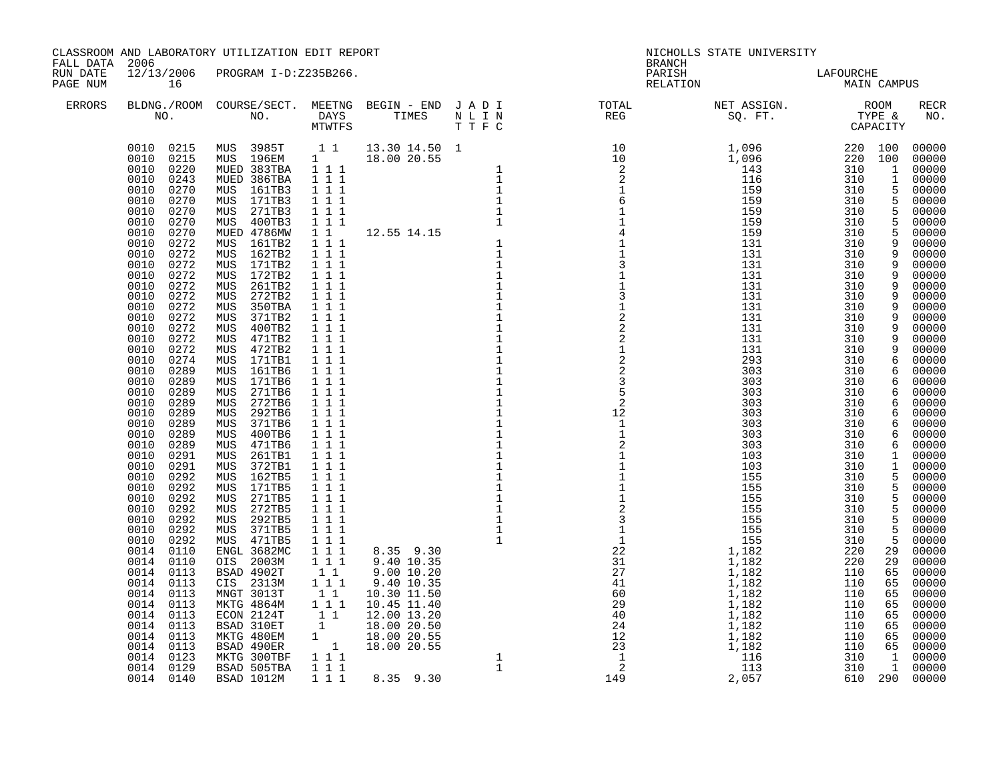| FALL DATA 2006       |                                                                                                                                                                                                                                                                                                                                                                                                | CLASSROOM AND LABORATORY UTILIZATION EDIT REPORT                                                                                                                                                                                                                                                                                                                                      |                                                                                                                                                                                                                                       |                                                                                                                                                                   |                                                                                                    | <b>BRANCH</b>                                   | NICHOLLS STATE UNIVERSITY                |            |   |                    |
|----------------------|------------------------------------------------------------------------------------------------------------------------------------------------------------------------------------------------------------------------------------------------------------------------------------------------------------------------------------------------------------------------------------------------|---------------------------------------------------------------------------------------------------------------------------------------------------------------------------------------------------------------------------------------------------------------------------------------------------------------------------------------------------------------------------------------|---------------------------------------------------------------------------------------------------------------------------------------------------------------------------------------------------------------------------------------|-------------------------------------------------------------------------------------------------------------------------------------------------------------------|----------------------------------------------------------------------------------------------------|-------------------------------------------------|------------------------------------------|------------|---|--------------------|
| RUN DATE<br>PAGE NUM | 16                                                                                                                                                                                                                                                                                                                                                                                             | 12/13/2006 PROGRAM I-D:Z235B266.                                                                                                                                                                                                                                                                                                                                                      |                                                                                                                                                                                                                                       |                                                                                                                                                                   |                                                                                                    |                                                 | PARISH LAFOURCHE<br>RELATION MAIN CAMPUS |            |   |                    |
| ERRORS               |                                                                                                                                                                                                                                                                                                                                                                                                |                                                                                                                                                                                                                                                                                                                                                                                       |                                                                                                                                                                                                                                       |                                                                                                                                                                   |                                                                                                    |                                                 |                                          |            |   | <b>RECR</b><br>NO. |
|                      | 0010<br>0289<br>0010<br>0289<br>0010<br>0289<br>0010<br>0289<br>0010<br>0291<br>0010<br>0291<br>0010<br>0292<br>0010<br>0292<br>0010<br>0292<br>0010 0292<br>0292<br>0010<br>0010 0292<br>0010<br>0292<br>0014 0110<br>0014 0110<br>0014 0113<br>0014<br>0113<br>0014 0113<br>0014 0113<br>0014 0113<br>0014<br>0113<br>0014<br>0113<br>0113<br>0014<br>0014<br>0123<br>0014 0129<br>0014 0140 | 292TB6<br>MUS<br>371TB6<br>MUS<br>MUS 400TB6<br>471TB6<br>MUS<br>MUS 261TB1<br>372TB1<br>MUS<br>MUS 162TB5<br>MUS 171TB5<br>MUS 271TB5<br>MUS 272TB5<br>MUS 292TB5<br>MUS 371TB5<br>MUS 471TB5<br>ENGL 3682MC<br>OIS 2003M<br>BSAD 4902T<br>CIS 2313M<br>MNGT 3013T<br>MKTG 4864M<br>ECON 2124T<br>BSAD 310ET<br>MKTG 480EM<br>BSAD 490ER<br>MKTG 300TBF<br>BSAD 505TBA<br>BSAD 1012M | 1 1 1<br>111<br>1 1 1<br>1 1 1<br>1 1 1<br>111<br>1 1 1<br>1 1 1<br>1 1 1<br>111<br>$1 1 1$<br>1 1 1<br>$1 1 1$<br>1 1 1<br>$1 1 1$<br>$\begin{smallmatrix}1&1\\1&1\end{smallmatrix}$<br>$1\quad1$<br>$1$ $1$ $1$<br>$1 1 1$<br>1 1 1 | $8.35$ 9.30<br>9.40 10.35<br>$\begin{bmatrix} 1 & 1 & 12.00 & 13.20 \ 1 & 18.00 & 20.50 \ 1 & 18.00 & 20.55 \ 1 & 18.00 & 20.55 \end{bmatrix}$<br>1 1 1 8.35 9.30 | $\begin{array}{c} 1 \\ 1 \\ 1 \\ 1 \end{array}$<br>$\begin{array}{c} 1 \\ 1 \\ 1 \\ 1 \end{array}$ | $\frac{1}{2}$<br>$\mathbf{1}$<br>$\overline{1}$ | 303<br>303                               | 310<br>310 | 6 | 6 00000<br>00000   |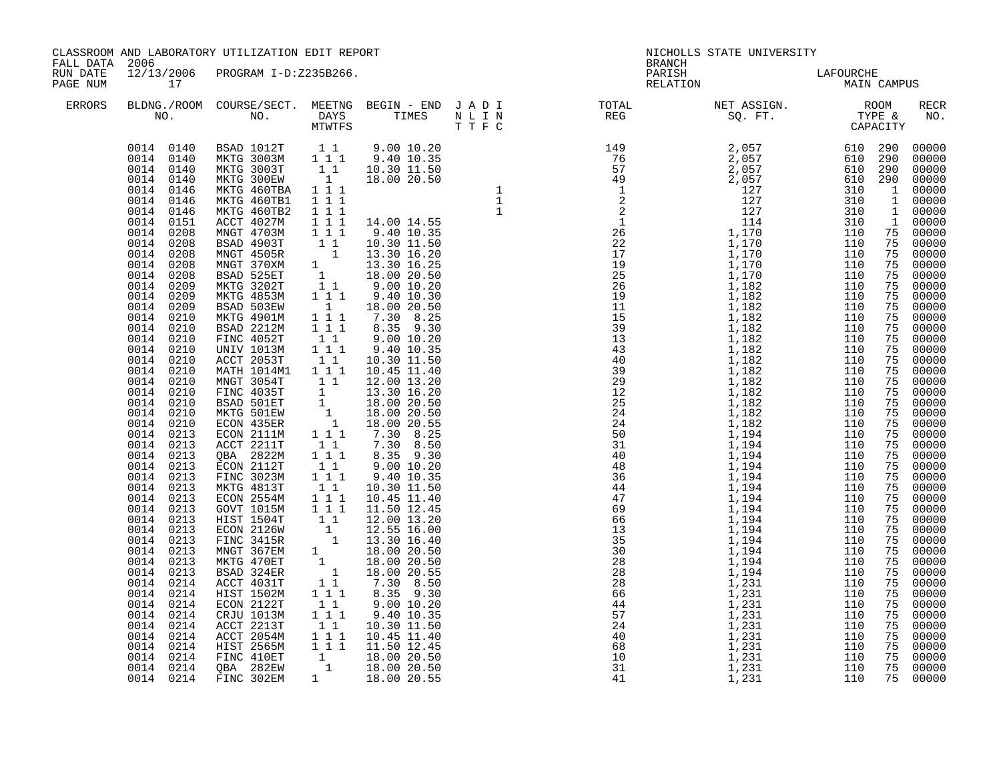| FALL DATA 2006       |                                                                                                                                                                                                                                                                                                                                                                                                                                                                                                                                                                                                                                                                           | CLASSROOM AND LABORATORY UTILIZATION EDIT REPORT                                                                                                                                                                                                                                                                                                                                                                                                                                                                                                                                                                                                                                                                                                                                                                                                                                                                                                                                                      |  | <b>BRANCH</b>                                                                                                                                                                                                                                                                                                                                                                                                                               | NICHOLLS STATE UNIVERSITY |  |             |
|----------------------|---------------------------------------------------------------------------------------------------------------------------------------------------------------------------------------------------------------------------------------------------------------------------------------------------------------------------------------------------------------------------------------------------------------------------------------------------------------------------------------------------------------------------------------------------------------------------------------------------------------------------------------------------------------------------|-------------------------------------------------------------------------------------------------------------------------------------------------------------------------------------------------------------------------------------------------------------------------------------------------------------------------------------------------------------------------------------------------------------------------------------------------------------------------------------------------------------------------------------------------------------------------------------------------------------------------------------------------------------------------------------------------------------------------------------------------------------------------------------------------------------------------------------------------------------------------------------------------------------------------------------------------------------------------------------------------------|--|---------------------------------------------------------------------------------------------------------------------------------------------------------------------------------------------------------------------------------------------------------------------------------------------------------------------------------------------------------------------------------------------------------------------------------------------|---------------------------|--|-------------|
| RUN DATE<br>PAGE NUM | 17                                                                                                                                                                                                                                                                                                                                                                                                                                                                                                                                                                                                                                                                        | 12/13/2006 PROGRAM I-D:Z235B266.                                                                                                                                                                                                                                                                                                                                                                                                                                                                                                                                                                                                                                                                                                                                                                                                                                                                                                                                                                      |  | PARISH<br>RELATION                                                                                                                                                                                                                                                                                                                                                                                                                          | LAFOURCHE<br>MAIN CAMPUS  |  |             |
| <b>ERRORS</b>        |                                                                                                                                                                                                                                                                                                                                                                                                                                                                                                                                                                                                                                                                           |                                                                                                                                                                                                                                                                                                                                                                                                                                                                                                                                                                                                                                                                                                                                                                                                                                                                                                                                                                                                       |  | $\begin{tabular}{lllllllllllllllllllll} \textsc{BLDNG.} \textsc{ROOM} & \textsc{CUIRSE/SECT.} & \textsc{MEETNG} & \textsc{BEGIN} & - & \textsc{END} & \textsc{J} & \textsc{A} & \textsc{D} & \textsc{I} & & & \textsc{TCTAL} & & & \textsc{NET} & \textsc{ASSGN.} & & & \textsc{ROOM} \\ \textsc{NO.} & \textsc{NO.} & \textsc{DAYS} & \textsc{TIMES} & \textsc{N} & \textsc{L} & \textsc{I} & \textsc{N} & & \textsc{TEG} & & & \textsc{S$ |                           |  | RECR<br>NO. |
|                      | 0014<br>0146<br>0014 0146<br>0014 0146<br>0014<br>0151<br>0014 0208<br>0014 0208<br>0014 0208<br>0014 0208<br>0014 0208<br>0014 0209<br>0014 0209<br>0014 0209<br>0014 0210<br>0014 0210<br>0014 0210<br>0014<br>0210<br>0014<br>0210<br>0014<br>0210<br>0014<br>0210<br>0014<br>0210<br>0014<br>0210<br>0014 0210<br>$0014$ 0210<br>0014 0213<br>0014 0213<br>0014 0213<br>0014 0213<br>0014 0213<br>0014 0213<br>0014 0213<br>0014 0213<br>0014 0213<br>$0014$ $0213$<br>0014 0213<br>0213<br>0014<br>0014<br>0213<br>0014<br>0213<br>0014<br>0214<br>0014 0214<br>0014 0214<br>0014 0214<br>0014 0214<br>0014 0214<br>0014 0214<br>0014 0214<br>0014 0214<br>0014 0214 | $\begin{array}{cccccc} 0014 & 0140 & BSAD & 1012T & 1 & 1 & 9.00 & 10.20 \\ 0014 & 0140 & MKTG & 3003M & 1 & 1 & 9.40 & 10.35 \\ 0014 & 0140 & MKTG & 3003T & 1 & 1 & 10.30 & 11.50 \\ 0014 & 0140 & MKTG & 300EW & 1 & 18.00 & 20.50 \end{array}$<br>MKTG 460TBA 1 1 1<br>MKTG 460TB1<br>MKTG 460TB2<br>ACCT 4027M<br>MNGT 4703M<br><b>BSAD 4903T<br/>MNGT 4505R<br/>MNGT 370XM</b><br>BSAD 525ET<br>MKTG 3202T<br>MKTG 48520<br>MKTG 4853M<br>BSAD 503EW<br>MKTG 4901M<br>BSAD 2212M<br>FINC 4052T<br>UNIV 1013M<br>ACCT 2053T<br>MATH 2013M<br>MATH 1014M1 1 1 1<br>MNGT 3054T<br>FINC 4035T<br>BSAD 501ET<br>MKTG 501EW<br>ECON 435ER<br>ECON 2111M<br>ACCT 2211T<br>QBA 2822M<br>ECON 2112T<br>FINC 3023M<br>MKTG 4813T<br>ECON 2554M<br>GOVT 1015M<br>HIST 1504T<br>ECON 2126W<br>FINC 3415R<br>MNGT 367EM<br>MKTG 470ET<br>BSAD 324ER<br>ACCT 4031T<br>HIST 1502M<br>ECON 2122T<br>ECON ZIZZI<br>CRJU 1013M<br>ACCT 2213T<br>ACCT 2054M<br>HIST 2565M<br>FINC 410ET<br>QBA 282EW<br>FINC 302EM |  |                                                                                                                                                                                                                                                                                                                                                                                                                                             |                           |  |             |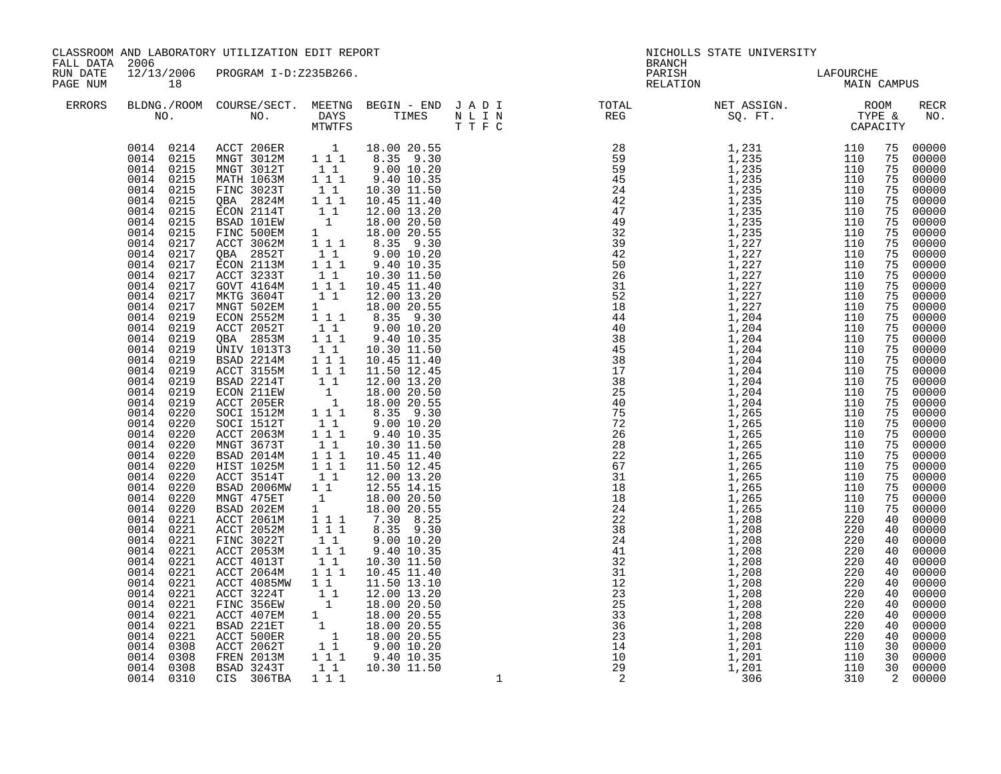| FALL DATA 2006       |                                                                                                                                                                                                                                                                                                                                                                                                                                                                                                                                                                                                                                                          | CLASSROOM AND LABORATORY UTILIZATION EDIT REPORT                                                                                                                                                                                                                                                                                                                                                                                                                                                                                                                                                                                                                                                                                                                                                                                                                                                                                                                                                                                                                                                    |                                                                                                                                                                                                                                 |                                                                                                                                                                                                                                                                                                                                                                                                                                                                                                                                                                                                                                                                                                                                                                                                                                                                                                                                                                                                                                                                                                                                                       | <b>BRANCH</b>                                                                                                                                                                                                                                                                                                                                                                                                                                        | NICHOLLS STATE UNIVERSITY |  |                    |
|----------------------|----------------------------------------------------------------------------------------------------------------------------------------------------------------------------------------------------------------------------------------------------------------------------------------------------------------------------------------------------------------------------------------------------------------------------------------------------------------------------------------------------------------------------------------------------------------------------------------------------------------------------------------------------------|-----------------------------------------------------------------------------------------------------------------------------------------------------------------------------------------------------------------------------------------------------------------------------------------------------------------------------------------------------------------------------------------------------------------------------------------------------------------------------------------------------------------------------------------------------------------------------------------------------------------------------------------------------------------------------------------------------------------------------------------------------------------------------------------------------------------------------------------------------------------------------------------------------------------------------------------------------------------------------------------------------------------------------------------------------------------------------------------------------|---------------------------------------------------------------------------------------------------------------------------------------------------------------------------------------------------------------------------------|-------------------------------------------------------------------------------------------------------------------------------------------------------------------------------------------------------------------------------------------------------------------------------------------------------------------------------------------------------------------------------------------------------------------------------------------------------------------------------------------------------------------------------------------------------------------------------------------------------------------------------------------------------------------------------------------------------------------------------------------------------------------------------------------------------------------------------------------------------------------------------------------------------------------------------------------------------------------------------------------------------------------------------------------------------------------------------------------------------------------------------------------------------|------------------------------------------------------------------------------------------------------------------------------------------------------------------------------------------------------------------------------------------------------------------------------------------------------------------------------------------------------------------------------------------------------------------------------------------------------|---------------------------|--|--------------------|
| RUN DATE<br>PAGE NUM | 18                                                                                                                                                                                                                                                                                                                                                                                                                                                                                                                                                                                                                                                       | 12/13/2006 PROGRAM I-D:Z235B266.                                                                                                                                                                                                                                                                                                                                                                                                                                                                                                                                                                                                                                                                                                                                                                                                                                                                                                                                                                                                                                                                    |                                                                                                                                                                                                                                 |                                                                                                                                                                                                                                                                                                                                                                                                                                                                                                                                                                                                                                                                                                                                                                                                                                                                                                                                                                                                                                                                                                                                                       | PARISH<br>RELATION                                                                                                                                                                                                                                                                                                                                                                                                                                   | LAFOURCHE<br>MAIN CAMPUS  |  |                    |
| ERRORS               |                                                                                                                                                                                                                                                                                                                                                                                                                                                                                                                                                                                                                                                          |                                                                                                                                                                                                                                                                                                                                                                                                                                                                                                                                                                                                                                                                                                                                                                                                                                                                                                                                                                                                                                                                                                     |                                                                                                                                                                                                                                 |                                                                                                                                                                                                                                                                                                                                                                                                                                                                                                                                                                                                                                                                                                                                                                                                                                                                                                                                                                                                                                                                                                                                                       | $\begin{tabular}{lllllllllllllllllllll} \texttt{BLDNG.} \texttt{/ROM} & \texttt{COURSE/SECT.} & \texttt{MEETNG} & \texttt{BEGIN} & - & \texttt{END} & \texttt{J} & \texttt{A} & \texttt{D} & \texttt{I} & & & & \texttt{TOTAL} & & & \texttt{NET} & \texttt{ASSIGN.} & & & \texttt{ROOM} \\ \texttt{NO.} & & & & & & & \texttt{IMES} & & \texttt{N} & \texttt{I} & \texttt{N} & & & \texttt{REG} & & & \texttt{SQ. FT.} & & & \texttt{TYPE} & & & \$ |                           |  | <b>RECR</b><br>NO. |
|                      | 0014 0215<br>0014 0215<br>0014<br>0215<br>0014<br>0215<br>0014 0215<br>0014 0217<br>0014 0217<br>0014 0217<br>0014 0217<br>0014 0217<br>0014 0217<br>0014 0217<br>0014 0219<br>0014 0219<br>0014 0219<br>0014 0219<br>0014 0219<br>0014 0219<br>0014 0219<br>0014 0219<br>0014 0219<br>$0014$ $0220$<br>$0014$ $0220$<br>$0014$ 0220<br>0014 0220<br>0014 0220<br>0014 0220<br>0014 0220<br>0014 0220<br>0014 0220<br>0014 0220<br>0014 0221<br>0014 0221<br>0014 0221<br>0014 0221<br>0014 0221<br>0014 0221<br>0014 0221<br>0014 0221<br>0014 0221<br>0014 0221<br>0014 0221<br>0014<br>0221<br>0014<br>0308<br>0014<br>0308<br>0014 0308<br>0014 0310 | $\begin{tabular}{cccc} 0014 & 0214 & ACT & 206ER & 1 & 18.00 & 20.55 \\ 0014 & 0215 & MNGT & 3012M & 1 & 1 & 8.35 & 9.30 \\ 0014 & 0215 & MNGT & 3012T & 1 & 9.00 & 10.20 \\ 0014 & 0215 & MATH & 1063M & 1 & 1 & 9.40 & 10.35 \\ \end{tabular}$<br>FINC 3023T<br>QBA 2824M<br>ECON 2114T<br>BSAD 101EW<br>FINC 500EM<br>ACCT 3062M<br>QBA 2852T<br>ECON 2113M<br>ACCT 3233T<br>GOVT 4164M<br>MKTG 3604T<br>MNGT 502EM<br>ECON 2552M<br>ACCT 2052H<br>QBA 2853M<br>UNIV 1013T3<br>BSAD 2214M<br>ACCT 3155M<br>BSAD 2214T<br>ECON 211EW<br>ACCT 205ER<br>SOCI 1512M<br>SOCI 1512T<br><b>ACCT 2063M</b><br>MNGT 3673T<br>BSAD 2014M<br>HIST 1025M<br>ACCT 3514T<br>BSAD 2006MW<br>MNGT 475ET<br>BSAD 202EM<br>ACCT 2061M<br>ACCT 2052M<br>ACCT 2052W 1 1 1 8.35 9.30<br>FINC 3022T 1 1 9.00 10.20<br>ACCT 2053M 1 1 1 9.40 10.35<br>ACCT 2064M 1 1 1 10.30 11.50<br>ACCT 2064M 1 1 10.45 11.40<br>ACCT 3224T 1 12.00 13.20<br>FINC 356EW 1 18.00 20.56<br>ACCT 4085MW<br>ACCT 3224T<br>FINC 356EW<br>ACCT 407EM<br>BSAD 221ET<br>ACCT 2062T<br>FREN 2013M<br>BSAD 3243T<br>STAD 3243TPA<br>CIS 306TBA | $\begin{bmatrix} 1\\ 1\\ 1\\ 1 \end{bmatrix}$<br>$\begin{bmatrix} 1\\1\\1\\1 \end{bmatrix}$<br>$\begin{bmatrix} 1 \\ 1 \end{bmatrix}$<br>$\begin{array}{rrrr} & 1 & 1 & 1 \\ 1 & 1 & 1 & 1 \\ & & 1 & 1 & \end{array}$<br>1 1 1 | $\begin{bmatrix} 1 & 1 & 10.30 & 11.50 \ 1 & 1 & 10.45 & 11.40 \ 1 & 1 & 12.00 & 13.20 \ 1 & 18.00 & 20.50 \end{bmatrix}$<br>18.00 20.50<br>1 18.00 20.55<br>$\begin{array}{cccc} 1 & 1 & 1 & 8.35 & 9.30 \\ 1 & 1 & 9.00 & 10.20 \\ 1 & 1 & 9.40 & 10.35 \end{array}$<br>$\begin{array}{cccc} 1 & 1 & 10.30 & 11.50 \\ 1 & 1 & 1 & 10.45 & 11.40 \end{array}$<br>$\begin{bmatrix} 1 & 1 & 12.00 & 13.20 \\ 1 & 12.00 & 13.20 \\ 1 & 18.00 & 20.55 \\ 1 & 1 & 8.35 & 9.30 \end{bmatrix}$<br>9.00 10.20<br>9.40 10.35<br>10.30 11.50<br>$1\ 1\ 1\ 1.50\ 11.50\ 11.1\ 10.45\ 11.40\ 11\ 11.50\ 12.45\ 11\ 12.00\ 13.20\ 1\ 18.00\ 20.50\ 1\ 18.00\ 20.55\ 11.1\ 8.35\ 9.30\ 11\ 9.00\ 10.20\ 11.1\ 9.40\ 10.35\ 11.1\ 10.45\ 11.40\ 11.50\ 11.50\ 11.50\ 11.50\ 11.50\$<br>10.45 11.40<br>11.50 12.45<br>12.00 13.20<br>$1\overline{1}$ 12.55 14.15<br>$\begin{array}{rrrr} 1 & 12.50 & 20.50 \ 1 & 18.00 & 20.55 \ 1 & 1 & 7.30 & 8.25 \ 1 & 1 & 1 & 8.35 & 9.30 \end{array}$<br>$\begin{array}{cccc} 1 & 1.6 \cdot .0 & 20.55\ 1 & 18.00 & 20.55\ 1 & 18.00 & 20.55\ 1 & 1 & 9.00 & 10.20\ 1 & 1 & 9.40 & 10.35\ \end{array}$<br>$1\ 1\ 10.30\ 11.50$ |                                                                                                                                                                                                                                                                                                                                                                                                                                                      |                           |  |                    |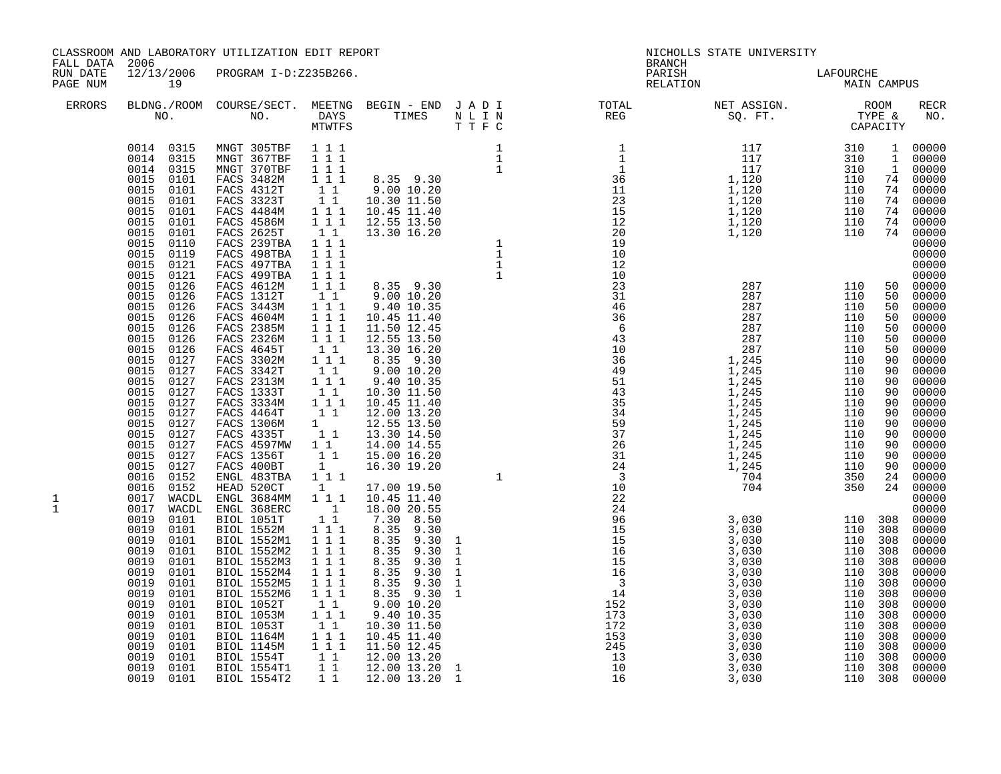| FALL DATA 2006       |                                                                                                                                                                                                                                                                      | CLASSROOM AND LABORATORY UTILIZATION EDIT REPORT                                                                                                                                                                                                                                        |                                                                                                                                                                                                                                                                                                                                                 |                                                                                                                                                                                                                                                | <b>BRANCH</b>                                                                                                                                                                                                                                                                                                                                                                                                                                                                                                                                                                                                                                                                                                       | NICHOLLS STATE UNIVERSITY                                                                                              |                                                                                                                                                                   |                                                          |                                                                                                                                                                     |
|----------------------|----------------------------------------------------------------------------------------------------------------------------------------------------------------------------------------------------------------------------------------------------------------------|-----------------------------------------------------------------------------------------------------------------------------------------------------------------------------------------------------------------------------------------------------------------------------------------|-------------------------------------------------------------------------------------------------------------------------------------------------------------------------------------------------------------------------------------------------------------------------------------------------------------------------------------------------|------------------------------------------------------------------------------------------------------------------------------------------------------------------------------------------------------------------------------------------------|---------------------------------------------------------------------------------------------------------------------------------------------------------------------------------------------------------------------------------------------------------------------------------------------------------------------------------------------------------------------------------------------------------------------------------------------------------------------------------------------------------------------------------------------------------------------------------------------------------------------------------------------------------------------------------------------------------------------|------------------------------------------------------------------------------------------------------------------------|-------------------------------------------------------------------------------------------------------------------------------------------------------------------|----------------------------------------------------------|---------------------------------------------------------------------------------------------------------------------------------------------------------------------|
| RUN DATE<br>PAGE NUM | 19                                                                                                                                                                                                                                                                   | 12/13/2006 PROGRAM I-D:Z235B266.                                                                                                                                                                                                                                                        |                                                                                                                                                                                                                                                                                                                                                 |                                                                                                                                                                                                                                                |                                                                                                                                                                                                                                                                                                                                                                                                                                                                                                                                                                                                                                                                                                                     | PARISH LAFOURCHE<br>RELATION MAIN CAMPUS                                                                               |                                                                                                                                                                   |                                                          |                                                                                                                                                                     |
| <b>ERRORS</b>        |                                                                                                                                                                                                                                                                      |                                                                                                                                                                                                                                                                                         |                                                                                                                                                                                                                                                                                                                                                 |                                                                                                                                                                                                                                                |                                                                                                                                                                                                                                                                                                                                                                                                                                                                                                                                                                                                                                                                                                                     | BLDNG./ROOM COURSE/SECT. MEETNG BEGIN – END JADI TOTAL TOTAL NET ASSIGN. NO ROOM NO. DAYS TIMES NLIN REG SQ.FT. TYPE & |                                                                                                                                                                   |                                                          | RECR<br>NO.                                                                                                                                                         |
|                      | 0014 0315<br>0014 0315<br>0014 0315<br>0015<br>0101<br>0015<br>0101<br>0015<br>0101<br>0015<br>0101<br>0015<br>0101<br>0015<br>0101<br>0015<br>0110<br>0015<br>0119<br>0015<br>0121<br>0015<br>0121<br>0015<br>0126<br>0015<br>0126<br>0015<br>0126<br>0015<br>0126  | MNGT 305TBF<br>MNGT 367TBF<br>MNGT 370TBF<br>FACS 3482M<br>FACS 4312T<br>FACS 3323T<br>FACS 4484M<br>FACS 4586M<br>FACS 2625T<br>FACS 239TBA<br>FACS 498TBA<br>FACS 497TBA<br>FACS 499TBA<br>FACS 4612M<br>FACS 1312T<br>FACS 3443M<br>FACS 4604M                                       | 1 1 1<br>1 1 1<br>$1 1 1$<br>$\overline{1}$ $\overline{1}$ $\overline{1}$<br>$1 1 1$<br>$1 1 1$<br>11<br>1 1 1<br>111<br>$1 1 1$<br>$1 1 1$<br>$1 1 1$<br>$1\quad1$<br>$1 \ 1 \ 1$<br>$1 1 1$                                                                                                                                                   | $\begin{bmatrix} 1 & 1 \\ 1 & 1 \end{bmatrix}$ $\begin{bmatrix} 9.00 & 10.20 \\ 10.30 & 11.50 \end{bmatrix}$                                                                                                                                   |                                                                                                                                                                                                                                                                                                                                                                                                                                                                                                                                                                                                                                                                                                                     |                                                                                                                        |                                                                                                                                                                   |                                                          |                                                                                                                                                                     |
| 1<br>$\mathbf{1}$    | 0015<br>0126<br>0015<br>0126<br>0015<br>0126<br>0015<br>0127<br>0015<br>0127<br>0015<br>0127<br>0015<br>0127<br>0015<br>0127<br>0015<br>0127<br>0015<br>0127<br>0015<br>0127<br>0015<br>0127<br>0015<br>0127<br>0015<br>0127<br>0016<br>0152<br>0016<br>0152<br>0017 | FACS 2385M<br>FACS 2326M<br>FACS 4645T<br>FACS 3302M<br>FACS 3342T<br>FACS 2313M<br>FACS 1333T<br>FACS 3334M<br>FACS 4464T<br>FACS 1306M<br>FACS 4335T<br>FACS 4597MW 1 1<br>FACS 1356T<br>FACS 400BT<br>ENGL 483TBA<br>HEAD 520CT<br>WACDL ENGL 3684MM 1 1 1<br>0017 WACDL ENGL 368ERC | $\begin{array}{cccc} 1 & 1 & 1 \\ 1 & 1 & 1 \end{array}$<br>$\begin{smallmatrix}1&1\\1&1&1\end{smallmatrix}$<br>$1\quad1$<br>$1\hspace{0.1cm} 1\hspace{0.1cm} 1$<br>11<br>$1\overline{1}$<br>$\begin{smallmatrix}1&1\\1\end{smallmatrix}$<br>11<br>$1\quad1$<br>$\mathbf{1}$<br>$1 1 1$<br>1                                                    | $8.35$ $9.30$<br>$9.00\ 10.20$<br>9.40 10.35<br>10.30 11.50<br>10.45 11.40<br>12.00 13.20<br>12.55 13.50<br>13.30 14.50<br>14.00 14.55<br>15.00 16.20<br>16.30 19.20<br>17.00 19.50<br>10.45 11.40<br>18.00 20.55                              | $\begin{array}{cccc} 231 & 287 & 287 \\ 31 & 287 & 287 \\ 46 & 287 & 287 \\ 6 & 43 & 287 \\ 10 & 36 & 1,245 \\ 49 & 1,245 & 1,245 \\ 51 & 1,245 & 1,245 \\ 35 & 1,245 & 1,245 \\ 57 & 1,245 & 1,245 \\ 58 & 1,245 & 1,245 \\ 26 & 1,245 & 1,245 \\ 24 & 1,245 & 1,245 \\ 24 & 1,245 & 1,245$<br>$\begin{array}{cccc} \texttt{13} & \texttt{14} & \texttt{24} \\ \texttt{35} & \texttt{15} & \texttt{24} \\ \texttt{16} & \texttt{17} & \texttt{28} \\ \texttt{28} & \texttt{18} & \texttt{18} \\ \texttt{39} & \texttt{19} & \texttt{19} \\ \texttt{49} & \texttt{19} & \texttt{19} \\ \texttt{50} & \texttt{19} & \texttt{19} \\ \texttt{61} & \texttt{19} & \texttt{19} \\ \texttt{70} & \texttt{19} & \texttt{1$ |                                                                                                                        | 110<br>110<br>110<br>110<br>110<br>110<br>110<br>110<br>110<br>110<br>110<br>350<br>350                                                                           | 90<br>90<br>90<br>90<br>90<br>90<br>90<br>90<br>90<br>24 | $00000$<br>$00000$<br>$00000$<br>00000<br>00000<br>00000<br>$00000$<br>00000<br>00000<br>00000<br>$90 00000$<br>$90 00000$<br>00000<br>24 00000<br>$00000$<br>00000 |
|                      | 0019<br>0101<br>0019<br>0101<br>0019<br>0101<br>0019<br>0101<br>0019<br>0101<br>0019<br>0101<br>0019<br>0101<br>0019<br>0101<br>0019<br>0101<br>0019<br>0101<br>0019<br>0101<br>0019<br>0101<br>0019<br>0101<br>0019<br>0101<br>0019<br>0101<br>0019 0101            | BIOL 1051T<br>BIOL 1552M<br>BIOL 1552M1<br>BIOL 1552M2<br>BIOL 1552M3<br>BIOL 1552M4<br>BIOL 1552M5<br>BIOL 1552M6<br>BIOL 1052T<br>BIOL 1053M<br>BIOL 1053T<br>BIOL 1164M<br>BIOL 1145M<br>BIOL 1554T<br>BIOL 1554T1<br>BIOL 1554T2                                                    | $\begin{smallmatrix}&&1\\&&1\\1&1\end{smallmatrix}$<br>$1 1 1$<br>1 1 1<br>1 1 1<br>$1 1 1$<br>$\begin{array}{ccc} 1&1&1\\1&1&1 \end{array}$<br>111<br>$\begin{bmatrix} 1 \\ 1 \end{bmatrix}$<br>1 1 1<br>$1\quad1$<br>$1 1 1$<br>1 1 1<br>$\begin{array}{cccc} & 1 & 1 & & & \\ & & 1 & 1 & & \\ & & 1 & 1 & & \\ & & & 1 & 1 & & \end{array}$ | 7.30 8.50<br>8.35 9.30<br>8.35 9.30<br>8.35 9.30<br>8.35 9.30<br>8.35 9.30<br>8.35 9.30<br>8.35 9.30 1<br>9.0010.20<br>9.40 10.35<br>10.30 11.50<br>10.45 11.40<br>11.50 12.45<br>12.00 13.20<br>12.00 13.20<br>12.00 13.20 1<br>12.00 13.20 1 |                                                                                                                                                                                                                                                                                                                                                                                                                                                                                                                                                                                                                                                                                                                     |                                                                                                                        | 110 308<br>110 308<br>110 308<br>110 308<br>110 308<br>110 308<br>110 308<br>110 308<br>110 308<br>110 308<br>110 308<br>110 308<br>110 308<br>110 308<br>110 308 |                                                          | 110 308 00000<br>00000<br>$00000$<br>$00000$<br>00000<br>00000<br>00000<br>$00000$<br>$00000$<br>00000<br>00000<br>$00000$<br>00000<br>00000<br>00000<br>00000      |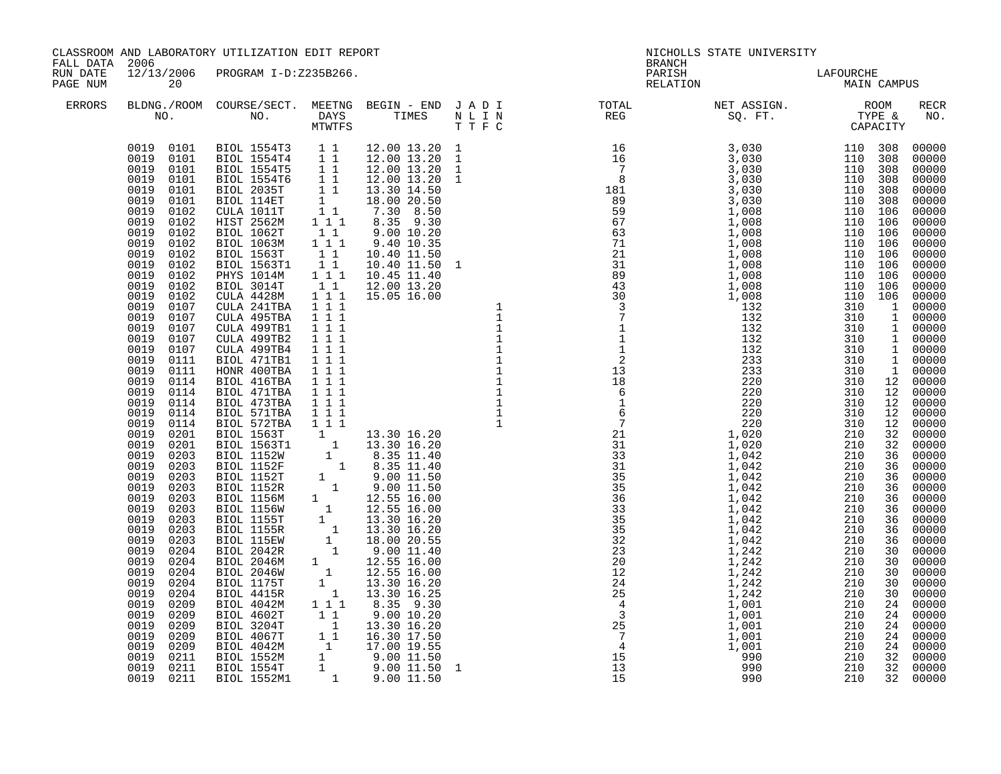| FALL DATA 2006       |                                                                                                                                                                                                                                                                                                                                                                                                                                                                                                                                                                                                                                                              | CLASSROOM AND LABORATORY UTILIZATION EDIT REPORT                                                                                                                                                                                                                                                                                                                                                                                                                                                                     |  | <b>BRANCH</b>      | NICHOLLS STATE UNIVERSITY                                                                                                                                                                                                                                                                                                                                                                                                                                |  |                                                                        |
|----------------------|--------------------------------------------------------------------------------------------------------------------------------------------------------------------------------------------------------------------------------------------------------------------------------------------------------------------------------------------------------------------------------------------------------------------------------------------------------------------------------------------------------------------------------------------------------------------------------------------------------------------------------------------------------------|----------------------------------------------------------------------------------------------------------------------------------------------------------------------------------------------------------------------------------------------------------------------------------------------------------------------------------------------------------------------------------------------------------------------------------------------------------------------------------------------------------------------|--|--------------------|----------------------------------------------------------------------------------------------------------------------------------------------------------------------------------------------------------------------------------------------------------------------------------------------------------------------------------------------------------------------------------------------------------------------------------------------------------|--|------------------------------------------------------------------------|
| RUN DATE<br>PAGE NUM | 20                                                                                                                                                                                                                                                                                                                                                                                                                                                                                                                                                                                                                                                           | 12/13/2006 PROGRAM I-D:Z235B266.                                                                                                                                                                                                                                                                                                                                                                                                                                                                                     |  | PARISH<br>RELATION | LAFOURCHE<br>MAIN CAMPUS                                                                                                                                                                                                                                                                                                                                                                                                                                 |  |                                                                        |
| <b>ERRORS</b>        |                                                                                                                                                                                                                                                                                                                                                                                                                                                                                                                                                                                                                                                              |                                                                                                                                                                                                                                                                                                                                                                                                                                                                                                                      |  |                    | $\begin{tabular}{lllllllllllllllllllll} \textsc{BLONG.} \textsc{ROOM} & \textsc{Course/SECT.} & \textsc{METING} & \textsc{BEGIN} & - & \textsc{END} & \textsc{J} & \textsc{A} & \textsc{D} & \textsc{I} & & & \textsc{TOT.} & \textsc{TOTAL} & & \textsc{NET} & \textsc{ASIGN.} & & \textsc{ROOM} \\ \textsc{NO.} & \textsc{NO.} & \textsc{DAYS} & \textsc{TIMES} & \textsc{N} & \textsc{L} & \textsc{I} & \textsc{NEG} & & \textsc{SEG} & & \textsc{ST$ |  | RECR<br>NO.                                                            |
|                      | 0019<br>0101<br>0019<br>0101<br>0019<br>0102<br>0019<br>0102<br>0019<br>0102<br>0019<br>0102<br>0019<br>0102<br>0019<br>0102<br>0019<br>0102<br>0019<br>0102<br>0019<br>0102<br>0019<br>0107<br>0019<br>0107<br>0019<br>0107<br>0019<br>0107<br>0019<br>0107<br>0019<br>0111<br>0019<br>0111<br>0019<br>0114<br>0019<br>0114<br>0019<br>0114<br>0019<br>0114<br>0019<br>0114<br>0019<br>0201<br>0019<br>0201<br>0019<br>0203<br>0019<br>0203<br>0019<br>0203<br>0019<br>0203<br>0019<br>0203<br>0019<br>0203<br>0019<br>0203<br>0019<br>0203<br>0019<br>0203<br>0019<br>0204<br>0019<br>0204<br>0019<br>0204<br>0019<br>0204<br>0019<br>0204<br>0019<br>0209 | $\begin{array}{cccc} 0019 & 0101 & \text{BIOL} & 1554T3 & 1 & 1 \\ 0019 & 0101 & \text{BIOL} & 1554T4 & 1 & 1 \\ 0019 & 0101 & \text{BIOL} & 1554T5 & 1 & 1 \\ 0019 & 0101 & \text{BIOL} & 1554T6 & 1 & 1 \end{array}$<br>$\begin{tabular}{@{}c@{}}0019 & 0209 & B10L & 4602T & 1 & 1 & 8.35 & 9.30 \\0019 & 0209 & B10L & 4602T & 1 & 1 & 9.00 & 10.20 \\0019 & 0209 & B10L & 3204T & 1 & 13.30 & 16.20 \\0019 & 0209 & B10L & 4067T & 1 & 16.30 & 17.50 \\0019 & 0209 & B10L & 4042M & 1 & 17.00 & 19.55 \\0019 &$ |  |                    | $\begin{small} \textbf{0.13} & \textbf{0.14} & \textbf{0.15} & \textbf{0.16} & \textbf{0.17} & \textbf{0.18} \\ \textbf{0.14} & \textbf{0.17} & \textbf{0.18} & \textbf{0.18} & \textbf{0.19} \\ \textbf{0.15} & \textbf{0.18} & \textbf{0.19} \\ \textbf{0.16} & \textbf{0.18} & \textbf{0.19} \\ \textbf{0.17} & \textbf{0.19} \\ \textbf{0.18} & \textbf{0.19} \\ \textbf{0$                                                                          |  | $\begin{array}{cccc} 110 & 106 & 00000 \\ 310 & 1 & 00000 \end{array}$ |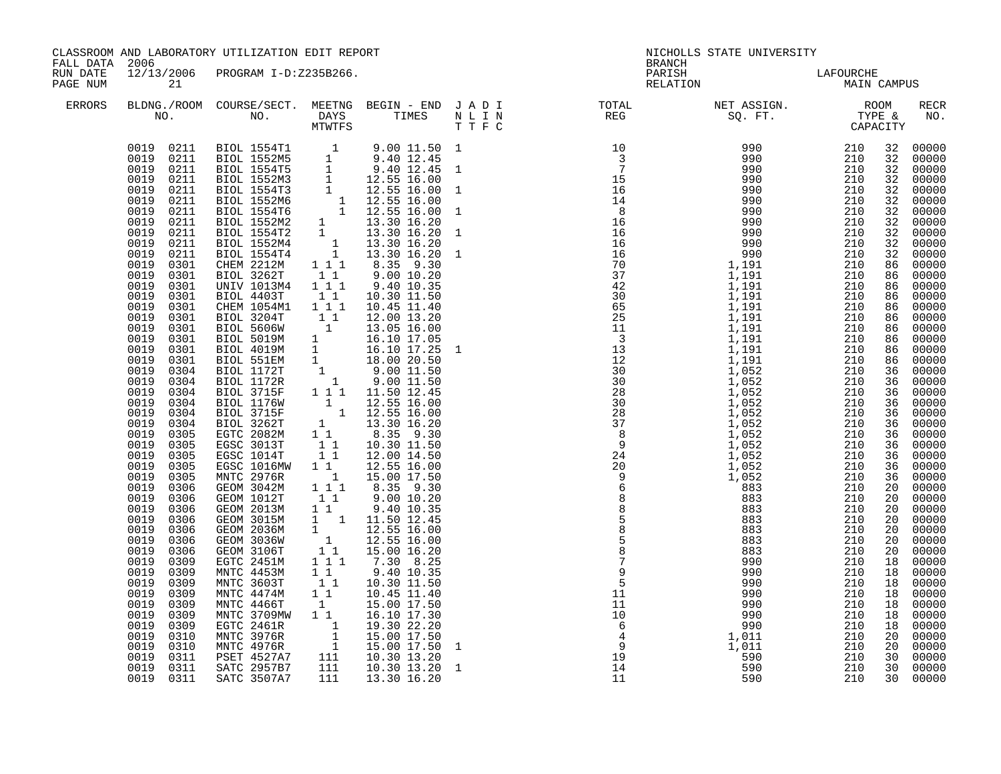| FALL DATA 2006       |                                                                                                                                                                                                                                                                                                                                                                                                                                                                                                                                                                                                                                     | CLASSROOM AND LABORATORY UTILIZATION EDIT REPORT                                                                                                                                                                                                                                                                                                                                                                                                                                                                                                                                                                                                                                                                                                                                                                                                                                                                                                                                                                                                        |                                                            |                                                                                                                                                                                                                                                                                                                                                                                                                                                                                                                                                                                                                                                                                                                                                                                                                                                                                                  | <b>BRANCH</b>      | NICHOLLS STATE UNIVERSITY |                                                                                                                                                                                                                                                                                                                       |                                                                                                                                                                                                                                                                                                                                                                                                                                                                            |
|----------------------|-------------------------------------------------------------------------------------------------------------------------------------------------------------------------------------------------------------------------------------------------------------------------------------------------------------------------------------------------------------------------------------------------------------------------------------------------------------------------------------------------------------------------------------------------------------------------------------------------------------------------------------|---------------------------------------------------------------------------------------------------------------------------------------------------------------------------------------------------------------------------------------------------------------------------------------------------------------------------------------------------------------------------------------------------------------------------------------------------------------------------------------------------------------------------------------------------------------------------------------------------------------------------------------------------------------------------------------------------------------------------------------------------------------------------------------------------------------------------------------------------------------------------------------------------------------------------------------------------------------------------------------------------------------------------------------------------------|------------------------------------------------------------|--------------------------------------------------------------------------------------------------------------------------------------------------------------------------------------------------------------------------------------------------------------------------------------------------------------------------------------------------------------------------------------------------------------------------------------------------------------------------------------------------------------------------------------------------------------------------------------------------------------------------------------------------------------------------------------------------------------------------------------------------------------------------------------------------------------------------------------------------------------------------------------------------|--------------------|---------------------------|-----------------------------------------------------------------------------------------------------------------------------------------------------------------------------------------------------------------------------------------------------------------------------------------------------------------------|----------------------------------------------------------------------------------------------------------------------------------------------------------------------------------------------------------------------------------------------------------------------------------------------------------------------------------------------------------------------------------------------------------------------------------------------------------------------------|
| RUN DATE<br>PAGE NUM | 21                                                                                                                                                                                                                                                                                                                                                                                                                                                                                                                                                                                                                                  | 12/13/2006 PROGRAM I-D:Z235B266.                                                                                                                                                                                                                                                                                                                                                                                                                                                                                                                                                                                                                                                                                                                                                                                                                                                                                                                                                                                                                        |                                                            |                                                                                                                                                                                                                                                                                                                                                                                                                                                                                                                                                                                                                                                                                                                                                                                                                                                                                                  | PARISH<br>RELATION | LAFOURCHE<br>MAIN CAMPUS  |                                                                                                                                                                                                                                                                                                                       |                                                                                                                                                                                                                                                                                                                                                                                                                                                                            |
| ERRORS               |                                                                                                                                                                                                                                                                                                                                                                                                                                                                                                                                                                                                                                     |                                                                                                                                                                                                                                                                                                                                                                                                                                                                                                                                                                                                                                                                                                                                                                                                                                                                                                                                                                                                                                                         |                                                            |                                                                                                                                                                                                                                                                                                                                                                                                                                                                                                                                                                                                                                                                                                                                                                                                                                                                                                  |                    |                           |                                                                                                                                                                                                                                                                                                                       | RECR<br>NO.                                                                                                                                                                                                                                                                                                                                                                                                                                                                |
|                      | 0019<br>0301<br>0019<br>0301<br>0019<br>0301<br>0019<br>0301<br>0019<br>0301<br>0019<br>0301<br>0019 0301<br>0019<br>0301<br>0019<br>0301<br>0019<br>0304<br>0019<br>0304<br>0019<br>0304<br>0019<br>0304<br>0019<br>0304<br>0019<br>0304<br>0019<br>0305<br>0019<br>0305<br>0019<br>0305<br>0019<br>0305<br>0019 0305<br>0019<br>0306<br>0019<br>0306<br>0019<br>0306<br>0019<br>0306<br>0019<br>0306<br>0019<br>0306<br>0019<br>0306<br>0019<br>0309<br>0019<br>0309<br>0019<br>0309<br>0019<br>0309<br>0019<br>0309<br>0019<br>0309<br>0019<br>0309<br>0019<br>0310<br>0019<br>0310<br>0019<br>0311<br>0019<br>0311<br>0019 0311 | $\begin{tabular}{@{}c@{}}0019 & 0211 & BIOL & 1554T1 & 1 & 9.00 & 11.50 & 1 \\0019 & 0211 & BIOL & 1552M5 & 1 & 9.40 & 12.45 \\0019 & 0211 & BIOL & 1554T5 & 1 & 9.40 & 12.45 & 1 \\0019 & 0211 & BIOL & 1554T3 & 1 & 12.55 & 16.00 & 1 \\0019 & 0211 & BIOL & 1552M3 & 1 & 12.55 & 16.00 & 1$<br>BIOL 3262T<br>UNIV 1013M4 1 1 1<br>BIOL 4403T 11<br>CHEM 1054M1 111<br>BIOL 3204T<br><b>BIOL 5606W<br/>BIOL 5019M</b><br>BIOL 4019M<br>BIOL 551EM<br>BIOL 1172T<br>BIOL 1172R<br>BIOL 3715F<br>BIOL 1176W<br>BIOL 3715F<br>BIOL 3262T<br>EGTC 2082M<br>EGSC 3013T<br>EGSC 1014T<br>EGSC 1016MW<br>MNTC 2976R<br>GEOM 3042M<br>GEOM 1012T<br>GEOM 2013M<br>GEOM 3015M<br>GEOM 2036M<br>GEOM 3036W<br>GEOM 3106T<br>EGTC 2451M<br>MNTC 4453M<br>MNTC 3603T<br>MNTC 4474M<br>MNIC 4474M<br>MNIC 4466T<br>MNIC 3709MW<br>1 1 15.00 17.30<br>EGTC 2461R<br>1 19.30 22.20<br>MNIC 3976R<br>1 15.00 17.50<br>MNIC 4976R<br>1 15.00 17.50<br>PSET 4527A7<br>111 10.30 13.20<br>SATC 2957B7<br>111 10.30 13.20<br>SATC 2957B7<br>111 10.30 13.2<br>SATC 3507A7 | $1\quad1$<br>$\begin{array}{cc} & 1 & 1 \end{array}$<br>11 | $9.00\ 10.20$<br>9.40 10.35<br>10.30 11.50<br>10.45 11.40<br>$\begin{array}{cccc} 1&1&1&10.49&11.40\ 1&1&12.00&13.20\ 1&1&13.05&16.00\ 1&16.10&17.05\ 1&16.10&17.25\ 1&1&18.00&20.50\ 1&9.00&11.50\ 1&1&9.01&1.50\ 1&1&1&50&12.45\ \end{array}$<br>1 1 1 11.50 12.45<br>$\begin{array}{rrrr} 1 & 1 & 1 & 1.50 & 12.45 \ 1 & 12.55 & 16.00 \ 1 & 13.30 & 16.20 \ 1 & 8.35 & 9.30 \ 1 & 1 & 10.30 & 11.50 \ 1 & 1 & 12.00 & 14.50 \end{array}$<br>$\begin{array}{cccc} 1&1\\1&1\\1&12.55\\1&1&15.00&17.5\text{u}\\ 1&1&8.35&9.30\\ 1&1&9.00&10.20\\ 9&40&10.35\\ \end{array}$<br>$\begin{array}{rrrr} 1 & 9 & .40 & 10 & .35 \ 1 & 1 & 11 & .50 & 12 & .45 \ 1 & 12 & .55 & 16 & .00 \ 1 & 12 & .55 & 16 & .00 \ 1 & 15 & .00 & 16 & .20 \end{array}$<br>$\begin{array}{ccc} 1 & 1 & 1 & 7 & 30 & 8 & 25 \\ 1 & 1 & 9 & 40 & 10 & 35 \end{array}$<br>10.30 11.50<br>10.45 11.40<br>111 13.30 16.20 |                    |                           | 32<br>32<br>32<br>32<br>32<br>32<br>32<br>32<br>32<br>32<br>32<br>86<br>86<br>86<br>86<br>86<br>86<br>86<br>86<br>86<br>86<br>36<br>36<br>36<br>36<br>36<br>36<br>36<br>36<br>36<br>36<br>36<br>20<br>20<br>20<br>20<br>20<br>20<br>20<br>18<br>18<br>18<br>18<br>18<br>18<br>18<br>20<br>20<br>$\overline{30}$<br>30 | 00000<br>00000<br>00000<br>00000<br>00000<br>00000<br>00000<br>00000<br>00000<br>00000<br>00000<br>00000<br>00000<br>00000<br>00000<br>00000<br>00000<br>00000<br>00000<br>00000<br>00000<br>00000<br>00000<br>00000<br>00000<br>00000<br>00000<br>00000<br>00000<br>00000<br>00000<br>00000<br>00000<br>00000<br>00000<br>00000<br>00000<br>00000<br>00000<br>00000<br>00000<br>00000<br>00000<br>00000<br>00000<br>00000<br>00000<br>00000<br>00000<br>00000<br>30 00000 |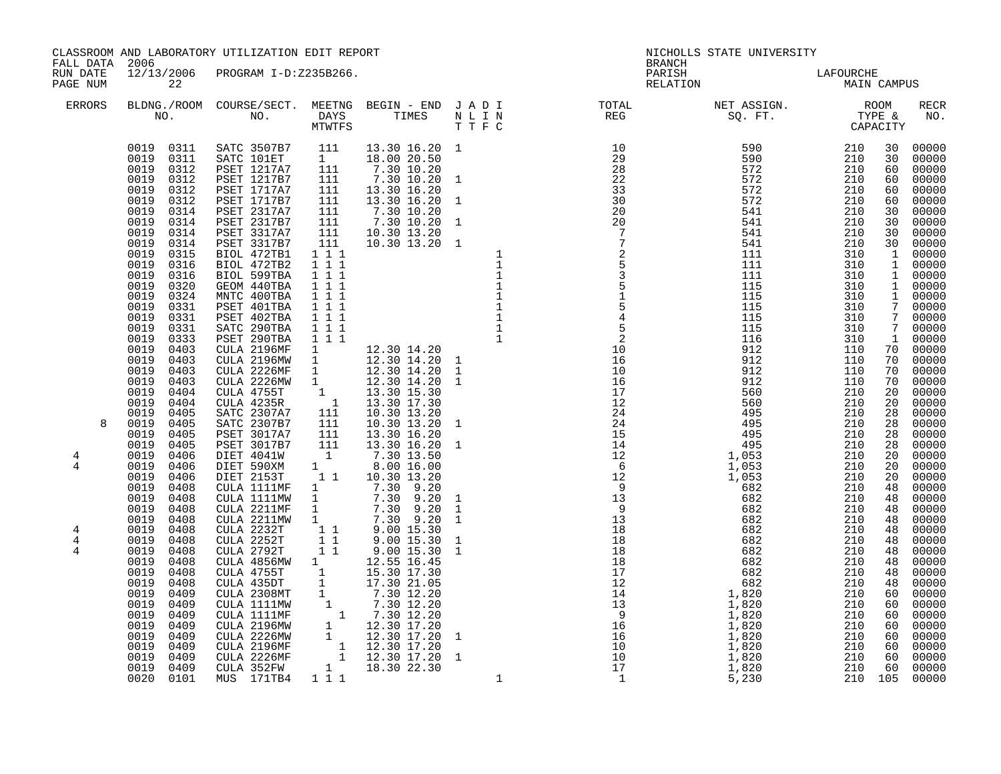| FALL DATA 2006             |                                                                                                                                                                                                                                                                                                                                                                                                                                                                                                                                                                                                                                                                                                                                                                                                                        | CLASSROOM AND LABORATORY UTILIZATION EDIT REPORT                                                                                                                                                                                                                                                                                                                                                                                                                                                                                                                                                                                                                                                                                                                                                                                                      |                                                                                                                                    |                                                                                                                                               |                                                                                                                                                                                                                                                                                               | <b>BRANCH</b>                                                                                                                                                                                                                                                                                                                                                                                                                                                                                                                                                                                                                                                                                                                      | NICHOLLS STATE UNIVERSITY                                                                                                                                                                                                                                                                                                                                                                                                                                                                                                                                                                                                                                                                                                         |                                                                                  |                                                                                                                                                                          |                                                                                                                                                                                                                                                                                                                                                                                                                                                                       |
|----------------------------|------------------------------------------------------------------------------------------------------------------------------------------------------------------------------------------------------------------------------------------------------------------------------------------------------------------------------------------------------------------------------------------------------------------------------------------------------------------------------------------------------------------------------------------------------------------------------------------------------------------------------------------------------------------------------------------------------------------------------------------------------------------------------------------------------------------------|-------------------------------------------------------------------------------------------------------------------------------------------------------------------------------------------------------------------------------------------------------------------------------------------------------------------------------------------------------------------------------------------------------------------------------------------------------------------------------------------------------------------------------------------------------------------------------------------------------------------------------------------------------------------------------------------------------------------------------------------------------------------------------------------------------------------------------------------------------|------------------------------------------------------------------------------------------------------------------------------------|-----------------------------------------------------------------------------------------------------------------------------------------------|-----------------------------------------------------------------------------------------------------------------------------------------------------------------------------------------------------------------------------------------------------------------------------------------------|------------------------------------------------------------------------------------------------------------------------------------------------------------------------------------------------------------------------------------------------------------------------------------------------------------------------------------------------------------------------------------------------------------------------------------------------------------------------------------------------------------------------------------------------------------------------------------------------------------------------------------------------------------------------------------------------------------------------------------|-----------------------------------------------------------------------------------------------------------------------------------------------------------------------------------------------------------------------------------------------------------------------------------------------------------------------------------------------------------------------------------------------------------------------------------------------------------------------------------------------------------------------------------------------------------------------------------------------------------------------------------------------------------------------------------------------------------------------------------|----------------------------------------------------------------------------------|--------------------------------------------------------------------------------------------------------------------------------------------------------------------------|-----------------------------------------------------------------------------------------------------------------------------------------------------------------------------------------------------------------------------------------------------------------------------------------------------------------------------------------------------------------------------------------------------------------------------------------------------------------------|
| RUN DATE<br>PAGE NUM       | 22                                                                                                                                                                                                                                                                                                                                                                                                                                                                                                                                                                                                                                                                                                                                                                                                                     | 12/13/2006 PROGRAM I-D:Z235B266.                                                                                                                                                                                                                                                                                                                                                                                                                                                                                                                                                                                                                                                                                                                                                                                                                      |                                                                                                                                    |                                                                                                                                               |                                                                                                                                                                                                                                                                                               | PARISH<br>RELATION                                                                                                                                                                                                                                                                                                                                                                                                                                                                                                                                                                                                                                                                                                                 | LAFOURCHE<br>MAIN CAMPUS                                                                                                                                                                                                                                                                                                                                                                                                                                                                                                                                                                                                                                                                                                          |                                                                                  |                                                                                                                                                                          |                                                                                                                                                                                                                                                                                                                                                                                                                                                                       |
| <b>ERRORS</b>              |                                                                                                                                                                                                                                                                                                                                                                                                                                                                                                                                                                                                                                                                                                                                                                                                                        |                                                                                                                                                                                                                                                                                                                                                                                                                                                                                                                                                                                                                                                                                                                                                                                                                                                       |                                                                                                                                    |                                                                                                                                               |                                                                                                                                                                                                                                                                                               | $\begin{tabular}{lllllllllllllllllllll} \textsc{BLONG.} \textsc{F100M.} & \textsc{CUIRSE/SECT.} & \textsc{METING.} & \textsc{BEGIN - END.} & \textsc{J A D I} & \textsc{DTQTAL} & \textsc{NET ASSIGN.} & \textsc{ROOM} \\ \textsc{NO.} & \textsc{NO.} & \textsc{DAYS} & \textsc{TIMES} & \textsc{N L I N} & \textsc{REG} & \textsc{SQ. FT.} & \textsc{TTPE & \texttt{C} \\ \textsc{MTVFTS} & \textsc{DTT T F C} & \textsc{STG} & \textsc{$                                                                                                                                                                                                                                                                                         |                                                                                                                                                                                                                                                                                                                                                                                                                                                                                                                                                                                                                                                                                                                                   |                                                                                  |                                                                                                                                                                          | <b>RECR</b><br>NO.                                                                                                                                                                                                                                                                                                                                                                                                                                                    |
| 8<br>4<br>4<br>4<br>4<br>4 | 0019 0311<br>0019 0311<br>0019<br>0312<br>0019<br>0312<br>0019<br>0312<br>0019<br>0312<br>0019<br>0314<br>0019<br>0314<br>0019<br>0314<br>0019<br>0314<br>0019<br>0315<br>0019<br>0316<br>0019<br>0316<br>0019<br>0320<br>0019<br>0324<br>0019<br>0331<br>0019<br>0331<br>0019<br>0331<br>0019<br>0333<br>0019<br>0403<br>0019<br>0403<br>0019<br>0403<br>0019<br>0403<br>0019<br>0404<br>0019<br>0404<br>0019<br>0405<br>0019<br>0405<br>0019<br>0405<br>0019<br>0405<br>0019<br>0406<br>0019<br>0406<br>0019<br>0406<br>0019<br>0408<br>0019<br>0408<br>0019<br>0408<br>0019<br>0408<br>0019<br>0408<br>0019<br>0408<br>0019<br>0408<br>0019<br>0408<br>0019<br>0408<br>0019<br>0408<br>0019<br>0409<br>0019<br>0409<br>0019<br>0409<br>0019<br>0409<br>0019<br>0409<br>0019<br>0409<br>0019<br>0409<br>0019<br>0409 | SATC 3507B7 111<br>SATC 101ET 1<br>PSET 1217A7 111<br>PSET 1217B7 111<br>PSET 1717A7<br>PSET 1717B7<br>PSET 2317A7<br>PSET 2317B7<br><b>PSET 3317A7</b><br>PSET 3317B7<br>BIOL 472TB1<br>BIOL 472TB2<br>BIOL 599TBA<br>GEOM 440TBA<br>MNTC 400TBA<br>PSET 401TBA<br>PSET 402TBA<br>SATC 290TBA<br>PSET 290TBA<br>PSET 290TBA 1 1 1<br>CULA 2196MF 1 12.30 14.20<br>CULA 2226MF 1 12.30 14.20<br>CULA 2226MF 1 12.30 14.20<br>CULA 2226MW 1 12.30 14.20<br>CULA 4755T 1 13.30 15.30<br>CULA 4235R 1 13.30 17.30<br>SATC 2307B7 111 10.30 13.20<br>SATC 2307B7 11<br>PSET 3017A7<br><b>PSET 3017B7</b><br>FSET 301787 111 13.30 16.20 1<br>DIET 4041W 1 7.30 13.50<br>DIET 590XM 1 8.00 16.00 1<br>DIET 2153T 1 1 10.30 13.50<br>CULA 1111MF 1 7.30 9.20<br>CULA 1211MF 1 7.30 9.20 1<br>CULA 2211MF 1 7.30 9.20 1<br>CULA 2211MF 1 7.30 9.20 1<br>CULA | 111<br>111<br>111<br>111<br>1 1 1<br>$1 1 1$<br>111<br>111<br>1 1 1<br>111<br>$1\ 1\ 1$<br>1 1 1<br>$11\overline{1}$<br>111<br>111 | 13.30 16.20 1<br>18.00 20.50<br>$\begin{array}{rrrr} 111 & & 7.30 & 10.20 \\ 111 & & 10.30 & 13.20 \end{array}$<br>13.30 16.20<br>13.30 16.20 | $\begin{array}{cccc} 13.30&16.20&1\\ 18.00&20.50&0\\ 7.30&10.20&1&29\\ 7.30&10.20&1&22\\ 13.30&16.20&1&33\\ 13.30&16.20&1&33\\ 7.30&10.20&1&30\\ 7.30&10.20&1&20\\ 10.30&13.20&1&20\\ 10.30&13.20&1&7\\ 1&1&2&2\\ 1&1&2&5\\ 1&1&5&5\\ 1&1&5&5\\ 12.30&1$<br>$\mathbf{1}$<br>$\mathbf{1}$<br>1 | 10<br>29<br>$\begin{array}{cccc} & & & & & & \frac{5}{2} & & & & & \frac{2}{2} & & & \frac{10}{2} & & \frac{10}{2} & & \frac{10}{2} & & \frac{10}{2} & & \frac{10}{2} & & \frac{10}{2} & & \frac{10}{2} & & \frac{10}{2} & & \frac{10}{2} & & \frac{10}{2} & & \frac{10}{2} & & \frac{10}{2} & & \frac{10}{2} & & \frac{10}{2} & & \frac{10}{2} & & \frac{10}{2} & & \frac{10}{2} & & \frac{10}{2} & & \frac{10$<br>$\begin{array}{cccc} 12 & 1\,, 053 \\ 6 & 1\,, 053 \\ 12 & 1\,, 053 \\ 9 & 1\,, 053 \\ 9 & 682 \\ 13 & 682 \\ 13 & 682 \\ 18 & 682 \\ 18 & 682 \\ 18 & 682 \\ 18 & 682 \\ 18 & 682 \\ 18 & 682 \\ 19 & 1\,, 820 \\ 14 & 1\,, 820 \\ 13 & 1\,, 820 \\ 16 & 1\,, 820 \\ 16 & 1\,, 820 \\ 16 & 1\,, 820 \\ 10 & $ | $\begin{array}{cccc} \text{1} & \text{1} & \text{1} & \text{1} & \text{1} & \text{1} & \text{1} & \text{1} & \text{1} & \text{1} & \text{1} & \text{1} & \text{1} & \text{1} & \text{1} & \text{1} & \text{1} & \text{1} & \text{1} & \text{1} & \text{1} & \text{1} & \text{1} & \text{1} & \text{1} & \text{1} & \text{1} & \text{1} & \text{1} & \text{1} & \text{1} & \text{1} & \text{1} & \text{1} & \text{1} & \text{$<br>1,053<br>1,053<br>$\begin{array}{cccc} 6820 & 210 & 46 & 000000 \ 1,820 & 210 & 60 & 00000 \ 1,820 & 210 & 60 & 00000 \ 1,820 & 210 & 60 & 00000 \ 1,820 & 210 & 60 & 00000 \ 1,820 & 210 & 60 & 00000 \ 1,820 & 210 & 60 & 00000 \ 1,820 & 210 & 60 & 00000 \ 1,820 & 210 & 60 & 00000 \ 5,230$ | 210<br>210<br>210<br>210<br>210<br>210<br>210<br>210<br>210<br>210<br>210<br>210 | 30<br>30<br>60<br>60<br>60<br>30<br>$\mathbf{1}$<br>70<br>20<br>20<br>28<br>28<br>28<br>28<br>20<br>20<br>20<br>48<br>48<br>48<br>48<br>48<br>48<br>48<br>48<br>48<br>48 | 00000<br>00000<br>00000<br>00000<br>60 00000<br>00000<br>00000<br>$\begin{bmatrix} 30 & 00000 \\ 30 & 00000 \end{bmatrix}$<br>30 00000<br>1 00000<br>$\overline{1}$ 00000<br>1 00000<br>1 00000<br>1 00000<br>7 00000<br>7 00000<br>7 00000<br>00000<br>70 00000<br>70 00000<br>70 00000<br>00000<br>00000<br>00000<br>00000<br>00000<br>00000<br>00000<br>00000<br>00000<br>00000<br>$00000$<br>00000<br>00000<br>00000<br>00000<br>00000<br>00000<br>00000<br>00000 |
|                            | 0020 0101                                                                                                                                                                                                                                                                                                                                                                                                                                                                                                                                                                                                                                                                                                                                                                                                              | MUS 171TB4 1 1 1                                                                                                                                                                                                                                                                                                                                                                                                                                                                                                                                                                                                                                                                                                                                                                                                                                      |                                                                                                                                    |                                                                                                                                               |                                                                                                                                                                                                                                                                                               |                                                                                                                                                                                                                                                                                                                                                                                                                                                                                                                                                                                                                                                                                                                                    |                                                                                                                                                                                                                                                                                                                                                                                                                                                                                                                                                                                                                                                                                                                                   |                                                                                  |                                                                                                                                                                          |                                                                                                                                                                                                                                                                                                                                                                                                                                                                       |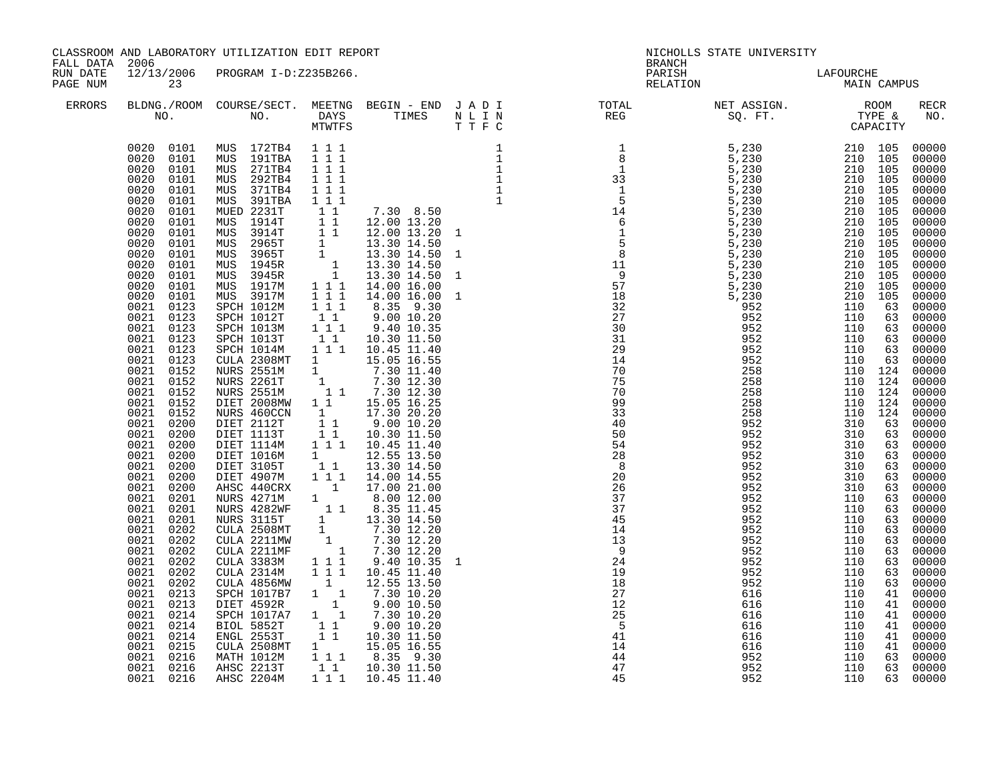| FALL DATA 2006       |                                                                                                                                                                                                                                                                                                                                                                                                                                                                                                                                                                                                                                                                                                                                                                                                                         | CLASSROOM AND LABORATORY UTILIZATION EDIT REPORT                                                                                                                                                                                                                                                                                                                                                                                                                                                                                                                                                                                                                                                                                                                                                                                                                                                                                                                                                                                                                                                                                                                   |                                                                                                                                                                                                                                             |                                                                                                                                                                                                                  | <b>BRANCH</b>                                                                                                             | NICHOLLS STATE UNIVERSITY |                   |    |                                                                                                                                                                                                                                                                                                                                                                                                                                                                                                                                                                                |
|----------------------|-------------------------------------------------------------------------------------------------------------------------------------------------------------------------------------------------------------------------------------------------------------------------------------------------------------------------------------------------------------------------------------------------------------------------------------------------------------------------------------------------------------------------------------------------------------------------------------------------------------------------------------------------------------------------------------------------------------------------------------------------------------------------------------------------------------------------|--------------------------------------------------------------------------------------------------------------------------------------------------------------------------------------------------------------------------------------------------------------------------------------------------------------------------------------------------------------------------------------------------------------------------------------------------------------------------------------------------------------------------------------------------------------------------------------------------------------------------------------------------------------------------------------------------------------------------------------------------------------------------------------------------------------------------------------------------------------------------------------------------------------------------------------------------------------------------------------------------------------------------------------------------------------------------------------------------------------------------------------------------------------------|---------------------------------------------------------------------------------------------------------------------------------------------------------------------------------------------------------------------------------------------|------------------------------------------------------------------------------------------------------------------------------------------------------------------------------------------------------------------|---------------------------------------------------------------------------------------------------------------------------|---------------------------|-------------------|----|--------------------------------------------------------------------------------------------------------------------------------------------------------------------------------------------------------------------------------------------------------------------------------------------------------------------------------------------------------------------------------------------------------------------------------------------------------------------------------------------------------------------------------------------------------------------------------|
| RUN DATE<br>PAGE NUM | 23                                                                                                                                                                                                                                                                                                                                                                                                                                                                                                                                                                                                                                                                                                                                                                                                                      | 12/13/2006 PROGRAM I-D:Z235B266.                                                                                                                                                                                                                                                                                                                                                                                                                                                                                                                                                                                                                                                                                                                                                                                                                                                                                                                                                                                                                                                                                                                                   |                                                                                                                                                                                                                                             |                                                                                                                                                                                                                  | PARISH<br>RELATION                                                                                                        | LAFOURCHE<br>MAIN CAMPUS  |                   |    |                                                                                                                                                                                                                                                                                                                                                                                                                                                                                                                                                                                |
| <b>ERRORS</b>        |                                                                                                                                                                                                                                                                                                                                                                                                                                                                                                                                                                                                                                                                                                                                                                                                                         |                                                                                                                                                                                                                                                                                                                                                                                                                                                                                                                                                                                                                                                                                                                                                                                                                                                                                                                                                                                                                                                                                                                                                                    |                                                                                                                                                                                                                                             |                                                                                                                                                                                                                  | BLDNG./ROOM COURSE/SECT. MEETNG BEGIN – END JADI TOTAL NET ASSIGN. NET ASSIGN. ROOM NO. DAYS TIMES NLIN REG SQ.FT. TYPE & |                           |                   |    | <b>RECR</b><br>NO.                                                                                                                                                                                                                                                                                                                                                                                                                                                                                                                                                             |
|                      | 0020 0101<br>0020<br>0101<br>0020<br>0101<br>0020<br>0101<br>0020<br>0101<br>0020<br>0101<br>0020<br>0101<br>0020 0101<br>0020<br>0101<br>0020<br>0101<br>0020<br>0101<br>0020<br>0101<br>0020<br>0101<br>0020<br>0101<br>0021<br>0123<br>0021<br>0123<br>0021 0123<br>0021 0123<br>0021 0123<br>0021 0123<br>0021 0152<br>0021 0152<br>0021 0152<br>0021 0152<br>0021 0152<br>0021 0200<br>$\begin{array}{cc} 0021 & 0200 \\ 0021 & 0200 \end{array}$<br>0021 0200<br>0021<br>0200<br>0021<br>0200<br>0021<br>0200<br>0021<br>0201<br>0021<br>0201<br>0021<br>0201<br>0021 0202<br>0021 0202<br>0021 0202<br>0021 0202<br>0021 0202<br>0021 0202<br>$\begin{array}{ccc} 0021 & 0213 \\ 0021 & 0213 \end{array}$<br>0021 0214<br>0021<br>0214<br>0021<br>0214<br>0021<br>0215<br>0021<br>0216<br>0021 0216<br>0021 0216 | 0020 0101 MUS 172TB4 1 1 1<br>MUS 191TBA<br>MUS 271TB4<br>MUS 292TB4<br>MUS 371TB4<br>MUS 391TBA<br>MUED 2231T<br>MUS 1914T<br>MUS 3914T<br>MUS 2965T<br>MUS 3965T<br>MUS 1945R<br>MUS 3945R<br>MUS 1917M<br>MUS 3917M<br>SPCH 1012M<br>SPCH 1012T<br>SPCH 1013M<br>SPCH 1013T<br>SPCH 10131<br>SPCH 1014M 1 1 1 1<br>CULA 2308MT 1 15.05 16.55<br>NURS 2551M 1 7.30 11.40<br>NURS 2261T 1 7.30 12.30<br>NURS 2551M 1 7.30 12.30<br>NURS 2551M 1 1 7.30 12.30<br>1 1 15.05 16.25<br>NURS 460CN 1 17.30 20.20<br>DIET 2112T 1 1 9.00 10.20<br>DIET 1113T 1 1 10.30 11.50<br>DIET 1114M 1 1 1 10.45 11.40<br>DIET 1016M<br>DIET 3105T<br>DIET 4907M<br>AHSC 440CRX 1 17.00 21.00<br>AHSC 440CRX 1 17.00 21.00<br>NURS 4271M 1 8.00 12.00<br>NURS 4272MF 1 8.35 11.45<br>NURS 3115T 1 13.30 14.50<br>CULA 2508MT 1 7.30 12.20<br>CULA 2211MF 1 7.30 12.20<br>CULA 2314M 1 7.30 12.20<br>CULA 2314M 1 1 9.40 10.35<br>CULA 2314M 1 1<br>CULA 2314M<br>CULA 4856MW<br>PCH 1017B7<br>1<br>DIET 4592R<br>SPCH 1017A7<br>1<br>BIOL 5852T<br>1<br>ENGL 2553T<br>1<br>THE 2553T<br>1<br>CULA 2508MT<br>MATH 1012M 1 1 1 8.35 9.30<br>AHSC 2213T 1 1 1.30 11.50<br>AHSC 2204M | 111<br>1 1 1<br>$1 1 1$<br>$1 1 1$<br>$1\;1\;1$<br>$1\quad1$<br>$\begin{array}{rrrr} 1 & 1 & 1 \\ 1 & 1 & 1 \\ 1 & 1 & 1 \end{array}$<br>$1\quad1$<br>$1\overline{1}$ $1\overline{1}$<br>$1\quad1$<br>$\begin{array}{c} 1 \\ 1 \end{array}$ | $\begin{array}{cccc} 1&1&7.30&8.50\ 1&1&12.00&13.20\ 1&1&12.00&13.20\ 1&1&3.30&14.50\ 1&13.30&14.50\ 1&13.30&14.50\ 1&13.30&14.50\ 1&1&1&14.00&16.00\ \end{array}$<br>1 1 1 1 14.00 14.55<br>1 1 1 1 10.45 11.40 | $\frac{1}{44}$<br>45                                                                                                      | 952<br>952<br>952         | 110<br>110<br>110 | 63 | 00000<br>00000<br>00000<br>00000<br>00000<br>00000<br>00000<br>$00000$<br>$00000$<br>00000<br>$00000$<br>$00000$<br>$00000$<br>00000<br>00000<br>00000<br>63 00000<br>63 00000<br>63 00000<br>63 00000<br>63 00000<br>00000<br>00000<br>00000<br>$00000$<br>00000<br>00000<br>$63$ 00000<br>$63$ 00000<br>$63$ 00000<br>$63$ 00000<br>63 00000<br>63 00000<br>63 00000<br>63 00000<br>00000<br>00000<br>63 00000<br>63 00000<br>00000<br>63 00000<br>63 00000<br>$41$ 00000<br>$41$ 00000<br>41 00000<br>41 00000<br>$41 00000$<br>$41 00000$<br>00000<br>63 00000<br>63 00000 |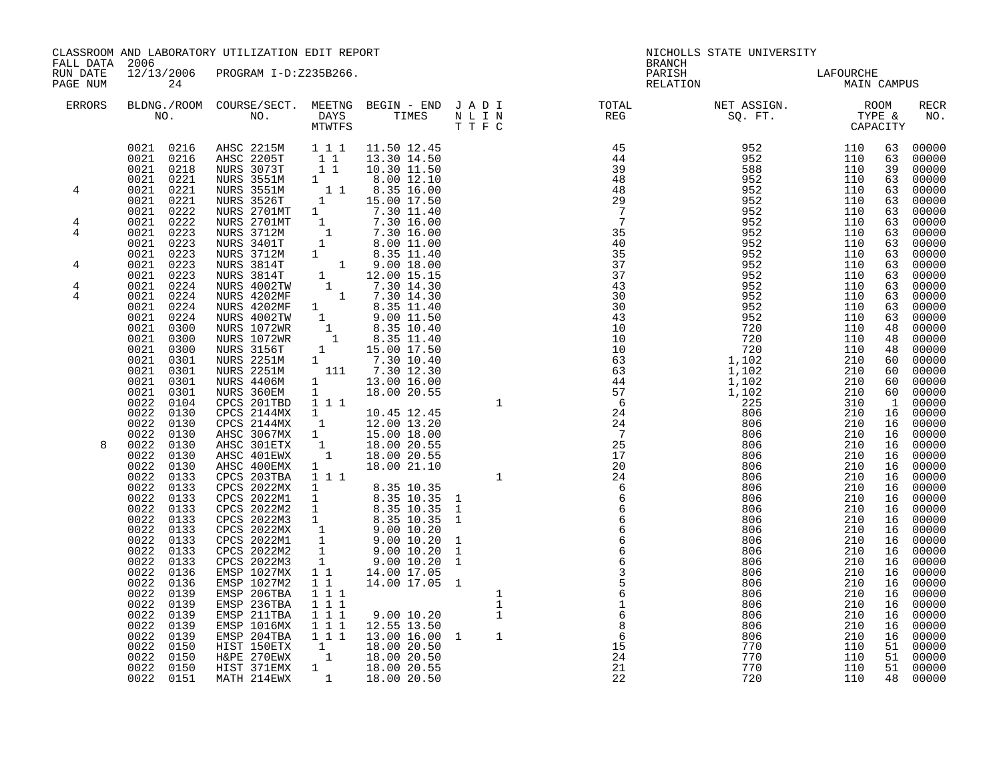| FALL DATA 2006       |                                                                                                                                                                                                                                                                                                                     | CLASSROOM AND LABORATORY UTILIZATION EDIT REPORT                                                                                                                                                                                                                                                                                                                                                                                                                                                        |                                                                  |                                                                                                                                                                                            |                              | <b>BRANCH</b>               | NICHOLLS STATE UNIVERSITY                                                                                                                                                                                                                                                                               |                                                                                                                                          |                                                                |                                                                                                                                                                                                                                                                                          |
|----------------------|---------------------------------------------------------------------------------------------------------------------------------------------------------------------------------------------------------------------------------------------------------------------------------------------------------------------|---------------------------------------------------------------------------------------------------------------------------------------------------------------------------------------------------------------------------------------------------------------------------------------------------------------------------------------------------------------------------------------------------------------------------------------------------------------------------------------------------------|------------------------------------------------------------------|--------------------------------------------------------------------------------------------------------------------------------------------------------------------------------------------|------------------------------|-----------------------------|---------------------------------------------------------------------------------------------------------------------------------------------------------------------------------------------------------------------------------------------------------------------------------------------------------|------------------------------------------------------------------------------------------------------------------------------------------|----------------------------------------------------------------|------------------------------------------------------------------------------------------------------------------------------------------------------------------------------------------------------------------------------------------------------------------------------------------|
| RUN DATE<br>PAGE NUM | 24                                                                                                                                                                                                                                                                                                                  | 12/13/2006 PROGRAM I-D:Z235B266.                                                                                                                                                                                                                                                                                                                                                                                                                                                                        |                                                                  |                                                                                                                                                                                            |                              | PARISH<br>RELATION          | LAFOURCHE<br>MAIN CAMPUS                                                                                                                                                                                                                                                                                |                                                                                                                                          |                                                                |                                                                                                                                                                                                                                                                                          |
| <b>ERRORS</b>        |                                                                                                                                                                                                                                                                                                                     |                                                                                                                                                                                                                                                                                                                                                                                                                                                                                                         |                                                                  |                                                                                                                                                                                            |                              |                             |                                                                                                                                                                                                                                                                                                         |                                                                                                                                          |                                                                | RECR<br>NO.                                                                                                                                                                                                                                                                              |
| 4<br>4               | 0021 0216<br>0021 0218<br>0021 0221<br>0021 0221<br>0021 0221<br>0021 0222<br>0021 0222                                                                                                                                                                                                                             | 0021 0216 AHSC 2215M<br><b>AHSC 2205T</b><br>NURS 3073T<br>NURS 3551M<br>NURS 3551M<br>NURS 3526T                                                                                                                                                                                                                                                                                                                                                                                                       | 1 1 1                                                            | 11.50 12.45<br>$\begin{array}{rrrr} 1 & 1 & 13.30 & 14.50 \ 1 & 1 & 10.30 & 11.50 \ 1 & 8.00 & 12.10 \ 1 & 1 & 8.35 & 16.00 \ 1 & 15.00 & 17.50 \end{array}$                               |                              |                             | $\begin{array}{cccc} 45 & 952 & 110 \\ 44 & 952 & 110 \\ 39 & 588 & 110 \\ 48 & 952 & 110 \\ 48 & 952 & 110 \\ 29 & 952 & 110 \\ 7 & 952 & 110 \\ 7 & 952 & 110 \\ 7 & 952 & 110 \\ 35 & 952 & 110 \\ 40 & 952 & 110 \\ 40 & 952 & 110 \\ 40 & 952 & 110 \\ 37 & 952 & 110 \\ 37 & 952 & 110 \\ 37 & 9$ |                                                                                                                                          | 63<br>63<br>39<br>63<br>63<br>63<br>63                         | 00000<br>00000<br>00000<br>00000<br>00000<br>00000<br>00000                                                                                                                                                                                                                              |
| 4                    | 0021 0223<br>0021 0223<br>0021 0223<br>0021 0223                                                                                                                                                                                                                                                                    |                                                                                                                                                                                                                                                                                                                                                                                                                                                                                                         |                                                                  |                                                                                                                                                                                            |                              |                             |                                                                                                                                                                                                                                                                                                         |                                                                                                                                          | 63<br>63                                                       | 63 00000<br>63 00000<br>00000<br>00000<br>00000                                                                                                                                                                                                                                          |
| 4<br>4<br>4<br>8     | 0021 0223<br>0021 0224<br>0021<br>0224<br>0021<br>$0\bar{2}\bar{2}4$<br>0021<br>0224<br>0021<br>0300<br>0021<br>0300<br>0021<br>0300<br>0021<br>0301<br>0021<br>0301<br>0021<br>0301<br>0021 0301<br>0022<br>0104<br>0022<br>0130<br>0022 0130<br>0022 0130<br>0022<br>0130<br>0022<br>0130<br>0022<br>0130         | NURS 3526T<br>NURS 3526T<br>NURS 2701MT<br>1 7.30 11.40<br>NURS 3712M<br>1 7.30 16.00<br>NURS 3712M<br>1 8.00 11.50<br>NURS 3712M<br>1 8.35 11.40<br>NURS 3814T<br>1 9.00 18.00<br>NURS 3814T<br>1 12.00 15.15<br>NURS 4202MF<br>1 7.30 14.30<br>NURS 4202MF<br><br>NURS 4406M<br>NURS 360EM<br>CPCS 201TBD<br>CPCS 2144MX 1 1.45 12.45<br>CPCS 2144MX 1 12.00 13.20<br>AHSC 3067MX 1 15.00 18.00<br>AHSC 301ETX 1 18.00 20.55<br>AHSC 401EWX 1 18.00 20.55<br>AHSC 401EWX 1 18.00 20.55<br>AHSC 400EMX | $1 1 1$<br>$1 \quad \blacksquare$                                | $\begin{array}{ccc} 1 & 13.00 & 16.00 \\ 1 & 18.00 & 20.55 \end{array}$<br>18.00 21.10                                                                                                     |                              |                             |                                                                                                                                                                                                                                                                                                         | 110<br>110<br>110<br>110<br>110<br>110<br>110<br>110<br>210<br>210<br>210<br>210<br>310<br>210<br>210<br>210<br>210<br>210<br>210        | 63<br>63<br>63<br>63<br>48<br>48<br>48<br>60<br>16             | $63$ 00000<br>$63$ 00000<br>00000<br>00000<br>00000<br>00000<br>00000<br>00000<br>$60 00000$<br>$60 00000$<br>00000<br>60 00000<br>$\begin{bmatrix} 1 & 00000 \\ 16 & 00000 \end{bmatrix}$<br>00000<br>$\begin{bmatrix} 16 & 00000 \ 16 & 00000 \ 16 & 00000 \ 16 & 00000 \end{bmatrix}$ |
|                      | 0022<br>0133<br>0022<br>0133<br>0022<br>0133<br>0022<br>0133<br>0022<br>0133<br>0022<br>0133<br>0022<br>0133<br>0022<br>0133<br>0022<br>0133<br>0022<br>0136<br>0022<br>0136<br>0022<br>0139<br>0022<br>0139<br>0022<br>0139<br>0022<br>0139<br>0022<br>0139<br>0022<br>0150<br>0022 0150<br>0022 0150<br>0022 0151 | ABCS 203TBA 1 1 1 0.00 21.10<br>CPCS 2022MX 1 8.35 10.35 1<br>CPCS 2022M2 1 8.35 10.35 1<br>CPCS 2022M2 1 8.35 10.35 1<br>CPCS 2022M3 1 8.35 10.35 1<br>CPCS 2022M3 1 9.00 10.20 1<br>CPCS 2022M2 1 9.00 10.20 1<br>CPCS 2022M2 1 9.00 10.20<br>EMSP 1027M2<br>EMSP 206TBA<br>EMSP 236TBA<br>EMSP 211TBA<br>EMSP 1016MX<br>EMSP 204TBA<br>HIST 150ETX<br>H&PE 270EWX<br>HIST 371EMX<br>MATH 214EWX                                                                                                      | $1 1 1$<br>$1\quad1$<br>$1 1 1$<br>$1 1 1$<br>$1 1 1$<br>$1 1 1$ | 14.00 17.05 1<br>9.00 10.20<br>12.55 13.50<br>1 1 1 1 13.00 16.00 1<br>$\begin{array}{rrrr} 1 & 1 & 18.00 & 20.50 \ 1 & 18.00 & 20.50 \ 1 & 18.00 & 20.55 \ 1 & 18.00 & 20.55 \end{array}$ | $\mathbf{1}$<br>1<br>$\,1\,$ | $\frac{15}{24}$<br>21<br>22 | 806<br>806<br>806<br>806<br>806<br>806<br>806<br>770<br>770<br>770<br>720                                                                                                                                                                                                                               | 210<br>210<br>210<br>210<br>210<br>210<br>210<br>210<br>210<br>210<br>210<br>210<br>210<br>210<br>210<br>210<br>110<br>110<br>110<br>110 | 16<br>16<br>16<br>16<br>16<br>16<br>16<br>16<br>16<br>16<br>51 | 00000<br>16 00000<br>16 00000<br>00000<br>00000<br>00000<br>00000<br>16 00000<br>00000<br>16 00000<br>00000<br>00000<br>00000<br>00000<br>16 00000<br>16 00000<br>00000<br>51 00000<br>51 00000<br>48 00000                                                                              |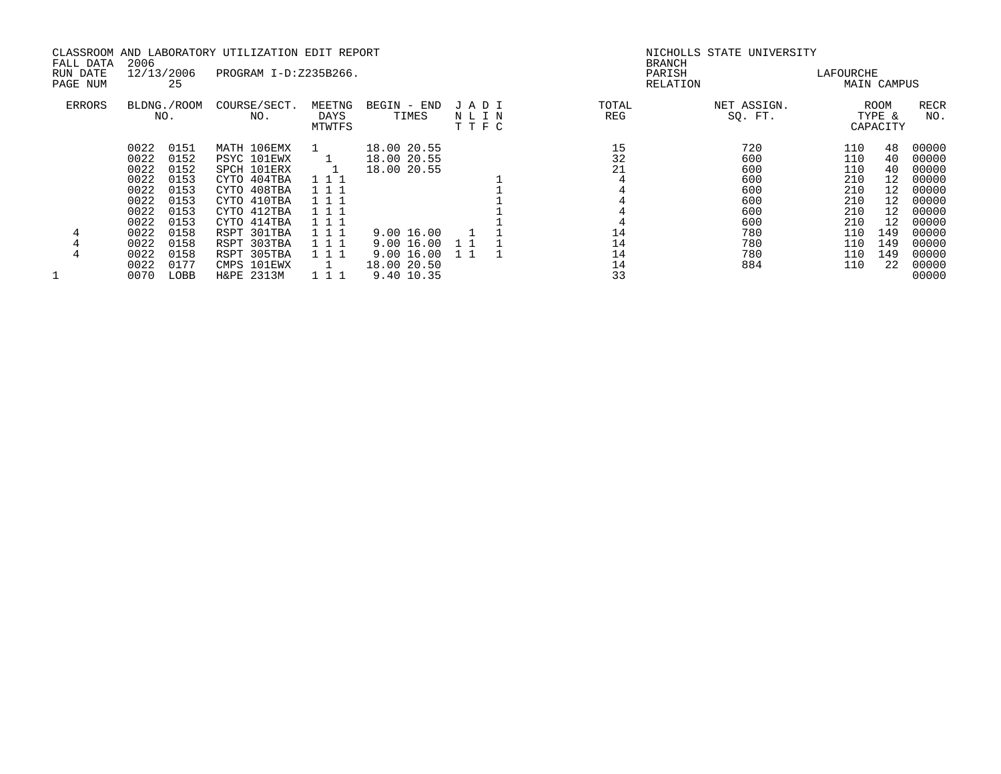| FALL DATA            | 2006 |                    | CLASSROOM AND LABORATORY UTILIZATION EDIT REPORT |                          |                      |                      |              | NICHOLLS STATE UNIVERSITY<br><b>BRANCH</b> |           |                            |                    |
|----------------------|------|--------------------|--------------------------------------------------|--------------------------|----------------------|----------------------|--------------|--------------------------------------------|-----------|----------------------------|--------------------|
| RUN DATE<br>PAGE NUM |      | 12/13/2006<br>25   | PROGRAM I-D:Z235B266.                            |                          |                      |                      |              | PARISH<br>RELATION                         | LAFOURCHE | MAIN CAMPUS                |                    |
| ERRORS               |      | BLDNG./ROOM<br>NO. | COURSE/SECT.<br>NO.                              | MEETNG<br>DAYS<br>MTWTFS | BEGIN - END<br>TIMES | JADI<br>NLIN<br>TTFC | TOTAL<br>REG | NET ASSIGN.<br>SQ. FT.                     |           | ROOM<br>TYPE &<br>CAPACITY | <b>RECR</b><br>NO. |
|                      | 0022 | 0151               | MATH 106EMX                                      |                          | 18.00 20.55          |                      | 15           | 720                                        | 110       | 48                         | 00000              |
|                      | 0022 | 0152               | PSYC 101EWX                                      |                          | 18.00 20.55          |                      | 32           | 600                                        | 110       | 40                         | 00000              |
|                      | 0022 | 0152               | SPCH 101ERX                                      |                          | 18.00 20.55          |                      | 21           | 600                                        | 110       | 40                         | 00000              |
|                      | 0022 | 0153               | CYTO 404TBA                                      | 111                      |                      |                      |              | 600                                        | 210       | 12                         | 00000              |
|                      | 0022 | 0153               | CYTO 408TBA                                      | 111                      |                      |                      |              | 600                                        | 210       | 12                         | 00000              |
|                      | 0022 | 0153               | CYTO 410TBA                                      | 111                      |                      |                      |              | 600                                        | 210       | 12                         | 00000              |
|                      | 0022 | 0153               | CYTO 412TBA                                      |                          |                      |                      |              | 600                                        | 210       | 12                         | 00000              |
|                      | 0022 | 0153               | CYTO 414TBA                                      |                          |                      |                      |              | 600                                        | 210       | 12                         | 00000              |
| 4                    | 0022 | 0158               | RSPT 301TBA                                      | 111                      | 9.00 16.00           |                      | 14           | 780                                        | 110       | 149                        | 00000              |
|                      | 0022 | 0158               | RSPT 303TBA                                      | 111                      | 9.00 16.00           | 1 1                  | 14           | 780                                        | 110       | 149                        | 00000              |
|                      | 0022 | 0158               | RSPT 305TBA                                      | 111                      | 9.0016.00            |                      | 14           | 780                                        | 110       | 149                        | 00000              |
|                      | 0022 | 0177               | CMPS 101EWX                                      |                          | 18.00 20.50          |                      | 14           | 884                                        | 110       | 22                         | 00000              |
|                      | 0070 | LOBB               | H&PE 2313M                                       |                          | 9.40 10.35           |                      | 33           |                                            |           |                            | 00000              |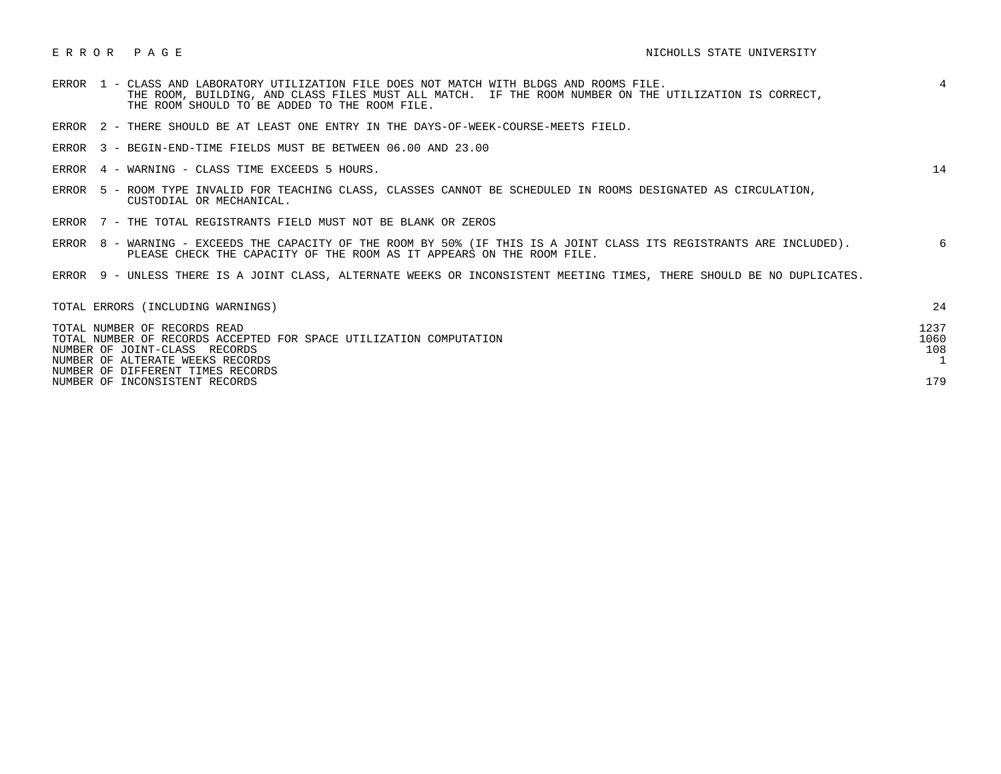- ERROR 1 CLASS AND LABORATORY UTILIZATION FILE DOES NOT MATCH WITH BLDGS AND ROOMS FILE. 4 THE ROOM, BUILDING, AND CLASS FILES MUST ALL MATCH. IF THE ROOM NUMBER ON THE UTILIZATION IS CORRECT, THE ROOM SHOULD TO BE ADDED TO THE ROOM FILE.
- ERROR 2 THERE SHOULD BE AT LEAST ONE ENTRY IN THE DAYS-OF-WEEK-COURSE-MEETS FIELD.
- ERROR 3 BEGIN-END-TIME FIELDS MUST BE BETWEEN 06.00 AND 23.00
- ERROR 4 WARNING CLASS TIME EXCEEDS 5 HOURS. 14

- ERROR 5 ROOM TYPE INVALID FOR TEACHING CLASS, CLASSES CANNOT BE SCHEDULED IN ROOMS DESIGNATED AS CIRCULATION, CUSTODIAL OR MECHANICAL.
- ERROR 7 THE TOTAL REGISTRANTS FIELD MUST NOT BE BLANK OR ZEROS
- ERROR 8 WARNING EXCEEDS THE CAPACITY OF THE ROOM BY 50% (IF THIS IS A JOINT CLASS ITS REGISTRANTS ARE INCLUDED). 6 PLEASE CHECK THE CAPACITY OF THE ROOM AS IT APPEARS ON THE ROOM FILE.
- ERROR 9 UNLESS THERE IS A JOINT CLASS, ALTERNATE WEEKS OR INCONSISTENT MEETING TIMES, THERE SHOULD BE NO DUPLICATES.

| TOTAL ERRORS (INCLUDING WARNINGS)                                  | 24   |
|--------------------------------------------------------------------|------|
| TOTAL NUMBER OF RECORDS READ                                       | 1237 |
| TOTAL NUMBER OF RECORDS ACCEPTED FOR SPACE UTILIZATION COMPUTATION | 1060 |
| NUMBER OF JOINT-CLASS RECORDS                                      | 108  |
| NUMBER OF ALTERATE WEEKS RECORDS                                   |      |
| NUMBER OF DIFFERENT TIMES RECORDS                                  |      |
| NUMBER OF INCONSISTENT RECORDS                                     | 179  |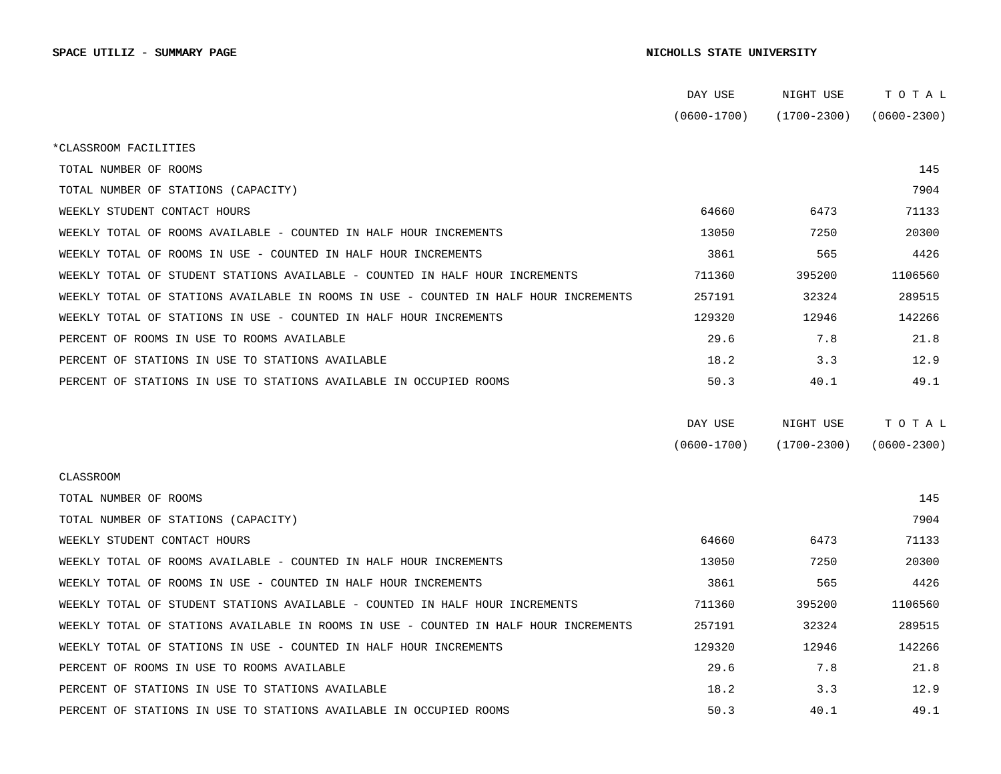|                                                                                      | DAY USE         | NIGHT USE       | тотаь           |  |
|--------------------------------------------------------------------------------------|-----------------|-----------------|-----------------|--|
|                                                                                      | $(0600 - 1700)$ | $(1700 - 2300)$ | $(0600 - 2300)$ |  |
| *CLASSROOM FACILITIES                                                                |                 |                 |                 |  |
| TOTAL NUMBER OF ROOMS                                                                |                 |                 | 145             |  |
| TOTAL NUMBER OF STATIONS (CAPACITY)                                                  |                 |                 | 7904            |  |
| WEEKLY STUDENT CONTACT HOURS                                                         | 64660           | 6473            | 71133           |  |
| WEEKLY TOTAL OF ROOMS AVAILABLE - COUNTED IN HALF HOUR INCREMENTS                    | 13050           | 7250            | 20300           |  |
| WEEKLY TOTAL OF ROOMS IN USE - COUNTED IN HALF HOUR INCREMENTS                       | 3861            | 565             | 4426            |  |
| WEEKLY TOTAL OF STUDENT STATIONS AVAILABLE - COUNTED IN HALF HOUR INCREMENTS         | 711360          | 395200          | 1106560         |  |
| WEEKLY TOTAL OF STATIONS AVAILABLE IN ROOMS IN USE - COUNTED IN HALF HOUR INCREMENTS | 257191          | 32324           | 289515          |  |
| WEEKLY TOTAL OF STATIONS IN USE - COUNTED IN HALF HOUR INCREMENTS                    | 129320          | 12946           | 142266          |  |
| PERCENT OF ROOMS IN USE TO ROOMS AVAILABLE                                           | 29.6            | 7.8             | 21.8            |  |
| PERCENT OF STATIONS IN USE TO STATIONS AVAILABLE                                     | 18.2            | 3.3             | 12.9            |  |
| PERCENT OF STATIONS IN USE TO STATIONS AVAILABLE IN OCCUPIED ROOMS                   | 50.3            | 40.1            | 49.1            |  |
|                                                                                      |                 |                 |                 |  |
|                                                                                      | DAY USE         | NIGHT USE       | TOTAL           |  |
|                                                                                      | $(0600 - 1700)$ | $(1700 - 2300)$ | $(0600 - 2300)$ |  |
| CLASSROOM                                                                            |                 |                 |                 |  |
| TOTAL NUMBER OF ROOMS                                                                |                 |                 | 145             |  |
| TOTAL NUMBER OF STATIONS (CAPACITY)                                                  |                 |                 | 7904            |  |
| WEEKLY STUDENT CONTACT HOURS                                                         | 64660           | 6473            | 71133           |  |
| WEEKLY TOTAL OF ROOMS AVAILABLE - COUNTED IN HALF HOUR INCREMENTS                    | 13050           | 7250            | 20300           |  |
| WEEKLY TOTAL OF ROOMS IN USE - COUNTED IN HALF HOUR INCREMENTS                       | 3861            | 565             | 4426            |  |
| WEEKLY TOTAL OF STUDENT STATIONS AVAILABLE - COUNTED IN HALF HOUR INCREMENTS         | 711360          | 395200          | 1106560         |  |
| WEEKLY TOTAL OF STATIONS AVAILABLE IN ROOMS IN USE - COUNTED IN HALF HOUR INCREMENTS | 257191          | 32324           | 289515          |  |
| WEEKLY TOTAL OF STATIONS IN USE - COUNTED IN HALF HOUR INCREMENTS                    | 129320          | 12946           | 142266          |  |
| PERCENT OF ROOMS IN USE TO ROOMS AVAILABLE                                           | 29.6            | 7.8             | 21.8            |  |
| PERCENT OF STATIONS IN USE TO STATIONS AVAILABLE                                     | 18.2            | 3.3             | 12.9            |  |
| PERCENT OF STATIONS IN USE TO STATIONS AVAILABLE IN OCCUPIED ROOMS                   | 50.3            | 40.1            | 49.1            |  |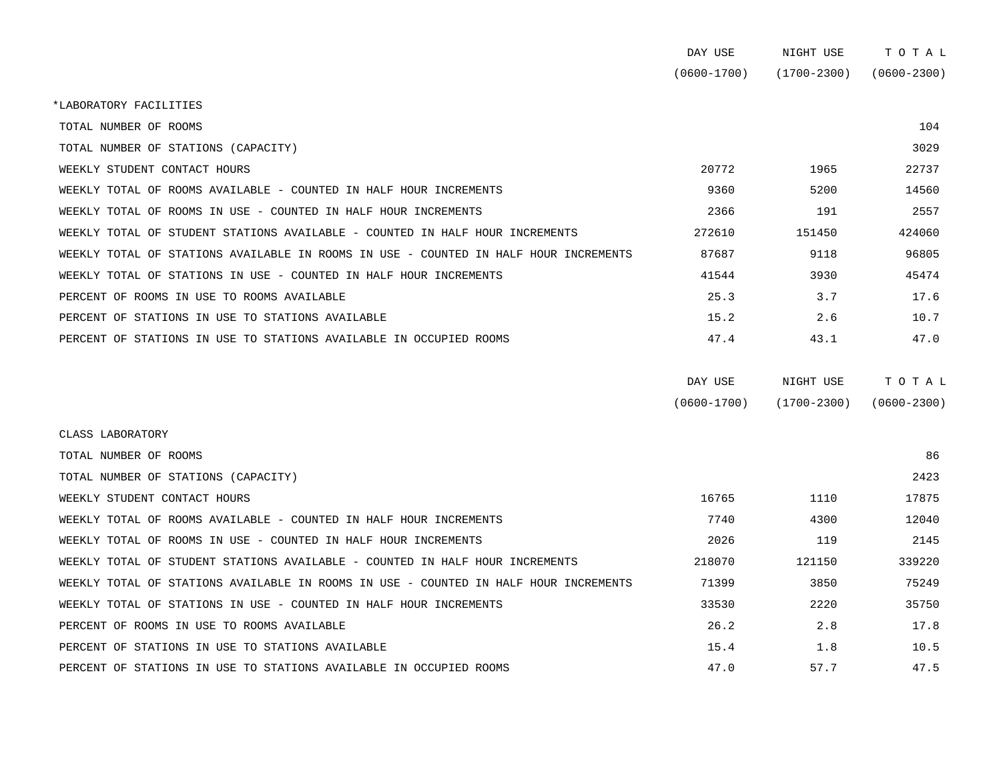|                                                                                      | DAY USE         | NIGHT USE       | TOTAL           |  |
|--------------------------------------------------------------------------------------|-----------------|-----------------|-----------------|--|
|                                                                                      | $(0600 - 1700)$ | $(1700 - 2300)$ | $(0600 - 2300)$ |  |
| *LABORATORY FACILITIES                                                               |                 |                 |                 |  |
| TOTAL NUMBER OF ROOMS                                                                |                 |                 | 104             |  |
| TOTAL NUMBER OF STATIONS (CAPACITY)                                                  |                 |                 | 3029            |  |
| WEEKLY STUDENT CONTACT HOURS                                                         | 20772           | 1965            | 22737           |  |
| WEEKLY TOTAL OF ROOMS AVAILABLE - COUNTED IN HALF HOUR INCREMENTS                    | 9360            | 5200            | 14560           |  |
| WEEKLY TOTAL OF ROOMS IN USE - COUNTED IN HALF HOUR INCREMENTS                       | 2366            | 191             | 2557            |  |
| WEEKLY TOTAL OF STUDENT STATIONS AVAILABLE - COUNTED IN HALF HOUR INCREMENTS         | 272610          | 151450          | 424060          |  |
| WEEKLY TOTAL OF STATIONS AVAILABLE IN ROOMS IN USE - COUNTED IN HALF HOUR INCREMENTS | 87687           | 9118            | 96805           |  |
| WEEKLY TOTAL OF STATIONS IN USE - COUNTED IN HALF HOUR INCREMENTS                    | 41544           | 3930            | 45474           |  |
| PERCENT OF ROOMS IN USE TO ROOMS AVAILABLE                                           | 25.3            | 3.7             | 17.6            |  |
| PERCENT OF STATIONS IN USE TO STATIONS AVAILABLE                                     | 15.2            | 2.6             | 10.7            |  |
| PERCENT OF STATIONS IN USE TO STATIONS AVAILABLE IN OCCUPIED ROOMS                   | 47.4            | 43.1            | 47.0            |  |
|                                                                                      |                 |                 |                 |  |
|                                                                                      | DAY HSE         | NICHT HISE      | T O T A T.      |  |

| DAI USB         | NTAUT NOT       | t o t u n       |
|-----------------|-----------------|-----------------|
| $(0600 - 1700)$ | $(1700 - 2300)$ | $(0600 - 2300)$ |

| CLASS LABORATORY                                                                     |        |        |        |
|--------------------------------------------------------------------------------------|--------|--------|--------|
| TOTAL NUMBER OF ROOMS                                                                |        |        | 86     |
| TOTAL NUMBER OF STATIONS (CAPACITY)                                                  |        |        | 2423   |
| WEEKLY STUDENT CONTACT HOURS                                                         | 16765  | 1110   | 17875  |
| WEEKLY TOTAL OF ROOMS AVAILABLE - COUNTED IN HALF HOUR INCREMENTS                    | 7740   | 4300   | 12040  |
| WEEKLY TOTAL OF ROOMS IN USE - COUNTED IN HALF HOUR INCREMENTS                       | 2026   | 119    | 2145   |
| WEEKLY TOTAL OF STUDENT STATIONS AVAILABLE - COUNTED IN HALF HOUR INCREMENTS         | 218070 | 121150 | 339220 |
| WEEKLY TOTAL OF STATIONS AVAILABLE IN ROOMS IN USE - COUNTED IN HALF HOUR INCREMENTS | 71399  | 3850   | 75249  |
| WEEKLY TOTAL OF STATIONS IN USE - COUNTED IN HALF HOUR INCREMENTS                    | 33530  | 2220   | 35750  |
| PERCENT OF ROOMS IN USE TO ROOMS AVAILABLE                                           | 26.2   | 2.8    | 17.8   |
| PERCENT OF STATIONS IN USE TO STATIONS AVAILABLE                                     | 15.4   | 1.8    | 10.5   |
| PERCENT OF STATIONS IN USE TO STATIONS AVAILABLE IN OCCUPIED ROOMS                   | 47.0   | 57.7   | 47.5   |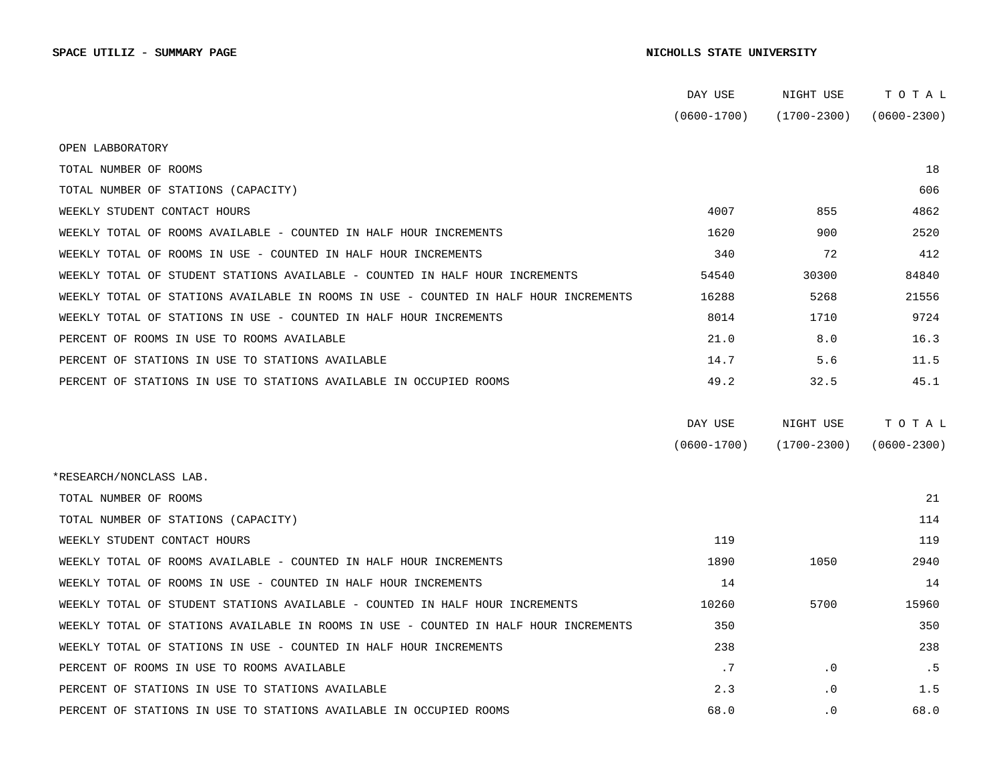|                                                                                      | DAY USE         | NIGHT USE       | тотаь           |
|--------------------------------------------------------------------------------------|-----------------|-----------------|-----------------|
|                                                                                      | $(0600 - 1700)$ | (1700-2300)     | $(0600 - 2300)$ |
| OPEN LABBORATORY                                                                     |                 |                 |                 |
| TOTAL NUMBER OF ROOMS                                                                |                 |                 | 18              |
| TOTAL NUMBER OF STATIONS (CAPACITY)                                                  |                 |                 | 606             |
| WEEKLY STUDENT CONTACT HOURS                                                         | 4007            | 855             | 4862            |
| WEEKLY TOTAL OF ROOMS AVAILABLE - COUNTED IN HALF HOUR INCREMENTS                    | 1620            | 900             | 2520            |
| WEEKLY TOTAL OF ROOMS IN USE - COUNTED IN HALF HOUR INCREMENTS                       | 340             | 72              | 412             |
| WEEKLY TOTAL OF STUDENT STATIONS AVAILABLE - COUNTED IN HALF HOUR INCREMENTS         | 54540           | 30300           | 84840           |
| WEEKLY TOTAL OF STATIONS AVAILABLE IN ROOMS IN USE - COUNTED IN HALF HOUR INCREMENTS | 16288           | 5268            | 21556           |
| WEEKLY TOTAL OF STATIONS IN USE - COUNTED IN HALF HOUR INCREMENTS                    | 8014            | 1710            | 9724            |
| PERCENT OF ROOMS IN USE TO ROOMS AVAILABLE                                           | 21.0            | 8.0             | 16.3            |
| PERCENT OF STATIONS IN USE TO STATIONS AVAILABLE                                     | 14.7            | 5.6             | 11.5            |
| PERCENT OF STATIONS IN USE TO STATIONS AVAILABLE IN OCCUPIED ROOMS                   | 49.2            | 32.5            | 45.1            |
|                                                                                      |                 |                 |                 |
|                                                                                      | DAY USE         | NIGHT USE       | TOTAL           |
|                                                                                      | $(0600 - 1700)$ | $(1700 - 2300)$ | $(0600 - 2300)$ |
| *RESEARCH/NONCLASS LAB.                                                              |                 |                 |                 |
| TOTAL NUMBER OF ROOMS                                                                |                 |                 | 21              |
| TOTAL NUMBER OF STATIONS (CAPACITY)                                                  |                 |                 | 114             |
| WEEKLY STUDENT CONTACT HOURS                                                         | 119             |                 | 119             |
| WEEKLY TOTAL OF ROOMS AVAILABLE - COUNTED IN HALF HOUR INCREMENTS                    | 1890            | 1050            | 2940            |
| WEEKLY TOTAL OF ROOMS IN USE - COUNTED IN HALF HOUR INCREMENTS                       | 14              |                 | 14              |
| WEEKLY TOTAL OF STUDENT STATIONS AVAILABLE - COUNTED IN HALF HOUR INCREMENTS         | 10260           | 5700            | 15960           |
| WEEKLY TOTAL OF STATIONS AVAILABLE IN ROOMS IN USE - COUNTED IN HALF HOUR INCREMENTS | 350             |                 | 350             |
| WEEKLY TOTAL OF STATIONS IN USE - COUNTED IN HALF HOUR INCREMENTS                    | 238             |                 | 238             |
| PERCENT OF ROOMS IN USE TO ROOMS AVAILABLE                                           | .7              | $\cdot$ 0       | .5              |
| PERCENT OF STATIONS IN USE TO STATIONS AVAILABLE                                     | 2.3             | $\cdot$ 0       | 1.5             |
| PERCENT OF STATIONS IN USE TO STATIONS AVAILABLE IN OCCUPIED ROOMS                   | 68.0            | $\cdot$ 0       | 68.0            |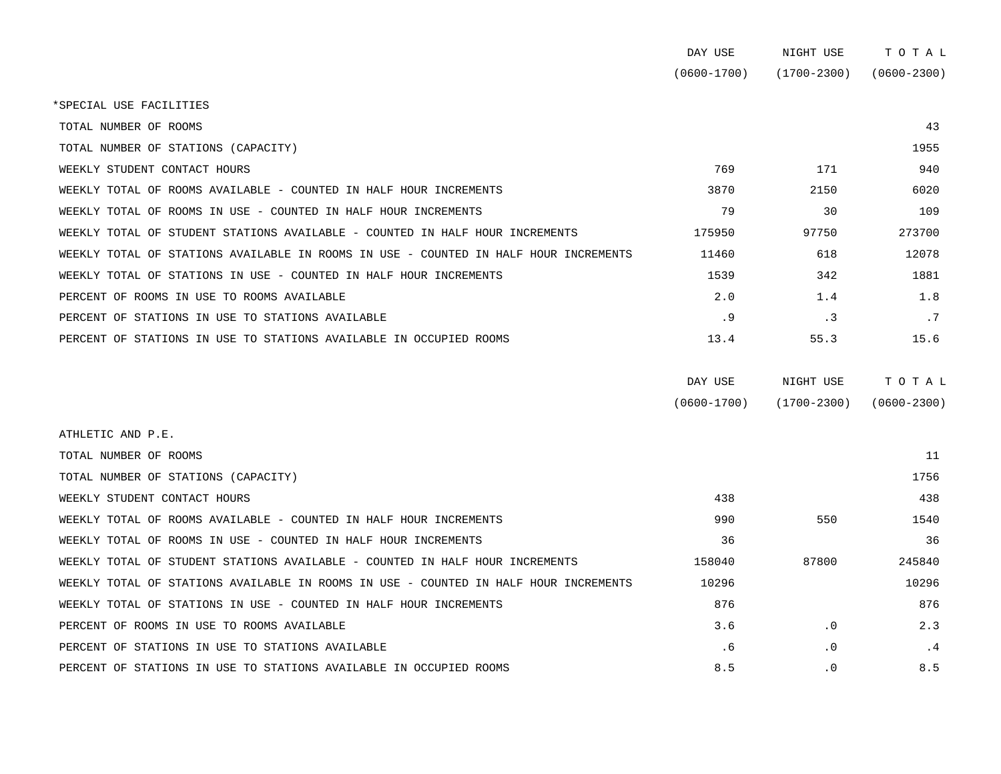| DAY USE     | NIGHT USE       | тотаь           |
|-------------|-----------------|-----------------|
| (0600-1700) | $(1700 - 2300)$ | $(0600 - 2300)$ |

\*SPECIAL USE FACILITIES

 TOTAL NUMBER OF ROOMS 43 TOTAL NUMBER OF STATIONS (CAPACITY) 1955 WEEKLY STUDENT CONTACT HOURS 6. THE SERVICE STUDENT ON THE SERVICE SERVICE SERVICE SERVICE SERVICE SERVICE SERVICE SERVICE SERVICE SERVICE SERVICE SERVICE SERVICE SERVICE SERVICE SERVICE SERVICE SERVICE SERVICE SERVICE SER WEEKLY TOTAL OF ROOMS AVAILABLE - COUNTED IN HALF HOUR INCREMENTS  $\sim$  3870 2150 2150 6020 WEEKLY TOTAL OF ROOMS IN USE - COUNTED IN HALF HOUR INCREMENTS  $\begin{array}{ccc} 79 & 30 & 30 \\ 79 & 30 & 30 \\ 79 & 79 & 30 \\ 79 & 79 & 79 \end{array}$ WEEKLY TOTAL OF STUDENT STATIONS AVAILABLE - COUNTED IN HALF HOUR INCREMENTS **175950** 97750 97750 273700 WEEKLY TOTAL OF STATIONS AVAILABLE IN ROOMS IN USE - COUNTED IN HALF HOUR INCREMENTS  $11460$  618 618 12078 WEEKLY TOTAL OF STATIONS IN USE - COUNTED IN HALF HOUR INCREMENTS 1539 1539 142 1881 PERCENT OF ROOMS IN USE TO ROOMS AVAILABLE **1.8** 1.8 1.8 PERCENT OF STATIONS IN USE TO STATIONS AVAILABLE .9 .3 .7 PERCENT OF STATIONS IN USE TO STATIONS AVAILABLE IN OCCUPIED ROOMS 13.4 55.3 15.6

| DAY USE         | NIGHT USE       | тотаь           |
|-----------------|-----------------|-----------------|
| $(0600 - 1700)$ | $(1700 - 2300)$ | $(0600 - 2300)$ |

 ATHLETIC AND P.E. TOTAL NUMBER OF ROOMS AND RESOLUTION OF RESOLUTION OF RESOLUTIONS AND RESOLUTION OF RESOLUTIONS OF RESOLUTIONS TOTAL NUMBER OF STATIONS (CAPACITY) 1756 WEEKLY STUDENT CONTACT HOURS 438 438 WEEKLY TOTAL OF ROOMS AVAILABLE - COUNTED IN HALF HOUR INCREMENTS  $\sim$  990 550 550 1540 WEEKLY TOTAL OF ROOMS IN USE - COUNTED IN HALF HOUR INCREMENTS 36 36 36 WEEKLY TOTAL OF STUDENT STATIONS AVAILABLE - COUNTED IN HALF HOUR INCREMENTS 158040 158040 87800 245840 WEEKLY TOTAL OF STATIONS AVAILABLE IN ROOMS IN USE - COUNTED IN HALF HOUR INCREMENTS 10296 10296 WEEKLY TOTAL OF STATIONS IN USE - COUNTED IN HALF HOUR INCREMENTS  $876$ PERCENT OF ROOMS IN USE TO ROOMS AVAILABLE  $\begin{array}{ccc} 2.3 \end{array}$   $\begin{array}{ccc} 3.6 \end{array}$   $\begin{array}{ccc} 3.7 \end{array}$ PERCENT OF STATIONS IN USE TO STATIONS AVAILABLE  $\overline{4}$  .  $\overline{6}$  . .0 .0 .4 .4 PERCENT OF STATIONS IN USE TO STATIONS AVAILABLE IN OCCUPIED ROOMS  $8.5$  8.5  $8.5$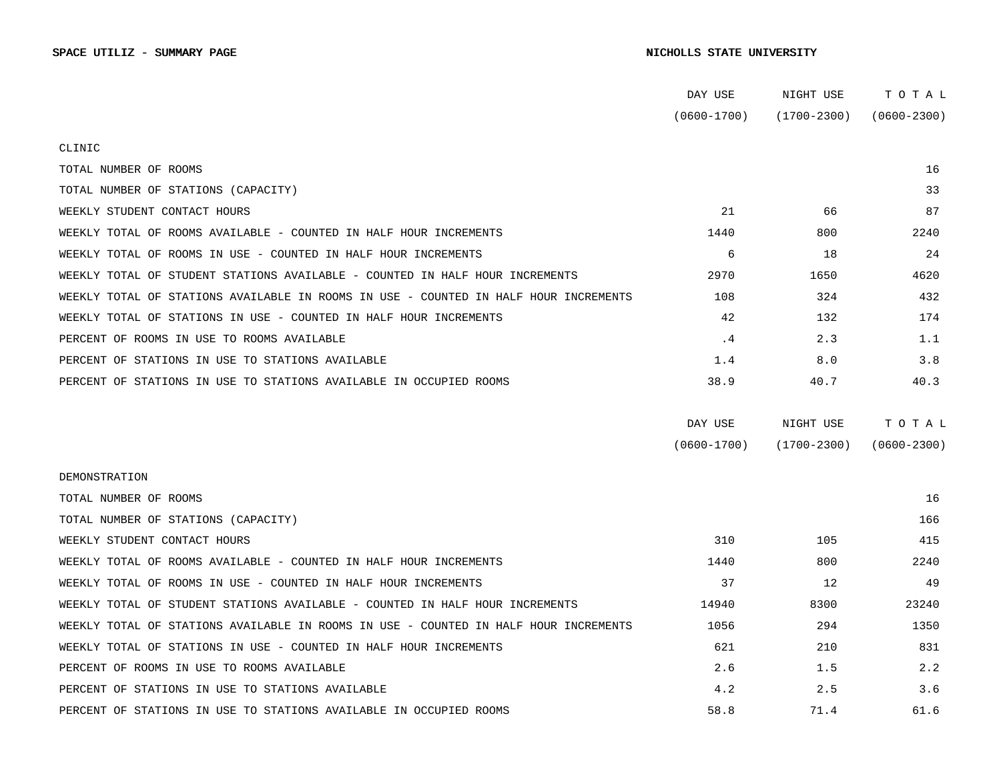|                                                                                      | DAY USE         | NIGHT USE       | тотаь                       |
|--------------------------------------------------------------------------------------|-----------------|-----------------|-----------------------------|
|                                                                                      | $(0600 - 1700)$ |                 | $(1700-2300)$ $(0600-2300)$ |
| CLINIC                                                                               |                 |                 |                             |
| TOTAL NUMBER OF ROOMS                                                                |                 |                 | 16                          |
| TOTAL NUMBER OF STATIONS (CAPACITY)                                                  |                 |                 | 33                          |
| WEEKLY STUDENT CONTACT HOURS                                                         | 21              | 66              | 87                          |
| WEEKLY TOTAL OF ROOMS AVAILABLE - COUNTED IN HALF HOUR INCREMENTS                    | 1440            | 800             | 2240                        |
| WEEKLY TOTAL OF ROOMS IN USE - COUNTED IN HALF HOUR INCREMENTS                       | 6               | 18              | 24                          |
| WEEKLY TOTAL OF STUDENT STATIONS AVAILABLE - COUNTED IN HALF HOUR INCREMENTS         | 2970            | 1650            | 4620                        |
| WEEKLY TOTAL OF STATIONS AVAILABLE IN ROOMS IN USE - COUNTED IN HALF HOUR INCREMENTS | 108             | 324             | 432                         |
| WEEKLY TOTAL OF STATIONS IN USE - COUNTED IN HALF HOUR INCREMENTS                    | 42              | 132             | 174                         |
| PERCENT OF ROOMS IN USE TO ROOMS AVAILABLE                                           | $\cdot$ 4       | 2.3             | 1.1                         |
| PERCENT OF STATIONS IN USE TO STATIONS AVAILABLE                                     | 1.4             | 8.0             | 3.8                         |
| PERCENT OF STATIONS IN USE TO STATIONS AVAILABLE IN OCCUPIED ROOMS                   | 38.9            | 40.7            | 40.3                        |
|                                                                                      | DAY USE         | NIGHT USE       | TOTAL                       |
|                                                                                      | $(0600 - 1700)$ | $(1700 - 2300)$ | $(0600 - 2300)$             |
| DEMONSTRATION                                                                        |                 |                 |                             |
| TOTAL NUMBER OF ROOMS                                                                |                 |                 | 16                          |
| TOTAL NUMBER OF STATIONS (CAPACITY)                                                  |                 |                 | 166                         |
| WEEKLY STUDENT CONTACT HOURS                                                         | 310             | 105             | 415                         |
| WEEKLY TOTAL OF ROOMS AVAILABLE - COUNTED IN HALF HOUR INCREMENTS                    | 1440            | 800             | 2240                        |
| WEEKLY TOTAL OF ROOMS IN USE - COUNTED IN HALF HOUR INCREMENTS                       | 37              | 12              | 49                          |
| WEEKLY TOTAL OF STUDENT STATIONS AVAILABLE - COUNTED IN HALF HOUR INCREMENTS         | 14940           | 8300            | 23240                       |
| WEEKLY TOTAL OF STATIONS AVAILABLE IN ROOMS IN USE - COUNTED IN HALF HOUR INCREMENTS | 1056            | 294             | 1350                        |
| WEEKLY TOTAL OF STATIONS IN USE - COUNTED IN HALF HOUR INCREMENTS                    | 621             | 210             | 831                         |
| PERCENT OF ROOMS IN USE TO ROOMS AVAILABLE                                           | 2.6             | 1.5             | 2.2                         |
| PERCENT OF STATIONS IN USE TO STATIONS AVAILABLE                                     | 4.2             | 2.5             | 3.6                         |
| PERCENT OF STATIONS IN USE TO STATIONS AVAILABLE IN OCCUPIED ROOMS                   | 58.8            | 71.4            | 61.6                        |